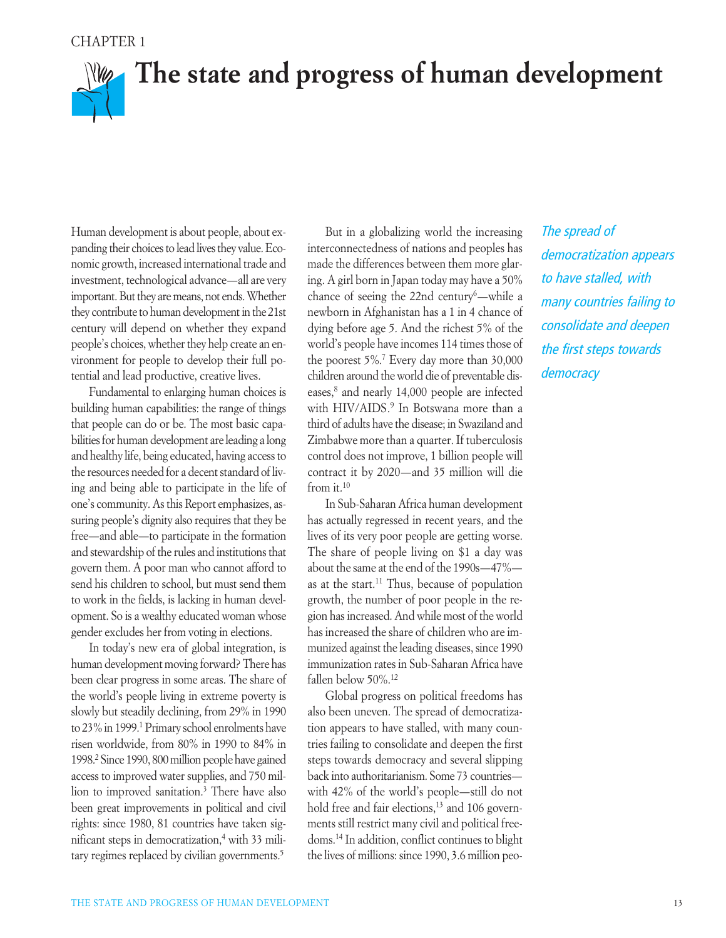### CHAPTER 1

# **Mag The state and progress of human development**

Human development is about people, about expanding their choices to lead lives they value. Economic growth, increased international trade and investment, technological advance—all are very important. But they are means, not ends. Whether they contribute to human development in the 21st century will depend on whether they expand people's choices, whether they help create an environment for people to develop their full potential and lead productive, creative lives.

Fundamental to enlarging human choices is building human capabilities: the range of things that people can do or be. The most basic capabilities for human development are leading a long and healthy life, being educated, having access to the resources needed for a decent standard of living and being able to participate in the life of one's community. As this Report emphasizes, assuring people's dignity also requires that they be free—and able—to participate in the formation and stewardship of the rules and institutions that govern them. A poor man who cannot afford to send his children to school, but must send them to work in the fields, is lacking in human development. So is a wealthy educated woman whose gender excludes her from voting in elections.

In today's new era of global integration, is human development moving forward? There has been clear progress in some areas. The share of the world's people living in extreme poverty is slowly but steadily declining, from 29% in 1990 to 23% in 1999.1 Primary school enrolments have risen worldwide, from 80% in 1990 to 84% in 1998.2 Since 1990, 800 million people have gained access to improved water supplies, and 750 million to improved sanitation.3 There have also been great improvements in political and civil rights: since 1980, 81 countries have taken significant steps in democratization,4 with 33 military regimes replaced by civilian governments.<sup>5</sup>

But in a globalizing world the increasing interconnectedness of nations and peoples has made the differences between them more glaring. A girl born in Japan today may have a 50% chance of seeing the 22nd century<sup>6</sup>—while a newborn in Afghanistan has a 1 in 4 chance of dying before age 5. And the richest 5% of the world's people have incomes 114 times those of the poorest 5%.7 Every day more than 30,000 children around the world die of preventable diseases,8 and nearly 14,000 people are infected with HIV/AIDS.<sup>9</sup> In Botswana more than a third of adults have the disease; in Swaziland and Zimbabwe more than a quarter. If tuberculosis control does not improve, 1 billion people will contract it by 2020—and 35 million will die from it.10

In Sub-Saharan Africa human development has actually regressed in recent years, and the lives of its very poor people are getting worse. The share of people living on \$1 a day was about the same at the end of the 1990s—47% as at the start.<sup>11</sup> Thus, because of population growth, the number of poor people in the region has increased. And while most of the world has increased the share of children who are immunized against the leading diseases, since 1990 immunization rates in Sub-Saharan Africa have fallen below 50%.12

Global progress on political freedoms has also been uneven. The spread of democratization appears to have stalled, with many countries failing to consolidate and deepen the first steps towards democracy and several slipping back into authoritarianism. Some 73 countries with 42% of the world's people—still do not hold free and fair elections,<sup>13</sup> and 106 governments still restrict many civil and political freedoms.14 In addition, conflict continues to blight the lives of millions: since 1990, 3.6 million peo*The spread of democratization appears to have stalled, with many countries failing to consolidate and deepen the first steps towards democracy*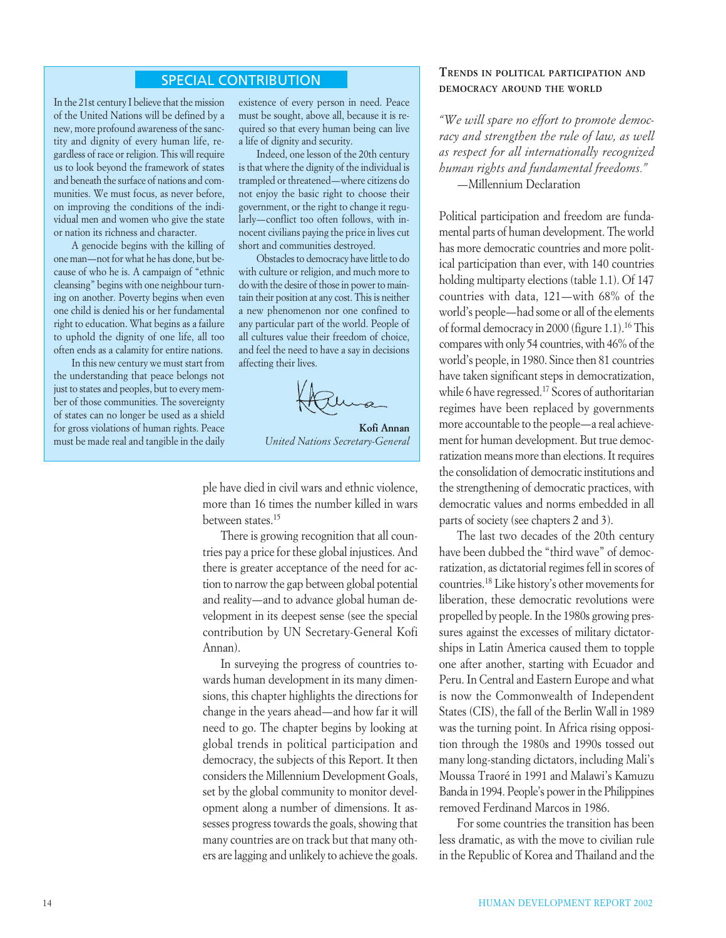### SPECIAL CONTRIBUTION

In the 21st century I believe that the mission of the United Nations will be defined by a new, more profound awareness of the sanctity and dignity of every human life, regardless of race or religion. This will require us to look beyond the framework of states and beneath the surface of nations and communities. We must focus, as never before, on improving the conditions of the individual men and women who give the state or nation its richness and character.

A genocide begins with the killing of one man—not for what he has done, but because of who he is. A campaign of "ethnic cleansing" begins with one neighbour turning on another. Poverty begins when even one child is denied his or her fundamental right to education. What begins as a failure to uphold the dignity of one life, all too often ends as a calamity for entire nations.

In this new century we must start from the understanding that peace belongs not just to states and peoples, but to every member of those communities. The sovereignty of states can no longer be used as a shield for gross violations of human rights. Peace must be made real and tangible in the daily

existence of every person in need. Peace must be sought, above all, because it is required so that every human being can live a life of dignity and security.

Indeed, one lesson of the 20th century is that where the dignity of the individual is trampled or threatened—where citizens do not enjoy the basic right to choose their government, or the right to change it regularly—conflict too often follows, with innocent civilians paying the price in lives cut short and communities destroyed.

Obstacles to democracy have little to do with culture or religion, and much more to do with the desire of those in power to maintain their position at any cost. This is neither a new phenomenon nor one confined to any particular part of the world. People of all cultures value their freedom of choice, and feel the need to have a say in decisions affecting their lives.

**Kofi Annan**

*United Nations Secretary-General* 

ple have died in civil wars and ethnic violence, more than 16 times the number killed in wars between states.15

There is growing recognition that all countries pay a price for these global injustices. And there is greater acceptance of the need for action to narrow the gap between global potential and reality—and to advance global human development in its deepest sense (see the special contribution by UN Secretary-General Kofi Annan).

In surveying the progress of countries towards human development in its many dimensions, this chapter highlights the directions for change in the years ahead—and how far it will need to go. The chapter begins by looking at global trends in political participation and democracy, the subjects of this Report. It then considers the Millennium Development Goals, set by the global community to monitor development along a number of dimensions. It assesses progress towards the goals, showing that many countries are on track but that many others are lagging and unlikely to achieve the goals.

### **TRENDS IN POLITICAL PARTICIPATION AND DEMOCRACY AROUND THE WORLD**

*"We will spare no effort to promote democracy and strengthen the rule of law, as well as respect for all internationally recognized human rights and fundamental freedoms."* —Millennium Declaration

Political participation and freedom are fundamental parts of human development. The world has more democratic countries and more political participation than ever, with 140 countries holding multiparty elections (table 1.1). Of 147 countries with data, 121—with 68% of the world's people—had some or all of the elements of formal democracy in 2000 (figure 1.1).16 This compares with only 54 countries, with 46% of the world's people, in 1980. Since then 81 countries have taken significant steps in democratization, while 6 have regressed.<sup>17</sup> Scores of authoritarian regimes have been replaced by governments more accountable to the people—a real achievement for human development. But true democratization means more than elections. It requires the consolidation of democratic institutions and the strengthening of democratic practices, with democratic values and norms embedded in all parts of society (see chapters 2 and 3).

The last two decades of the 20th century have been dubbed the "third wave" of democratization, as dictatorial regimes fell in scores of countries.18 Like history's other movements for liberation, these democratic revolutions were propelled by people. In the 1980s growing pressures against the excesses of military dictatorships in Latin America caused them to topple one after another, starting with Ecuador and Peru. In Central and Eastern Europe and what is now the Commonwealth of Independent States (CIS), the fall of the Berlin Wall in 1989 was the turning point. In Africa rising opposition through the 1980s and 1990s tossed out many long-standing dictators, including Mali's Moussa Traoré in 1991 and Malawi's Kamuzu Banda in 1994. People's power in the Philippines removed Ferdinand Marcos in 1986.

For some countries the transition has been less dramatic, as with the move to civilian rule in the Republic of Korea and Thailand and the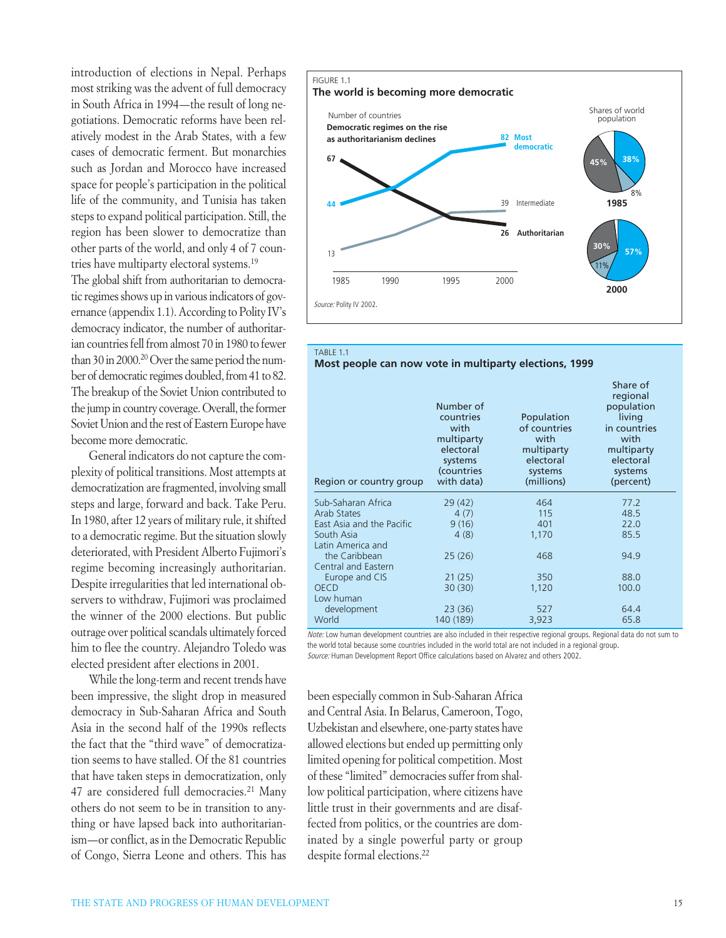introduction of elections in Nepal. Perhaps most striking was the advent of full democracy in South Africa in 1994—the result of long negotiations. Democratic reforms have been relatively modest in the Arab States, with a few cases of democratic ferment. But monarchies such as Jordan and Morocco have increased space for people's participation in the political life of the community, and Tunisia has taken steps to expand political participation. Still, the region has been slower to democratize than other parts of the world, and only 4 of 7 countries have multiparty electoral systems.19

The global shift from authoritarian to democratic regimes shows up in various indicators of governance (appendix 1.1). According to Polity IV's democracy indicator, the number of authoritarian countries fell from almost 70 in 1980 to fewer than 30 in 2000.<sup>20</sup> Over the same period the number of democratic regimes doubled, from 41 to 82. The breakup of the Soviet Union contributed to the jump in country coverage. Overall, the former Soviet Union and the rest of Eastern Europe have become more democratic.

General indicators do not capture the complexity of political transitions. Most attempts at democratization are fragmented, involving small steps and large, forward and back. Take Peru. In 1980, after 12 years of military rule, it shifted to a democratic regime. But the situation slowly deteriorated, with President Alberto Fujimori's regime becoming increasingly authoritarian. Despite irregularities that led international observers to withdraw, Fujimori was proclaimed the winner of the 2000 elections. But public outrage over political scandals ultimately forced him to flee the country. Alejandro Toledo was elected president after elections in 2001.

While the long-term and recent trends have been impressive, the slight drop in measured democracy in Sub-Saharan Africa and South Asia in the second half of the 1990s reflects the fact that the "third wave" of democratization seems to have stalled. Of the 81 countries that have taken steps in democratization, only 47 are considered full democracies.<sup>21</sup> Many others do not seem to be in transition to anything or have lapsed back into authoritarianism—or conflict, as in the Democratic Republic of Congo, Sierra Leone and others. This has



| <b>TABLE 1.1</b> |
|------------------|
|------------------|

#### **Most people can now vote in multiparty elections, 1999**

| Region or country group   | Number of<br>countries<br>with<br>multiparty<br>electoral<br>systems<br>(countries<br>with data) | Population<br>of countries<br>with<br>multiparty<br>electoral<br>systems<br>(millions) | Share of<br>regional<br>population<br>living<br>in countries<br>with<br>multiparty<br>electoral<br>systems<br>(percent) |
|---------------------------|--------------------------------------------------------------------------------------------------|----------------------------------------------------------------------------------------|-------------------------------------------------------------------------------------------------------------------------|
| Sub-Saharan Africa        | 29(42)                                                                                           | 464                                                                                    | 77.2                                                                                                                    |
| Arab States               | 4(7)                                                                                             | 115                                                                                    | 48.5                                                                                                                    |
| East Asia and the Pacific | 9(16)                                                                                            | 401                                                                                    | 22.0                                                                                                                    |
| South Asia                | 4(8)                                                                                             | 1,170                                                                                  | 85.5                                                                                                                    |
| Latin America and         |                                                                                                  |                                                                                        |                                                                                                                         |
| the Caribbean             | 25(26)                                                                                           | 468                                                                                    | 94.9                                                                                                                    |
| Central and Eastern       |                                                                                                  |                                                                                        |                                                                                                                         |
| Europe and CIS            | 21(25)                                                                                           | 350                                                                                    | 88.0                                                                                                                    |
| <b>OECD</b>               | 30(30)                                                                                           | 1,120                                                                                  | 100.0                                                                                                                   |
| Low human                 |                                                                                                  |                                                                                        |                                                                                                                         |
| development               | 23(36)                                                                                           | 527                                                                                    | 64.4                                                                                                                    |
| World                     | 140 (189)                                                                                        | 3,923                                                                                  | 65.8                                                                                                                    |
|                           |                                                                                                  |                                                                                        |                                                                                                                         |

*Note:* Low human development countries are also included in their respective regional groups. Regional data do not sum to the world total because some countries included in the world total are not included in a regional group. *Source:* Human Development Report Office calculations based on Alvarez and others 2002.

been especially common in Sub-Saharan Africa and Central Asia. In Belarus, Cameroon, Togo, Uzbekistan and elsewhere, one-party states have allowed elections but ended up permitting only limited opening for political competition. Most of these "limited" democracies suffer from shallow political participation, where citizens have little trust in their governments and are disaffected from politics, or the countries are dominated by a single powerful party or group despite formal elections.22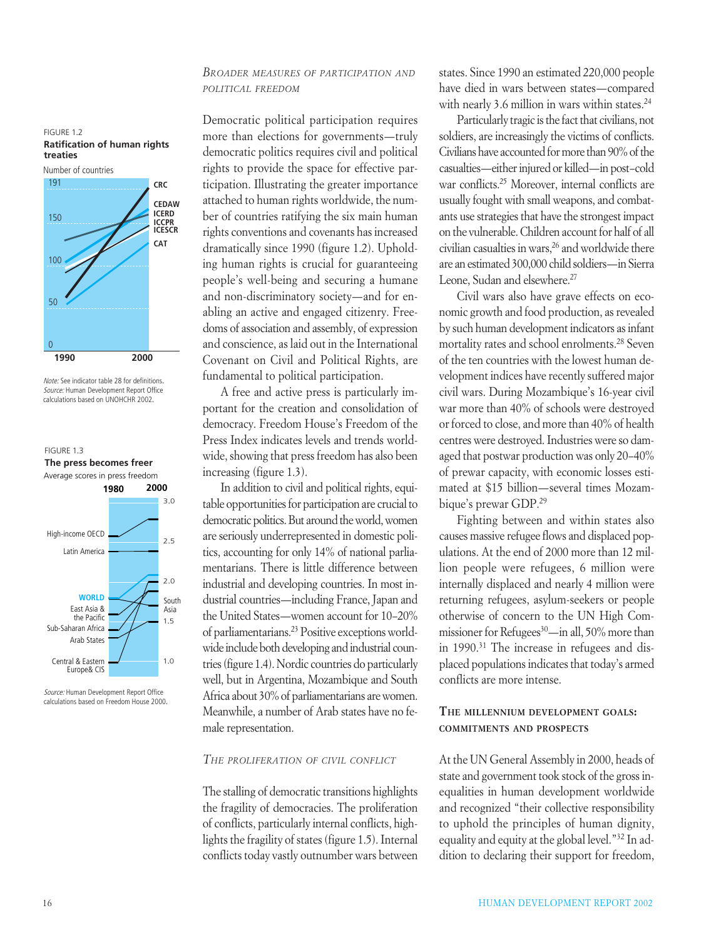### *BROADER MEASURES OF PARTICIPATION AND POLITICAL FREEDOM*

Democratic political participation requires more than elections for governments—truly democratic politics requires civil and political rights to provide the space for effective participation. Illustrating the greater importance attached to human rights worldwide, the number of countries ratifying the six main human rights conventions and covenants has increased dramatically since 1990 (figure 1.2). Upholding human rights is crucial for guaranteeing people's well-being and securing a humane and non-discriminatory society—and for enabling an active and engaged citizenry. Freedoms of association and assembly, of expression and conscience, as laid out in the International Covenant on Civil and Political Rights, are fundamental to political participation.

A free and active press is particularly important for the creation and consolidation of democracy. Freedom House's Freedom of the Press Index indicates levels and trends worldwide, showing that press freedom has also been increasing (figure 1.3).

In addition to civil and political rights, equitable opportunities for participation are crucial to democratic politics. But around the world, women are seriously underrepresented in domestic politics, accounting for only 14% of national parliamentarians. There is little difference between industrial and developing countries. In most industrial countries—including France, Japan and the United States—women account for 10–20% of parliamentarians.23 Positive exceptions worldwide include both developing and industrial countries (figure 1.4). Nordic countries do particularly well, but in Argentina, Mozambique and South Africa about 30% of parliamentarians are women. Meanwhile, a number of Arab states have no female representation.

### *THE PROLIFERATION OF CIVIL CONFLICT*

The stalling of democratic transitions highlights the fragility of democracies. The proliferation of conflicts, particularly internal conflicts, highlights the fragility of states (figure 1.5). Internal conflicts today vastly outnumber wars between states. Since 1990 an estimated 220,000 people have died in wars between states—compared with nearly 3.6 million in wars within states.<sup>24</sup>

Particularly tragic is the fact that civilians, not soldiers, are increasingly the victims of conflicts. Civilians have accounted for more than 90% of the casualties—either injured or killed—in post–cold war conflicts.25 Moreover, internal conflicts are usually fought with small weapons, and combatants use strategies that have the strongest impact on the vulnerable. Children account for half of all civilian casualties in wars,<sup>26</sup> and worldwide there are an estimated 300,000 child soldiers—in Sierra Leone, Sudan and elsewhere.<sup>27</sup>

Civil wars also have grave effects on economic growth and food production, as revealed by such human development indicators as infant mortality rates and school enrolments.28 Seven of the ten countries with the lowest human development indices have recently suffered major civil wars. During Mozambique's 16-year civil war more than 40% of schools were destroyed or forced to close, and more than 40% of health centres were destroyed. Industries were so damaged that postwar production was only 20–40% of prewar capacity, with economic losses estimated at \$15 billion—several times Mozambique's prewar GDP.29

Fighting between and within states also causes massive refugee flows and displaced populations. At the end of 2000 more than 12 million people were refugees, 6 million were internally displaced and nearly 4 million were returning refugees, asylum-seekers or people otherwise of concern to the UN High Commissioner for Refugees<sup>30</sup>—in all, 50% more than in 1990.<sup>31</sup> The increase in refugees and displaced populations indicates that today's armed conflicts are more intense.

### **THE MILLENNIUM DEVELOPMENT GOALS: COMMITMENTS AND PROSPECTS**

At the UN General Assembly in 2000, heads of state and government took stock of the gross inequalities in human development worldwide and recognized "their collective responsibility to uphold the principles of human dignity, equality and equity at the global level."32 In addition to declaring their support for freedom,

### FIGURE 1.2 **Ratification of human rights treaties**



*Note:* See indicator table 28 for definitions. *Source:* Human Development Report Office calculations based on UNOHCHR 2002.



*Source:* Human Development Report Office calculations based on Freedom House 2000.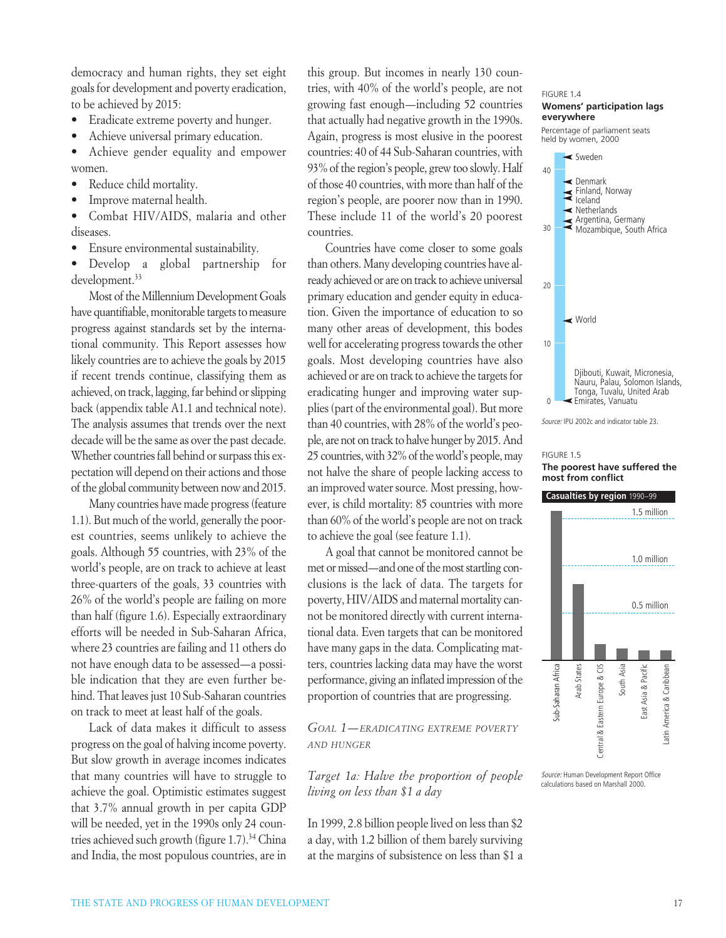democracy and human rights, they set eight goals for development and poverty eradication, to be achieved by 2015:

- Eradicate extreme poverty and hunger.
- Achieve universal primary education.

• Achieve gender equality and empower women.

- Reduce child mortality.
- Improve maternal health.

• Combat HIV/AIDS, malaria and other diseases.

• Ensure environmental sustainability.

• Develop a global partnership for development.<sup>33</sup>

Most of the Millennium Development Goals have quantifiable, monitorable targets to measure progress against standards set by the international community. This Report assesses how likely countries are to achieve the goals by 2015 if recent trends continue, classifying them as achieved, on track, lagging, far behind or slipping back (appendix table A1.1 and technical note). The analysis assumes that trends over the next decade will be the same as over the past decade. Whether countries fall behind or surpass this expectation will depend on their actions and those of the global community between now and 2015.

Many countries have made progress (feature 1.1). But much of the world, generally the poorest countries, seems unlikely to achieve the goals. Although 55 countries, with 23% of the world's people, are on track to achieve at least three-quarters of the goals, 33 countries with 26% of the world's people are failing on more than half (figure 1.6). Especially extraordinary efforts will be needed in Sub-Saharan Africa, where 23 countries are failing and 11 others do not have enough data to be assessed—a possible indication that they are even further behind. That leaves just 10 Sub-Saharan countries on track to meet at least half of the goals.

Lack of data makes it difficult to assess progress on the goal of halving income poverty. But slow growth in average incomes indicates that many countries will have to struggle to achieve the goal. Optimistic estimates suggest that 3.7% annual growth in per capita GDP will be needed, yet in the 1990s only 24 countries achieved such growth (figure 1.7).34 China and India, the most populous countries, are in this group. But incomes in nearly 130 countries, with 40% of the world's people, are not growing fast enough—including 52 countries that actually had negative growth in the 1990s. Again, progress is most elusive in the poorest countries: 40 of 44 Sub-Saharan countries, with 93% of the region's people, grew too slowly. Half of those 40 countries, with more than half of the region's people, are poorer now than in 1990. These include 11 of the world's 20 poorest countries.

Countries have come closer to some goals than others. Many developing countries have already achieved or are on track to achieve universal primary education and gender equity in education. Given the importance of education to so many other areas of development, this bodes well for accelerating progress towards the other goals. Most developing countries have also achieved or are on track to achieve the targets for eradicating hunger and improving water supplies (part of the environmental goal). But more than 40 countries, with 28% of the world's people, are not on track to halve hunger by 2015. And 25 countries, with 32% of the world's people, may not halve the share of people lacking access to an improved water source. Most pressing, however, is child mortality: 85 countries with more than 60% of the world's people are not on track to achieve the goal (see feature 1.1).

A goal that cannot be monitored cannot be met or missed—and one of the most startling conclusions is the lack of data. The targets for poverty, HIV/AIDS and maternal mortality cannot be monitored directly with current international data. Even targets that can be monitored have many gaps in the data. Complicating matters, countries lacking data may have the worst performance, giving an inflated impression of the proportion of countries that are progressing.

### *GOAL 1—ERADICATING EXTREME POVERTY AND HUNGER*

### *Target 1a: Halve the proportion of people living on less than \$1 a day*

In 1999, 2.8 billion people lived on less than \$2 a day, with 1.2 billion of them barely surviving at the margins of subsistence on less than \$1 a



*Source:* IPU 2002c and indicator table 23.

#### FIGURE 1.5 **The poorest have suffered the most from conflict**



*Source:* Human Development Report Office calculations based on Marshall 2000.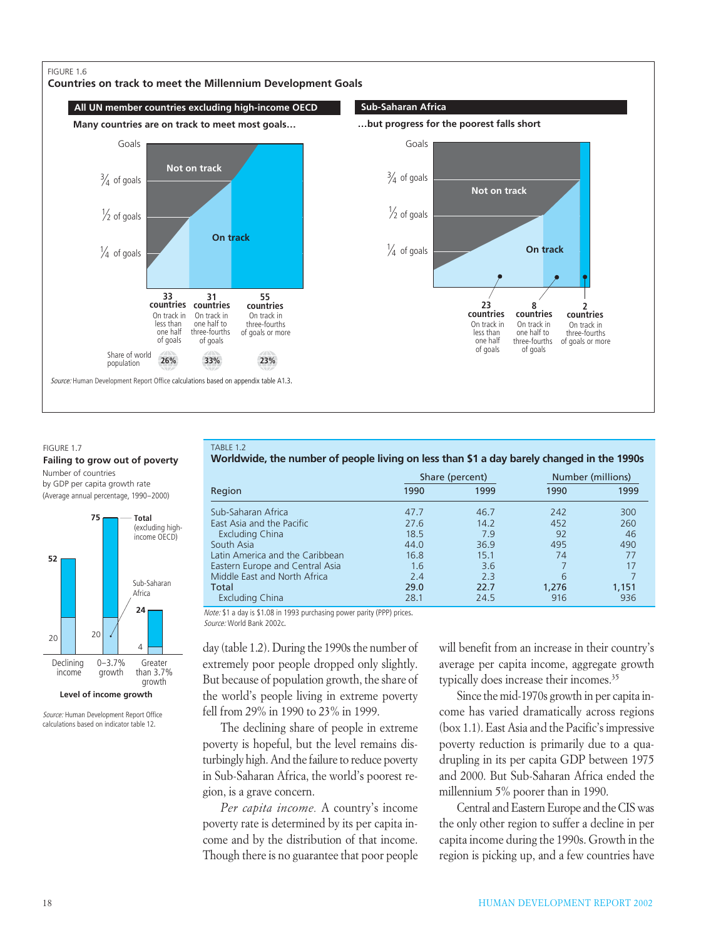### FIGURE 1.6

**Countries on track to meet the Millennium Development Goals**





#### FIGURE 1.7

### **Failing to grow out of poverty**

Number of countries by GDP per capita growth rate (Average annual percentage, 1990–2000)



*Source:* Human Development Report Office calculations based on indicator table 12.

TABLE 1.2

**Worldwide, the number of people living on less than \$1 a day barely changed in the 1990s**

|                                 |      | Share (percent) | Number (millions) |       |  |
|---------------------------------|------|-----------------|-------------------|-------|--|
| Region                          | 1990 | 1999            | 1990              | 1999  |  |
| Sub-Saharan Africa              | 47.7 | 46.7            | 242               | 300   |  |
| East Asia and the Pacific       | 27.6 | 14.2            | 452               | 260   |  |
| <b>Excluding China</b>          | 18.5 | 7.9             | 92                | 46    |  |
| South Asia                      | 44.0 | 36.9            | 495               | 490   |  |
| Latin America and the Caribbean | 16.8 | 15.1            | 74                | 77    |  |
| Eastern Europe and Central Asia | 1.6  | 3.6             |                   | 17    |  |
| Middle East and North Africa    | 2.4  | 2.3             | 6                 |       |  |
| Total                           | 29.0 | 22.7            | 1,276             | 1,151 |  |
| <b>Excluding China</b>          | 28.1 | 24.5            | 916               | 936   |  |

*Note:* \$1 a day is \$1.08 in 1993 purchasing power parity (PPP) prices. *Source:* World Bank 2002c.

day (table 1.2). During the 1990s the number of extremely poor people dropped only slightly. But because of population growth, the share of the world's people living in extreme poverty fell from 29% in 1990 to 23% in 1999.

The declining share of people in extreme poverty is hopeful, but the level remains disturbingly high. And the failure to reduce poverty in Sub-Saharan Africa, the world's poorest region, is a grave concern.

*Per capita income.* A country's income poverty rate is determined by its per capita income and by the distribution of that income. Though there is no guarantee that poor people will benefit from an increase in their country's average per capita income, aggregate growth typically does increase their incomes.<sup>35</sup>

Since the mid-1970s growth in per capita income has varied dramatically across regions (box 1.1). East Asia and the Pacific's impressive poverty reduction is primarily due to a quadrupling in its per capita GDP between 1975 and 2000. But Sub-Saharan Africa ended the millennium 5% poorer than in 1990.

Central and Eastern Europe and the CIS was the only other region to suffer a decline in per capita income during the 1990s. Growth in the region is picking up, and a few countries have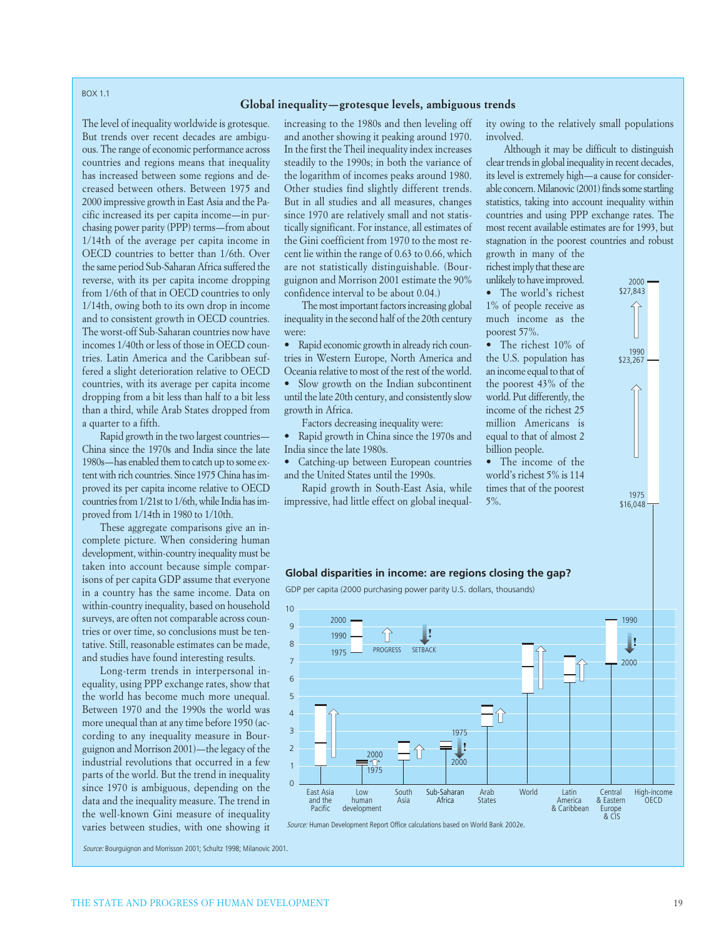#### BOX 1.1

#### **Global inequality—grotesque levels, ambiguous trends**

The level of inequality worldwide is grotesque. But trends over recent decades are ambiguous. The range of economic performance across countries and regions means that inequality has increased between some regions and decreased between others. Between 1975 and 2000 impressive growth in East Asia and the Pacific increased its per capita income—in purchasing power parity (PPP) terms—from about 1/14th of the average per capita income in OECD countries to better than 1/6th. Over the same period Sub-Saharan Africa suffered the reverse, with its per capita income dropping from 1/6th of that in OECD countries to only 1/14th, owing both to its own drop in income and to consistent growth in OECD countries. The worst-off Sub-Saharan countries now have incomes 1/40th or less of those in OECD countries. Latin America and the Caribbean suffered a slight deterioration relative to OECD countries, with its average per capita income dropping from a bit less than half to a bit less than a third, while Arab States dropped from a quarter to a fifth.

Rapid growth in the two largest countries— China since the 1970s and India since the late 1980s—has enabled them to catch up to some extent with rich countries. Since 1975 China has improved its per capita income relative to OECD countries from 1/21st to 1/6th, while India has improved from 1/14th in 1980 to 1/10th.

These aggregate comparisons give an incomplete picture. When considering human development, within-country inequality must be taken into account because simple comparisons of per capita GDP assume that everyone in a country has the same income. Data on within-country inequality, based on household surveys, are often not comparable across countries or over time, so conclusions must be tentative. Still, reasonable estimates can be made, and studies have found interesting results.

Long-term trends in interpersonal inequality, using PPP exchange rates, show that the world has become much more unequal. Between 1970 and the 1990s the world was more unequal than at any time before 1950 (according to any inequality measure in Bourguignon and Morrison 2001)—the legacy of the industrial revolutions that occurred in a few parts of the world. But the trend in inequality since 1970 is ambiguous, depending on the data and the inequality measure. The trend in the well-known Gini measure of inequality varies between studies, with one showing it increasing to the 1980s and then leveling off and another showing it peaking around 1970. In the first the Theil inequality index increases steadily to the 1990s; in both the variance of the logarithm of incomes peaks around 1980. Other studies find slightly different trends. But in all studies and all measures, changes since 1970 are relatively small and not statistically significant. For instance, all estimates of the Gini coefficient from 1970 to the most recent lie within the range of 0.63 to 0.66, which are not statistically distinguishable. (Bourguignon and Morrison 2001 estimate the 90% confidence interval to be about 0.04.)

The most important factors increasing global inequality in the second half of the 20th century were:

Rapid economic growth in already rich countries in Western Europe, North America and Oceania relative to most of the rest of the world.

• Slow growth on the Indian subcontinent

until the late 20th century, and consistently slow growth in Africa.

Factors decreasing inequality were:

• Rapid growth in China since the 1970s and India since the late 1980s.

• Catching-up between European countries and the United States until the 1990s.

Rapid growth in South-East Asia, while impressive, had little effect on global inequality owing to the relatively small populations involved.

Although it may be difficult to distinguish clear trends in global inequality in recent decades, its level is extremely high—a cause for considerable concern. Milanovic (2001) finds some startling statistics, taking into account inequality within countries and using PPP exchange rates. The most recent available estimates are for 1993, but stagnation in the poorest countries and robust growth in many of the

richest imply that these are unlikely to have improved.

• The world's richest 1% of people receive as much income as the poorest 57%.

• The richest 10% of the U.S. population has an income equal to that of the poorest 43% of the world. Put differently, the income of the richest 25 million Americans is equal to that of almost 2 billion people.

• The income of the world's richest 5% is 114 times that of the poorest 5%.



### **Global disparities in income: are regions closing the gap?**

GDP per capita (2000 purchasing power parity U.S. dollars, thousands)



*Source:* Bourguignon and Morrisson 2001; Schultz 1998; Milanovic 2001.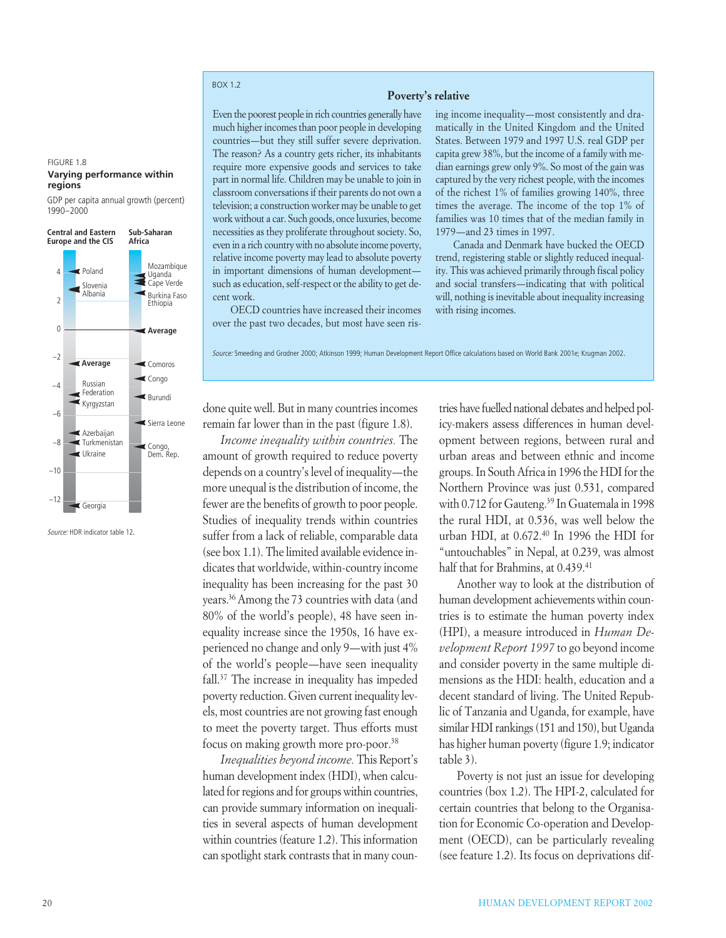### BOX 1.2

#### **Poverty's relative**

Even the poorest people in rich countries generally have much higher incomes than poor people in developing countries—but they still suffer severe deprivation. The reason? As a country gets richer, its inhabitants require more expensive goods and services to take part in normal life. Children may be unable to join in classroom conversations if their parents do not own a television; a construction worker may be unable to get work without a car. Such goods, once luxuries, become necessities as they proliferate throughout society. So, even in a rich country with no absolute income poverty, relative income poverty may lead to absolute poverty in important dimensions of human development such as education, self-respect or the ability to get decent work.

OECD countries have increased their incomes over the past two decades, but most have seen rising income inequality—most consistently and dramatically in the United Kingdom and the United States. Between 1979 and 1997 U.S. real GDP per capita grew 38%, but the income of a family with median earnings grew only 9%. So most of the gain was captured by the very richest people, with the incomes of the richest 1% of families growing 140%, three times the average. The income of the top 1% of families was 10 times that of the median family in 1979—and 23 times in 1997.

Canada and Denmark have bucked the OECD trend, registering stable or slightly reduced inequality. This was achieved primarily through fiscal policy and social transfers—indicating that with political will, nothing is inevitable about inequality increasing with rising incomes.

*Source:* Smeeding and Grodner 2000; Atkinson 1999; Human Development Report Office calculations based on World Bank 2001e; Krugman 2002.

### FIGURE 1.8

#### **Varying performance within regions**

GDP per capita annual growth (percent) 1990–2000



*Source:* HDR indicator table 12.

done quite well. But in many countries incomes remain far lower than in the past (figure 1.8).

*Income inequality within countries.* The amount of growth required to reduce poverty depends on a country's level of inequality—the more unequal is the distribution of income, the fewer are the benefits of growth to poor people. Studies of inequality trends within countries suffer from a lack of reliable, comparable data (see box 1.1). The limited available evidence indicates that worldwide, within-country income inequality has been increasing for the past 30 years.36Among the 73 countries with data (and 80% of the world's people), 48 have seen inequality increase since the 1950s, 16 have experienced no change and only 9—with just 4% of the world's people—have seen inequality fall.37 The increase in inequality has impeded poverty reduction. Given current inequality levels, most countries are not growing fast enough to meet the poverty target. Thus efforts must focus on making growth more pro-poor.<sup>38</sup>

*Inequalities beyond income.* This Report's human development index (HDI), when calculated for regions and for groups within countries, can provide summary information on inequalities in several aspects of human development within countries (feature 1.2). This information can spotlight stark contrasts that in many coun-

tries have fuelled national debates and helped policy-makers assess differences in human development between regions, between rural and urban areas and between ethnic and income groups. In South Africa in 1996 the HDI for the Northern Province was just 0.531, compared with 0.712 for Gauteng.<sup>39</sup> In Guatemala in 1998 the rural HDI, at 0.536, was well below the urban HDI, at 0.672.40 In 1996 the HDI for "untouchables" in Nepal, at 0.239, was almost half that for Brahmins, at 0.439.<sup>41</sup>

Another way to look at the distribution of human development achievements within countries is to estimate the human poverty index (HPI), a measure introduced in *Human Development Report 1997* to go beyond income and consider poverty in the same multiple dimensions as the HDI: health, education and a decent standard of living. The United Republic of Tanzania and Uganda, for example, have similar HDI rankings (151 and 150), but Uganda has higher human poverty (figure 1.9; indicator table 3).

Poverty is not just an issue for developing countries (box 1.2). The HPI-2, calculated for certain countries that belong to the Organisation for Economic Co-operation and Development (OECD), can be particularly revealing (see feature 1.2). Its focus on deprivations dif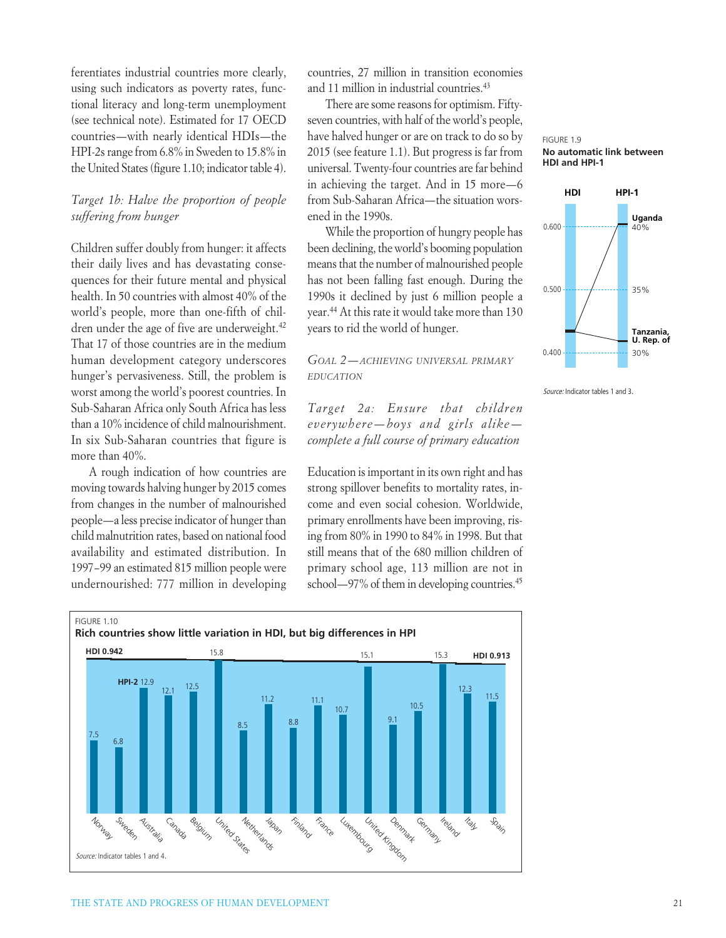ferentiates industrial countries more clearly, using such indicators as poverty rates, functional literacy and long-term unemployment (see technical note). Estimated for 17 OECD countries—with nearly identical HDIs—the HPI-2s range from 6.8% in Sweden to 15.8% in the United States (figure 1.10; indicator table 4).

### *Target 1b: Halve the proportion of people suffering from hunger*

Children suffer doubly from hunger: it affects their daily lives and has devastating consequences for their future mental and physical health. In 50 countries with almost 40% of the world's people, more than one-fifth of children under the age of five are underweight.<sup>42</sup> That 17 of those countries are in the medium human development category underscores hunger's pervasiveness. Still, the problem is worst among the world's poorest countries. In Sub-Saharan Africa only South Africa has less than a 10% incidence of child malnourishment. In six Sub-Saharan countries that figure is more than 40%.

A rough indication of how countries are moving towards halving hunger by 2015 comes from changes in the number of malnourished people—a less precise indicator of hunger than child malnutrition rates, based on national food availability and estimated distribution. In 1997–99 an estimated 815 million people were undernourished: 777 million in developing countries, 27 million in transition economies and 11 million in industrial countries.<sup>43</sup>

There are some reasons for optimism. Fiftyseven countries, with half of the world's people, have halved hunger or are on track to do so by 2015 (see feature 1.1). But progress is far from universal. Twenty-four countries are far behind in achieving the target. And in 15 more—6 from Sub-Saharan Africa—the situation worsened in the 1990s.

While the proportion of hungry people has been declining, the world's booming population means that the number of malnourished people has not been falling fast enough. During the 1990s it declined by just 6 million people a year.44 At this rate it would take more than 130 years to rid the world of hunger.

*GOAL 2—ACHIEVING UNIVERSAL PRIMARY EDUCATION*

*Target 2a: Ensure that children everywhere—boys and girls alike complete a full course of primary education* 

Education is important in its own right and has strong spillover benefits to mortality rates, income and even social cohesion. Worldwide, primary enrollments have been improving, rising from 80% in 1990 to 84% in 1998. But that still means that of the 680 million children of primary school age, 113 million are not in school—97% of them in developing countries.<sup>45</sup>





*Source:* Indicator tables 1 and 3.



THE STATE AND PROGRESS OF HUMAN DEVELOPMENT 21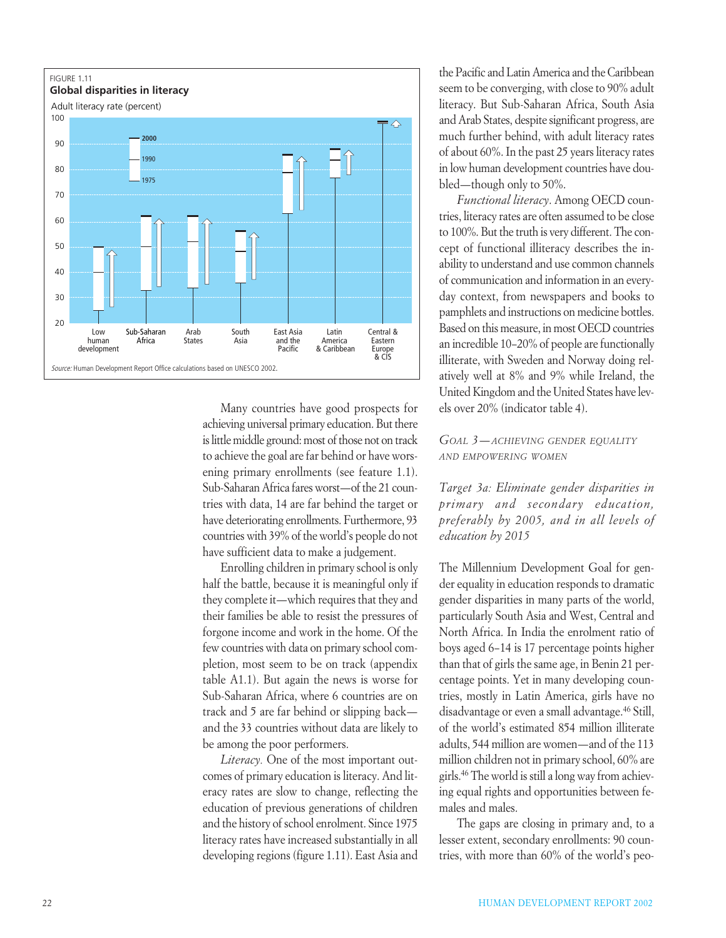

Many countries have good prospects for achieving universal primary education. But there is little middle ground: most of those not on track to achieve the goal are far behind or have worsening primary enrollments (see feature 1.1). Sub-Saharan Africa fares worst—of the 21 countries with data, 14 are far behind the target or have deteriorating enrollments. Furthermore, 93 countries with 39% of the world's people do not have sufficient data to make a judgement.

Enrolling children in primary school is only half the battle, because it is meaningful only if they complete it—which requires that they and their families be able to resist the pressures of forgone income and work in the home. Of the few countries with data on primary school completion, most seem to be on track (appendix table A1.1). But again the news is worse for Sub-Saharan Africa, where 6 countries are on track and 5 are far behind or slipping back and the 33 countries without data are likely to be among the poor performers.

*Literacy.* One of the most important outcomes of primary education is literacy. And literacy rates are slow to change, reflecting the education of previous generations of children and the history of school enrolment. Since 1975 literacy rates have increased substantially in all developing regions (figure 1.11). East Asia and

the Pacific and Latin America and the Caribbean seem to be converging, with close to 90% adult literacy. But Sub-Saharan Africa, South Asia and Arab States, despite significant progress, are much further behind, with adult literacy rates of about 60%. In the past 25 years literacy rates in low human development countries have doubled—though only to 50%.

*Functional literacy*. Among OECD countries, literacy rates are often assumed to be close to 100%. But the truth is very different. The concept of functional illiteracy describes the inability to understand and use common channels of communication and information in an everyday context, from newspapers and books to pamphlets and instructions on medicine bottles. Based on this measure, in most OECD countries an incredible 10–20% of people are functionally illiterate, with Sweden and Norway doing relatively well at 8% and 9% while Ireland, the United Kingdom and the United States have levels over 20% (indicator table 4).

### *GOAL 3—ACHIEVING GENDER EQUALITY AND EMPOWERING WOMEN*

*Target 3a: Eliminate gender disparities in primary and secondary education, preferably by 2005, and in all levels of education by 2015*

The Millennium Development Goal for gender equality in education responds to dramatic gender disparities in many parts of the world, particularly South Asia and West, Central and North Africa. In India the enrolment ratio of boys aged 6–14 is 17 percentage points higher than that of girls the same age, in Benin 21 percentage points. Yet in many developing countries, mostly in Latin America, girls have no disadvantage or even a small advantage.46 Still, of the world's estimated 854 million illiterate adults, 544 million are women—and of the 113 million children not in primary school, 60% are girls.46 The world is still a long way from achieving equal rights and opportunities between females and males.

The gaps are closing in primary and, to a lesser extent, secondary enrollments: 90 countries, with more than 60% of the world's peo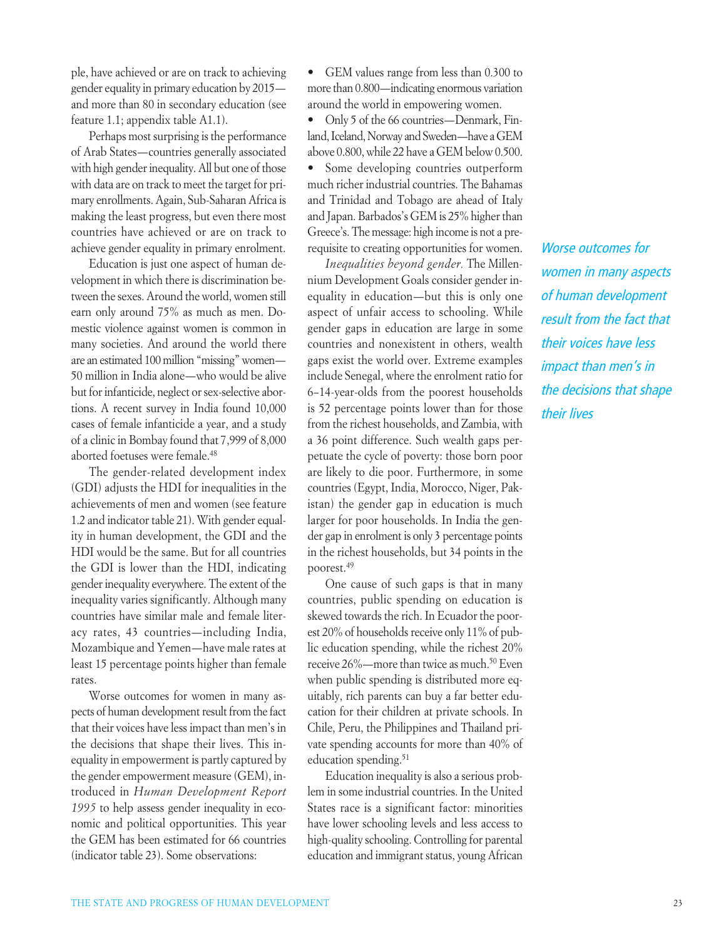ple, have achieved or are on track to achieving gender equality in primary education by 2015 and more than 80 in secondary education (see feature 1.1; appendix table A1.1).

Perhaps most surprising is the performance of Arab States—countries generally associated with high gender inequality. All but one of those with data are on track to meet the target for primary enrollments. Again, Sub-Saharan Africa is making the least progress, but even there most countries have achieved or are on track to achieve gender equality in primary enrolment.

Education is just one aspect of human development in which there is discrimination between the sexes. Around the world, women still earn only around 75% as much as men. Domestic violence against women is common in many societies. And around the world there are an estimated 100 million "missing" women— 50 million in India alone—who would be alive but for infanticide, neglect or sex-selective abortions. A recent survey in India found 10,000 cases of female infanticide a year, and a study of a clinic in Bombay found that 7,999 of 8,000 aborted foetuses were female.48

The gender-related development index (GDI) adjusts the HDI for inequalities in the achievements of men and women (see feature 1.2 and indicator table 21). With gender equality in human development, the GDI and the HDI would be the same. But for all countries the GDI is lower than the HDI, indicating gender inequality everywhere. The extent of the inequality varies significantly. Although many countries have similar male and female literacy rates, 43 countries—including India, Mozambique and Yemen—have male rates at least 15 percentage points higher than female rates.

Worse outcomes for women in many aspects of human development result from the fact that their voices have less impact than men's in the decisions that shape their lives. This inequality in empowerment is partly captured by the gender empowerment measure (GEM), introduced in *Human Development Report 1995* to help assess gender inequality in economic and political opportunities. This year the GEM has been estimated for 66 countries (indicator table 23). Some observations:

• GEM values range from less than 0.300 to more than 0.800—indicating enormous variation around the world in empowering women.

• Only 5 of the 66 countries—Denmark, Finland, Iceland, Norway and Sweden—have a GEM above 0.800, while 22 have a GEM below 0.500.

• Some developing countries outperform much richer industrial countries. The Bahamas and Trinidad and Tobago are ahead of Italy and Japan. Barbados's GEM is 25% higher than Greece's. The message: high income is not a prerequisite to creating opportunities for women.

*Inequalities beyond gender.* The Millennium Development Goals consider gender inequality in education—but this is only one aspect of unfair access to schooling. While gender gaps in education are large in some countries and nonexistent in others, wealth gaps exist the world over. Extreme examples include Senegal, where the enrolment ratio for 6–14-year-olds from the poorest households is 52 percentage points lower than for those from the richest households, and Zambia, with a 36 point difference. Such wealth gaps perpetuate the cycle of poverty: those born poor are likely to die poor. Furthermore, in some countries (Egypt, India, Morocco, Niger, Pakistan) the gender gap in education is much larger for poor households. In India the gender gap in enrolment is only 3 percentage points in the richest households, but 34 points in the poorest.49

One cause of such gaps is that in many countries, public spending on education is skewed towards the rich. In Ecuador the poorest 20% of households receive only 11% of public education spending, while the richest 20% receive 26%—more than twice as much.<sup>50</sup> Even when public spending is distributed more equitably, rich parents can buy a far better education for their children at private schools. In Chile, Peru, the Philippines and Thailand private spending accounts for more than 40% of education spending.<sup>51</sup>

Education inequality is also a serious problem in some industrial countries. In the United States race is a significant factor: minorities have lower schooling levels and less access to high-quality schooling. Controlling for parental education and immigrant status, young African *Worse outcomes for women in many aspects of human development result from the fact that their voices have less impact than men's in the decisions that shape their lives*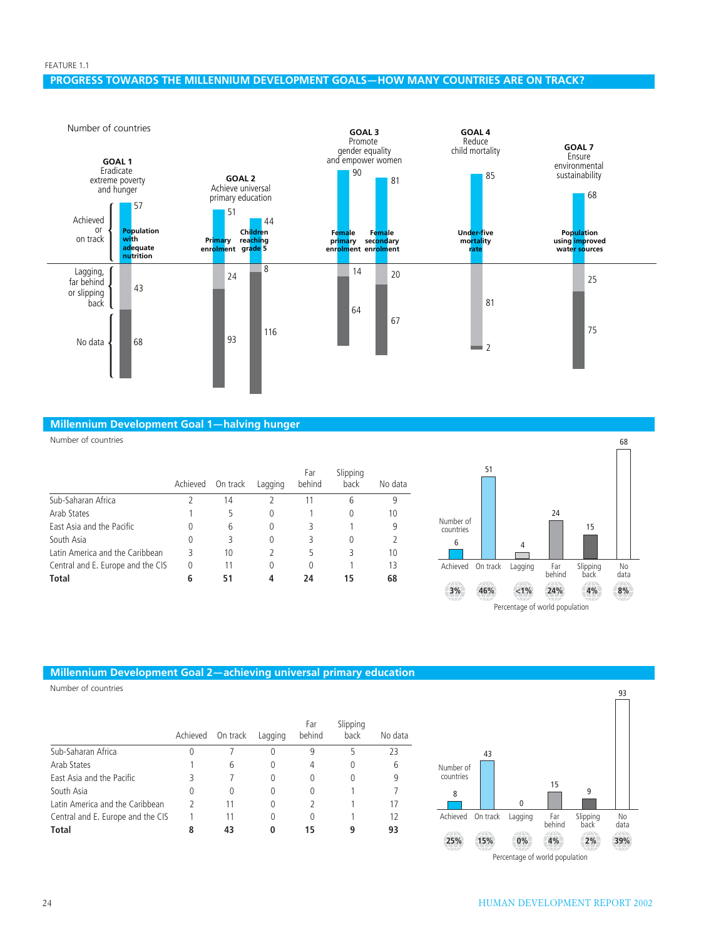### **PROGRESS TOWARDS THE MILLENNIUM DEVELOPMENT GOALS—HOW MANY COUNTRIES ARE ON TRACK?**



### **Millennium Development Goal 1—halving hunger**

Number of countries

|                                   | Achieved | On track | Lagging | Far<br>behind | Slipping<br>back | No data |
|-----------------------------------|----------|----------|---------|---------------|------------------|---------|
| Sub-Saharan Africa                |          | 14       |         | 11            | 6                | 9       |
| Arab States                       |          |          | 0       |               | 0                | 10      |
| East Asia and the Pacific         | O        | 6        | 0       | 3             |                  | 9       |
| South Asia                        | 0        | 3        | 0       | 3             | 0                |         |
| Latin America and the Caribbean   |          | 10       |         | 5             | 3                | 10      |
| Central and E. Europe and the CIS | 0        | 11       |         |               |                  | 13      |
| <b>Total</b>                      |          | 51       |         | 7Δ            | 15               | 68      |



### **Millennium Development Goal 2—achieving universal primary education**

Number of countries

|                                   | Achieved On track |          | Lagging  | Far<br>behind | Slipping<br>back | No data |
|-----------------------------------|-------------------|----------|----------|---------------|------------------|---------|
| Sub-Saharan Africa                | 0                 |          | 0        | 9             | 5                | 23      |
| Arab States                       |                   | 6        | 0        | 4             |                  | 6       |
| East Asia and the Pacific         |                   |          | 0        | 0             |                  | 9       |
| South Asia                        | 0                 | $\Omega$ | 0        | 0             |                  |         |
| Latin America and the Caribbean   |                   | 11       | $\theta$ |               |                  | 17      |
| Central and E. Europe and the CIS |                   | 11       | 0        | 0             |                  | 12      |
| Total                             |                   |          | 0        | 15            |                  | 93      |

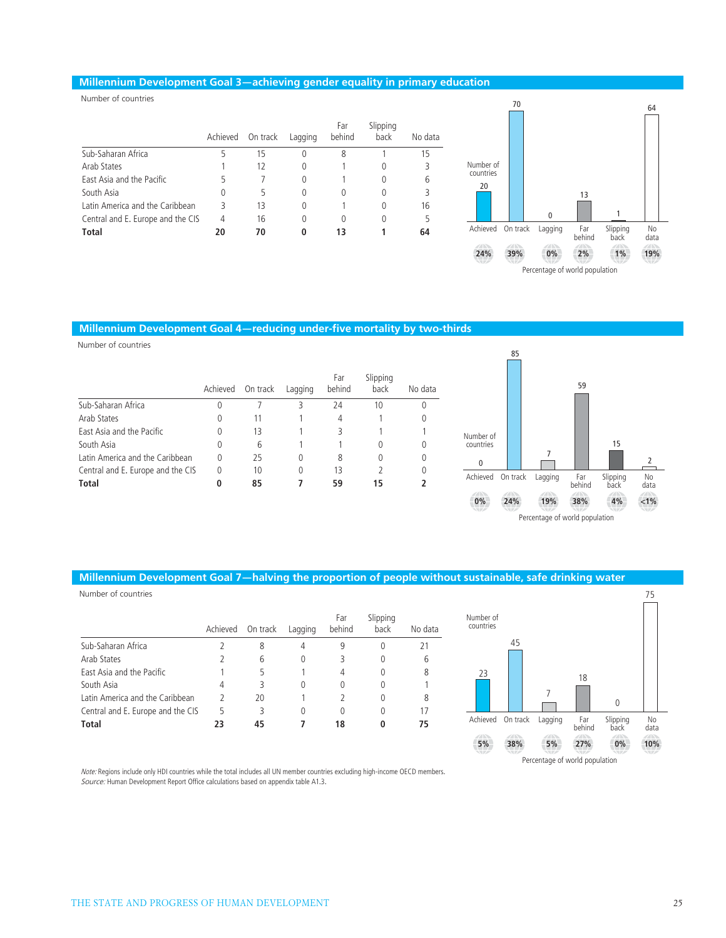### **Millennium Development Goal 3—achieving gender equality in primary education**

Number of countries

|                                   | Achieved | On track | Lagging | Far<br>behind | Slipping<br>back | No data |                                       |                 |         |               |                  |
|-----------------------------------|----------|----------|---------|---------------|------------------|---------|---------------------------------------|-----------------|---------|---------------|------------------|
| Sub-Saharan Africa                |          | 15       | 0       | 8             |                  | 15      |                                       |                 |         |               |                  |
| Arab States                       |          | 12       | 0       |               | $\theta$         |         | Number of                             |                 |         |               |                  |
| East Asia and the Pacific         |          |          |         |               | $^{0}$           | b       | countries<br>20                       |                 |         |               |                  |
| South Asia                        |          |          | 0       | 0             | $^{0}$           |         |                                       |                 |         | 13            |                  |
| Latin America and the Caribbean   |          | 13       | 0       |               | $\theta$         | 16      |                                       |                 |         |               |                  |
| Central and E. Europe and the CIS | 4        | 16       | 0       | 0             | 0                |         |                                       |                 |         |               |                  |
| <b>Total</b>                      | 20       | 70       | 0       | 13            |                  | 64      | Achieved                              | On track        | Lagging | Far<br>behind | Slipping<br>back |
|                                   |          |          |         |               |                  |         | $\mathcal{L} \rightarrow \mathcal{L}$ | <b>STARTING</b> | $\sim$  | <b>SALES</b>  | <b>SALES</b>     |



### **Millennium Development Goal 4—reducing under-five mortality by two-thirds**

Number of countries

|                                   | Achieved | On track | Lagging | Far<br>behind | Slipping<br>back | No data |
|-----------------------------------|----------|----------|---------|---------------|------------------|---------|
| Sub-Saharan Africa                | 0        |          |         | 24            | 10               | 0       |
| Arab States                       | 0        | 11       |         | 4             |                  | 0       |
| East Asia and the Pacific         | 0        | 13       |         |               |                  |         |
| South Asia                        | 0        | 6        |         |               |                  | 0       |
| Latin America and the Caribbean   | 0        | 25       | 0       | 8             |                  | 0       |
| Central and E. Europe and the CIS | 0        | 10       | 0       | 13            |                  | 0       |
| <b>Total</b>                      | 0        | 85       |         | 59            | 15               |         |



### **Millennium Development Goal 7—halving the proportion of people without sustainable, safe drinking water**

| Number of countries               |          |          |          |               |                  |         |                        |          |         |               |                  |
|-----------------------------------|----------|----------|----------|---------------|------------------|---------|------------------------|----------|---------|---------------|------------------|
|                                   | Achieved | On track | Lagging  | Far<br>behind | Slipping<br>back | No data | Number of<br>countries |          |         |               |                  |
| Sub-Saharan Africa                |          | 8        | 4        | 9             |                  |         |                        | 45       |         |               |                  |
| Arab States                       |          | b        | $\theta$ |               |                  | 6       |                        |          |         |               |                  |
| East Asia and the Pacific         |          |          |          | 4             |                  | 8       | 23                     |          |         | 18            |                  |
| South Asia                        | 4        |          | $\theta$ | 0             |                  |         |                        |          |         |               |                  |
| Latin America and the Caribbean   |          | 20       |          |               |                  | 8       |                        |          |         |               |                  |
| Central and E. Europe and the CIS | 5        | 3        | 0        |               |                  | 17      |                        |          |         |               |                  |
| <b>Total</b>                      | 23       | 45       |          | 18            |                  | 75      | Achieved               | On track | Lagging | Far<br>behind | Slipping<br>back |



*Note:* Regions include only HDI countries while the total includes all UN member countries excluding high-income OECD members. *Source:* Human Development Report Office calculations based on appendix table A1.3.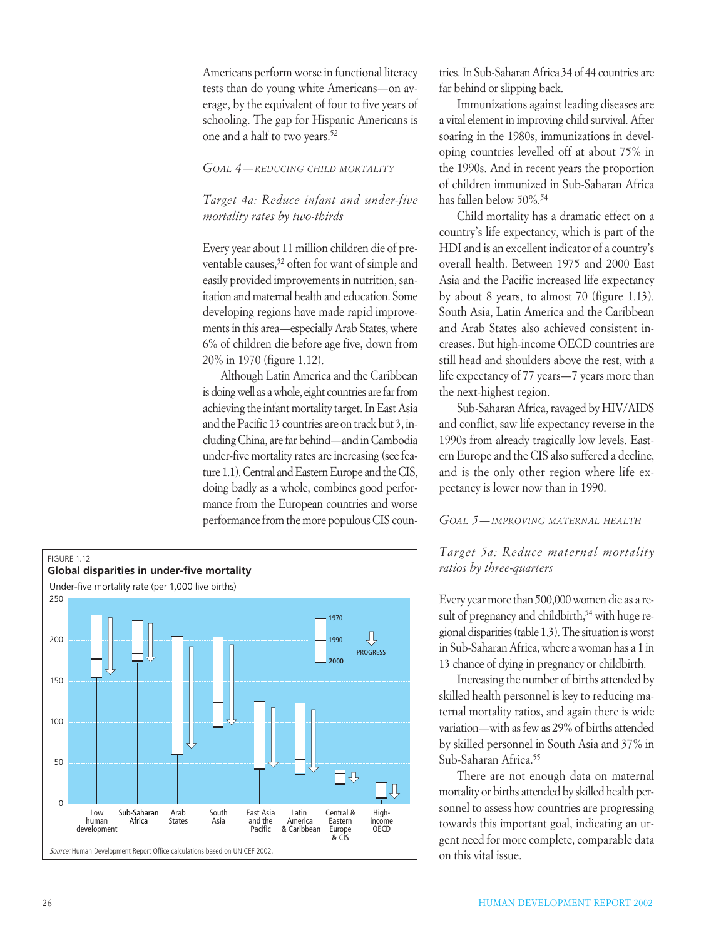Americans perform worse in functional literacy tests than do young white Americans—on average, by the equivalent of four to five years of schooling. The gap for Hispanic Americans is one and a half to two years.52

### *GOAL 4—REDUCING CHILD MORTALITY*

### *Target 4a: Reduce infant and under-five mortality rates by two-thirds*

Every year about 11 million children die of preventable causes,<sup>52</sup> often for want of simple and easily provided improvements in nutrition, sanitation and maternal health and education. Some developing regions have made rapid improvements in this area—especially Arab States, where 6% of children die before age five, down from 20% in 1970 (figure 1.12).

Although Latin America and the Caribbean is doing well as a whole, eight countries are far from achieving the infant mortality target. In East Asia and the Pacific 13 countries are on track but 3, including China, are far behind—and in Cambodia under-five mortality rates are increasing (see feature 1.1). Central and Eastern Europe and the CIS, doing badly as a whole, combines good performance from the European countries and worse performance from the more populous CIS coun-



tries. In Sub-Saharan Africa 34 of 44 countries are far behind or slipping back.

Immunizations against leading diseases are a vital element in improving child survival. After soaring in the 1980s, immunizations in developing countries levelled off at about 75% in the 1990s. And in recent years the proportion of children immunized in Sub-Saharan Africa has fallen below 50%.54

Child mortality has a dramatic effect on a country's life expectancy, which is part of the HDI and is an excellent indicator of a country's overall health. Between 1975 and 2000 East Asia and the Pacific increased life expectancy by about 8 years, to almost 70 (figure 1.13). South Asia, Latin America and the Caribbean and Arab States also achieved consistent increases. But high-income OECD countries are still head and shoulders above the rest, with a life expectancy of 77 years—7 years more than the next-highest region.

Sub-Saharan Africa, ravaged by HIV/AIDS and conflict, saw life expectancy reverse in the 1990s from already tragically low levels. Eastern Europe and the CIS also suffered a decline, and is the only other region where life expectancy is lower now than in 1990.

### *GOAL 5—IMPROVING MATERNAL HEALTH*

### *Target 5a: Reduce maternal mortality ratios by three-quarters*

Every year more than 500,000 women die as a result of pregnancy and childbirth,<sup>54</sup> with huge regional disparities (table 1.3). The situation is worst in Sub-Saharan Africa, where a woman has a 1 in 13 chance of dying in pregnancy or childbirth.

Increasing the number of births attended by skilled health personnel is key to reducing maternal mortality ratios, and again there is wide variation—with as few as 29% of births attended by skilled personnel in South Asia and 37% in Sub-Saharan Africa.55

There are not enough data on maternal mortality or births attended by skilled health personnel to assess how countries are progressing towards this important goal, indicating an urgent need for more complete, comparable data on this vital issue.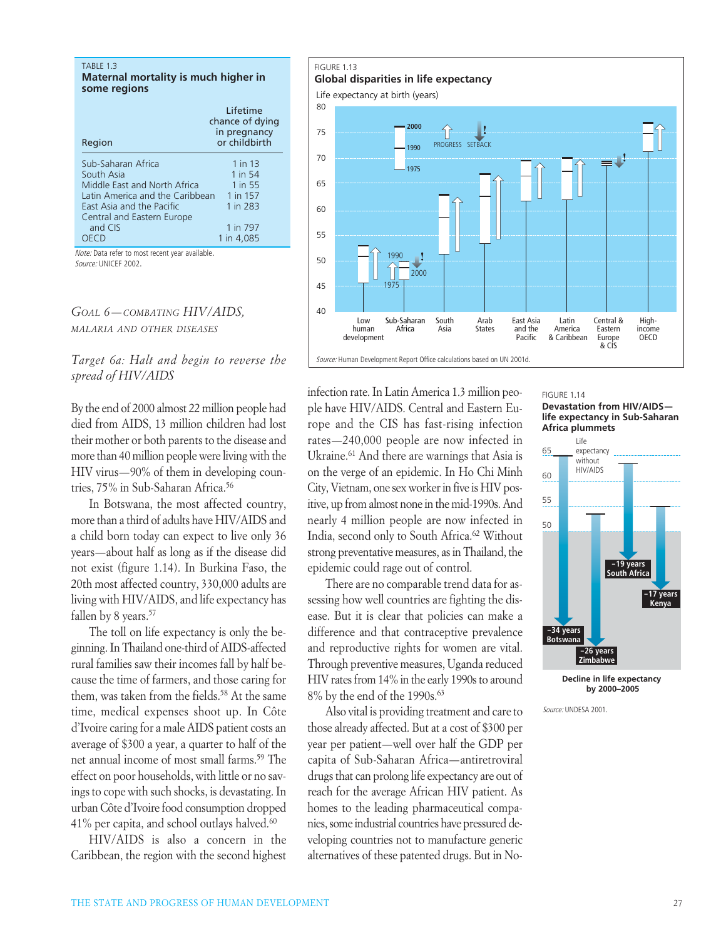#### TABLE 1.3

**Maternal mortality is much higher in some regions**

| Region                                                                                                                                                                                   | Lifetime<br>chance of dying<br>in pregnancy<br>or childbirth                    |
|------------------------------------------------------------------------------------------------------------------------------------------------------------------------------------------|---------------------------------------------------------------------------------|
| Sub-Saharan Africa<br>South Asia<br>Middle East and North Africa<br>Latin America and the Caribbean<br>East Asia and the Pacific<br>Central and Eastern Europe<br>and CIS<br><b>OECD</b> | 1 in 13<br>1 in 54<br>1 in 55<br>1 in 157<br>1 in 283<br>1 in 797<br>1 in 4,085 |
| Note: Data refer to most recent year available.                                                                                                                                          |                                                                                 |

*Source:* UNICEF 2002.

*GOAL 6—COMBATING HIV/AIDS, MALARIA AND OTHER DISEASES*

*Target 6a: Halt and begin to reverse the spread of HIV/AIDS*

By the end of 2000 almost 22 million people had died from AIDS, 13 million children had lost their mother or both parents to the disease and more than 40 million people were living with the HIV virus—90% of them in developing countries, 75% in Sub-Saharan Africa.<sup>56</sup>

In Botswana, the most affected country, more than a third of adults have HIV/AIDS and a child born today can expect to live only 36 years—about half as long as if the disease did not exist (figure 1.14). In Burkina Faso, the 20th most affected country, 330,000 adults are living with HIV/AIDS, and life expectancy has fallen by 8 years.<sup>57</sup>

The toll on life expectancy is only the beginning. In Thailand one-third of AIDS-affected rural families saw their incomes fall by half because the time of farmers, and those caring for them, was taken from the fields.<sup>58</sup> At the same time, medical expenses shoot up. In Côte d'Ivoire caring for a male AIDS patient costs an average of \$300 a year, a quarter to half of the net annual income of most small farms.59 The effect on poor households, with little or no savings to cope with such shocks, is devastating. In urban Côte d'Ivoire food consumption dropped 41% per capita, and school outlays halved.<sup>60</sup>

HIV/AIDS is also a concern in the Caribbean, the region with the second highest

### FIGURE 1.13 **Global disparities in life expectancy**





infection rate. In Latin America 1.3 million people have HIV/AIDS. Central and Eastern Europe and the CIS has fast-rising infection rates—240,000 people are now infected in Ukraine.61 And there are warnings that Asia is on the verge of an epidemic. In Ho Chi Minh City, Vietnam, one sex worker in five is HIV positive, up from almost none in the mid-1990s. And nearly 4 million people are now infected in India, second only to South Africa.62 Without strong preventative measures, as in Thailand, the epidemic could rage out of control.

There are no comparable trend data for assessing how well countries are fighting the disease. But it is clear that policies can make a difference and that contraceptive prevalence and reproductive rights for women are vital. Through preventive measures, Uganda reduced HIV rates from 14% in the early 1990s to around 8% by the end of the 1990s.<sup>63</sup>

Also vital is providing treatment and care to those already affected. But at a cost of \$300 per year per patient—well over half the GDP per capita of Sub-Saharan Africa—antiretroviral drugs that can prolong life expectancy are out of reach for the average African HIV patient. As homes to the leading pharmaceutical companies, some industrial countries have pressured developing countries not to manufacture generic alternatives of these patented drugs. But in NoFIGURE 1.14

**Devastation from HIV/AIDS life expectancy in Sub-Saharan Africa plummets**



**Decline in life expectancy by 2000–2005**

*Source:* UNDESA 2001.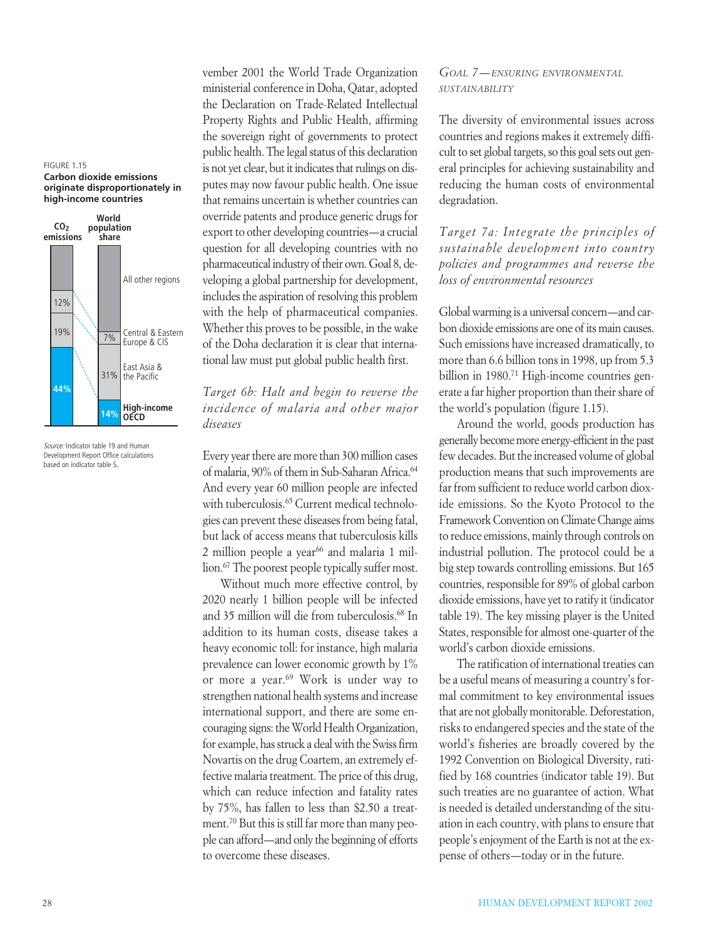#### FIGURE 1.15

**Carbon dioxide emissions originate disproportionately in high-income countries**



*Source:* Indicator table 19 and Human Development Report Office calculations based on indicator table 5.

vember 2001 the World Trade Organization ministerial conference in Doha, Qatar, adopted the Declaration on Trade-Related Intellectual Property Rights and Public Health, affirming the sovereign right of governments to protect public health. The legal status of this declaration is not yet clear, but it indicates that rulings on disputes may now favour public health. One issue that remains uncertain is whether countries can override patents and produce generic drugs for export to other developing countries—a crucial question for all developing countries with no pharmaceutical industry of their own. Goal 8, developing a global partnership for development, includes the aspiration of resolving this problem with the help of pharmaceutical companies. Whether this proves to be possible, in the wake of the Doha declaration it is clear that international law must put global public health first.

### *Target 6b: Halt and begin to reverse the incidence of malaria and other major diseases*

Every year there are more than 300 million cases of malaria, 90% of them in Sub-Saharan Africa.<sup>64</sup> And every year 60 million people are infected with tuberculosis.<sup>65</sup> Current medical technologies can prevent these diseases from being fatal, but lack of access means that tuberculosis kills 2 million people a year $66$  and malaria 1 million.67 The poorest people typically suffer most.

Without much more effective control, by 2020 nearly 1 billion people will be infected and 35 million will die from tuberculosis.68 In addition to its human costs, disease takes a heavy economic toll: for instance, high malaria prevalence can lower economic growth by 1% or more a year.69 Work is under way to strengthen national health systems and increase international support, and there are some encouraging signs: the World Health Organization, for example, has struck a deal with the Swiss firm Novartis on the drug Coartem, an extremely effective malaria treatment. The price of this drug, which can reduce infection and fatality rates by 75%, has fallen to less than \$2.50 a treatment.70 But this is still far more than many people can afford—and only the beginning of efforts to overcome these diseases.

### *GOAL 7—ENSURING ENVIRONMENTAL SUSTAINABILITY*

The diversity of environmental issues across countries and regions makes it extremely difficult to set global targets, so this goal sets out general principles for achieving sustainability and reducing the human costs of environmental degradation.

*Target 7a: Integrate the principles of sustainable development into country policies and programmes and reverse the loss of environmental resources*

Global warming is a universal concern—and carbon dioxide emissions are one of its main causes. Such emissions have increased dramatically, to more than 6.6 billion tons in 1998, up from 5.3 billion in 1980.<sup>71</sup> High-income countries generate a far higher proportion than their share of the world's population (figure 1.15).

Around the world, goods production has generally become more energy-efficient in the past few decades. But the increased volume of global production means that such improvements are far from sufficient to reduce world carbon dioxide emissions. So the Kyoto Protocol to the Framework Convention on Climate Change aims to reduce emissions, mainly through controls on industrial pollution. The protocol could be a big step towards controlling emissions. But 165 countries, responsible for 89% of global carbon dioxide emissions, have yet to ratify it (indicator table 19). The key missing player is the United States, responsible for almost one-quarter of the world's carbon dioxide emissions.

The ratification of international treaties can be a useful means of measuring a country's formal commitment to key environmental issues that are not globally monitorable. Deforestation, risks to endangered species and the state of the world's fisheries are broadly covered by the 1992 Convention on Biological Diversity, ratified by 168 countries (indicator table 19). But such treaties are no guarantee of action. What is needed is detailed understanding of the situation in each country, with plans to ensure that people's enjoyment of the Earth is not at the expense of others—today or in the future.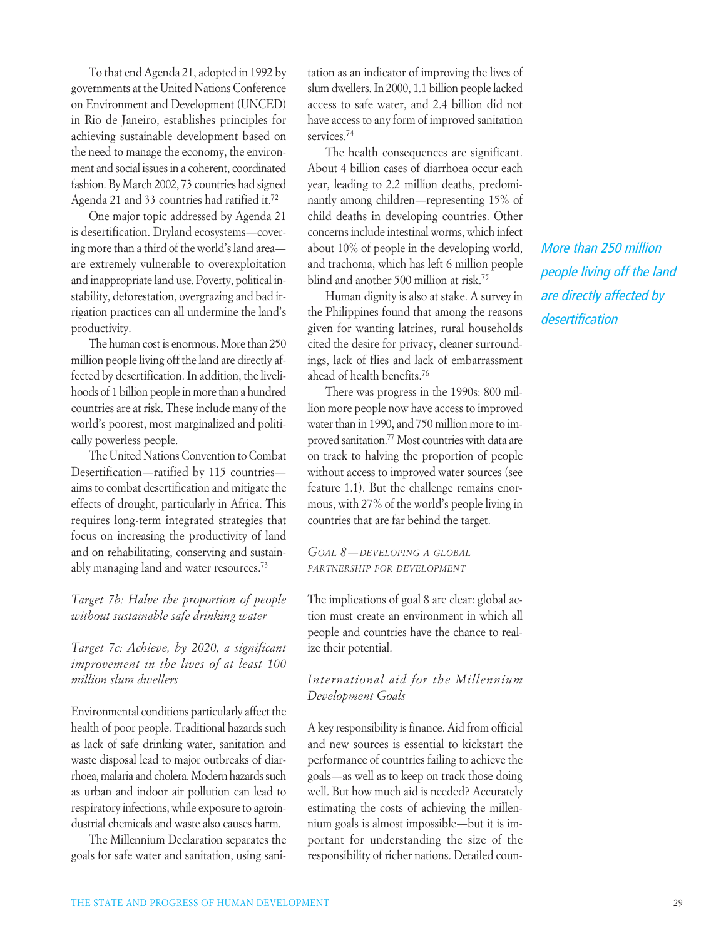To that end Agenda 21, adopted in 1992 by governments at the United Nations Conference on Environment and Development (UNCED) in Rio de Janeiro, establishes principles for achieving sustainable development based on the need to manage the economy, the environment and social issues in a coherent, coordinated fashion. By March 2002, 73 countries had signed Agenda 21 and 33 countries had ratified it.72

One major topic addressed by Agenda 21 is desertification. Dryland ecosystems—covering more than a third of the world's land area are extremely vulnerable to overexploitation and inappropriate land use. Poverty, political instability, deforestation, overgrazing and bad irrigation practices can all undermine the land's productivity.

The human cost is enormous. More than 250 million people living off the land are directly affected by desertification. In addition, the livelihoods of 1 billion people in more than a hundred countries are at risk. These include many of the world's poorest, most marginalized and politically powerless people.

The United Nations Convention to Combat Desertification—ratified by 115 countries aims to combat desertification and mitigate the effects of drought, particularly in Africa. This requires long-term integrated strategies that focus on increasing the productivity of land and on rehabilitating, conserving and sustainably managing land and water resources.73

*Target 7b: Halve the proportion of people without sustainable safe drinking water*

*Target 7c: Achieve, by 2020, a significant improvement in the lives of at least 100 million slum dwellers*

Environmental conditions particularly affect the health of poor people. Traditional hazards such as lack of safe drinking water, sanitation and waste disposal lead to major outbreaks of diarrhoea, malaria and cholera. Modern hazards such as urban and indoor air pollution can lead to respiratory infections, while exposure to agroindustrial chemicals and waste also causes harm.

The Millennium Declaration separates the goals for safe water and sanitation, using sanitation as an indicator of improving the lives of slum dwellers. In 2000, 1.1 billion people lacked access to safe water, and 2.4 billion did not have access to any form of improved sanitation services.<sup>74</sup>

The health consequences are significant. About 4 billion cases of diarrhoea occur each year, leading to 2.2 million deaths, predominantly among children—representing 15% of child deaths in developing countries. Other concerns include intestinal worms, which infect about 10% of people in the developing world, and trachoma, which has left 6 million people blind and another 500 million at risk.75

Human dignity is also at stake. A survey in the Philippines found that among the reasons given for wanting latrines, rural households cited the desire for privacy, cleaner surroundings, lack of flies and lack of embarrassment ahead of health benefits.76

There was progress in the 1990s: 800 million more people now have access to improved water than in 1990, and 750 million more to improved sanitation.77 Most countries with data are on track to halving the proportion of people without access to improved water sources (see feature 1.1). But the challenge remains enormous, with 27% of the world's people living in countries that are far behind the target.

*GOAL 8—DEVELOPING A GLOBAL PARTNERSHIP FOR DEVELOPMENT*

The implications of goal 8 are clear: global action must create an environment in which all people and countries have the chance to realize their potential.

### *International aid for the Millennium Development Goals*

A key responsibility is finance. Aid from official and new sources is essential to kickstart the performance of countries failing to achieve the goals—as well as to keep on track those doing well. But how much aid is needed? Accurately estimating the costs of achieving the millennium goals is almost impossible—but it is important for understanding the size of the responsibility of richer nations. Detailed coun*More than 250 million people living off the land are directly affected by desertification*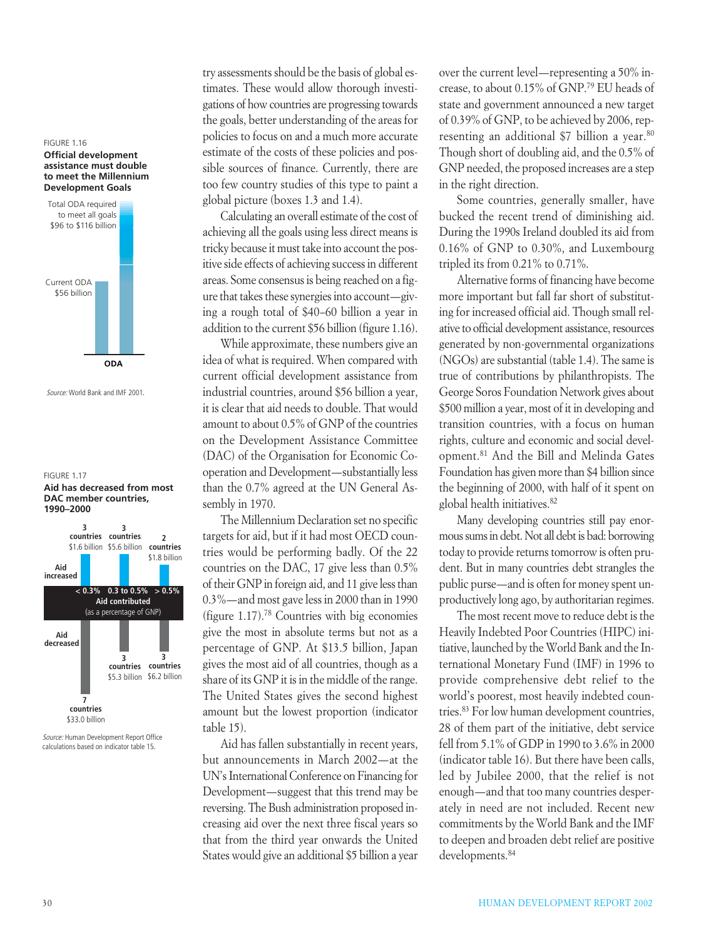



*Source:* World Bank and IMF 2001.

#### FIGURE 1.17 **Aid has decreased from most DAC member countries, 1990–2000**



*Source:* Human Development Report Office calculations based on indicator table 15.

try assessments should be the basis of global estimates. These would allow thorough investigations of how countries are progressing towards the goals, better understanding of the areas for policies to focus on and a much more accurate estimate of the costs of these policies and possible sources of finance. Currently, there are too few country studies of this type to paint a global picture (boxes 1.3 and 1.4).

Calculating an overall estimate of the cost of achieving all the goals using less direct means is tricky because it must take into account the positive side effects of achieving success in different areas. Some consensus is being reached on a figure that takes these synergies into account—giving a rough total of \$40–60 billion a year in addition to the current \$56 billion (figure 1.16).

While approximate, these numbers give an idea of what is required. When compared with current official development assistance from industrial countries, around \$56 billion a year, it is clear that aid needs to double. That would amount to about 0.5% of GNP of the countries on the Development Assistance Committee (DAC) of the Organisation for Economic Cooperation and Development—substantially less than the 0.7% agreed at the UN General Assembly in 1970.

The Millennium Declaration set no specific targets for aid, but if it had most OECD countries would be performing badly. Of the 22 countries on the DAC, 17 give less than 0.5% of their GNP in foreign aid, and 11 give less than 0.3%—and most gave less in 2000 than in 1990 (figure 1.17).78 Countries with big economies give the most in absolute terms but not as a percentage of GNP. At \$13.5 billion, Japan gives the most aid of all countries, though as a share of its GNP it is in the middle of the range. The United States gives the second highest amount but the lowest proportion (indicator table 15).

Aid has fallen substantially in recent years, but announcements in March 2002—at the UN's International Conference on Financing for Development—suggest that this trend may be reversing. The Bush administration proposed increasing aid over the next three fiscal years so that from the third year onwards the United States would give an additional \$5 billion a year over the current level—representing a 50% increase, to about 0.15% of GNP.79 EU heads of state and government announced a new target of 0.39% of GNP, to be achieved by 2006, representing an additional \$7 billion a year.<sup>80</sup> Though short of doubling aid, and the 0.5% of GNP needed, the proposed increases are a step in the right direction.

Some countries, generally smaller, have bucked the recent trend of diminishing aid. During the 1990s Ireland doubled its aid from 0.16% of GNP to 0.30%, and Luxembourg tripled its from 0.21% to 0.71%.

Alternative forms of financing have become more important but fall far short of substituting for increased official aid. Though small relative to official development assistance, resources generated by non-governmental organizations (NGOs) are substantial (table 1.4). The same is true of contributions by philanthropists. The George Soros Foundation Network gives about \$500 million a year, most of it in developing and transition countries, with a focus on human rights, culture and economic and social development.81 And the Bill and Melinda Gates Foundation has given more than \$4 billion since the beginning of 2000, with half of it spent on global health initiatives.82

Many developing countries still pay enormous sums in debt. Not all debt is bad: borrowing today to provide returns tomorrow is often prudent. But in many countries debt strangles the public purse—and is often for money spent unproductively long ago, by authoritarian regimes.

The most recent move to reduce debt is the Heavily Indebted Poor Countries (HIPC) initiative, launched by the World Bank and the International Monetary Fund (IMF) in 1996 to provide comprehensive debt relief to the world's poorest, most heavily indebted countries.83 For low human development countries, 28 of them part of the initiative, debt service fell from 5.1% of GDP in 1990 to 3.6% in 2000 (indicator table 16). But there have been calls, led by Jubilee 2000, that the relief is not enough—and that too many countries desperately in need are not included. Recent new commitments by the World Bank and the IMF to deepen and broaden debt relief are positive developments.<sup>84</sup>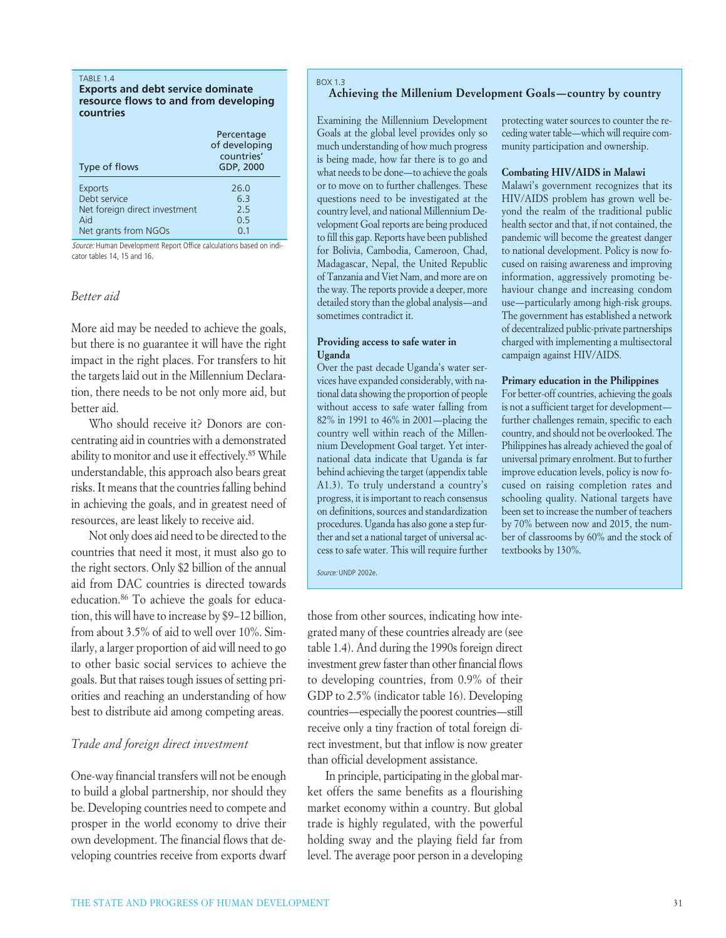#### TABLE 1.4

**Exports and debt service dominate resource flows to and from developing countries**

| Type of flows                 | Percentage<br>of developing<br>countries'<br>GDP, 2000 |
|-------------------------------|--------------------------------------------------------|
| <b>Exports</b>                | 26.0                                                   |
| Debt service                  | 63                                                     |
| Net foreign direct investment | 2.5                                                    |
| Aid                           | 0.5                                                    |
| Net grants from NGOs          | 0.1                                                    |

*Source:* Human Development Report Office calculations based on indicator tables 14, 15 and 16.

### *Better aid*

More aid may be needed to achieve the goals, but there is no guarantee it will have the right impact in the right places. For transfers to hit the targets laid out in the Millennium Declaration, there needs to be not only more aid, but better aid.

Who should receive it? Donors are concentrating aid in countries with a demonstrated ability to monitor and use it effectively.<sup>85</sup> While understandable, this approach also bears great risks. It means that the countries falling behind in achieving the goals, and in greatest need of resources, are least likely to receive aid.

Not only does aid need to be directed to the countries that need it most, it must also go to the right sectors. Only \$2 billion of the annual aid from DAC countries is directed towards education.86 To achieve the goals for education, this will have to increase by \$9–12 billion, from about 3.5% of aid to well over 10%. Similarly, a larger proportion of aid will need to go to other basic social services to achieve the goals. But that raises tough issues of setting priorities and reaching an understanding of how best to distribute aid among competing areas.

### *Trade and foreign direct investment*

One-way financial transfers will not be enough to build a global partnership, nor should they be. Developing countries need to compete and prosper in the world economy to drive their own development. The financial flows that developing countries receive from exports dwarf

#### BOX 1.3 **Achieving the Millenium Development Goals—country by country**

Examining the Millennium Development Goals at the global level provides only so much understanding of how much progress is being made, how far there is to go and what needs to be done—to achieve the goals or to move on to further challenges. These questions need to be investigated at the country level, and national Millennium Development Goal reports are being produced to fill this gap. Reports have been published for Bolivia, Cambodia, Cameroon, Chad, Madagascar, Nepal, the United Republic of Tanzania and Viet Nam, and more are on the way. The reports provide a deeper, more detailed story than the global analysis—and sometimes contradict it.

### **Providing access to safe water in Uganda**

Over the past decade Uganda's water services have expanded considerably, with national data showing the proportion of people without access to safe water falling from 82% in 1991 to 46% in 2001—placing the country well within reach of the Millennium Development Goal target. Yet international data indicate that Uganda is far behind achieving the target (appendix table A1.3). To truly understand a country's progress, it is important to reach consensus on definitions, sources and standardization procedures. Uganda has also gone a step further and set a national target of universal access to safe water. This will require further

*Source:* UNDP 2002e.

those from other sources, indicating how integrated many of these countries already are (see table 1.4). And during the 1990s foreign direct investment grew faster than other financial flows to developing countries, from 0.9% of their GDP to 2.5% (indicator table 16). Developing countries—especially the poorest countries—still receive only a tiny fraction of total foreign direct investment, but that inflow is now greater than official development assistance.

In principle, participating in the global market offers the same benefits as a flourishing market economy within a country. But global trade is highly regulated, with the powerful holding sway and the playing field far from level. The average poor person in a developing

protecting water sources to counter the receding water table—which will require community participation and ownership.

#### **Combating HIV/AIDS in Malawi**

Malawi's government recognizes that its HIV/AIDS problem has grown well beyond the realm of the traditional public health sector and that, if not contained, the pandemic will become the greatest danger to national development. Policy is now focused on raising awareness and improving information, aggressively promoting behaviour change and increasing condom use—particularly among high-risk groups. The government has established a network of decentralized public-private partnerships charged with implementing a multisectoral campaign against HIV/AIDS.

#### **Primary education in the Philippines**

For better-off countries, achieving the goals is not a sufficient target for development further challenges remain, specific to each country, and should not be overlooked. The Philippines has already achieved the goal of universal primary enrolment. But to further improve education levels, policy is now focused on raising completion rates and schooling quality. National targets have been set to increase the number of teachers by 70% between now and 2015, the number of classrooms by 60% and the stock of textbooks by 130%.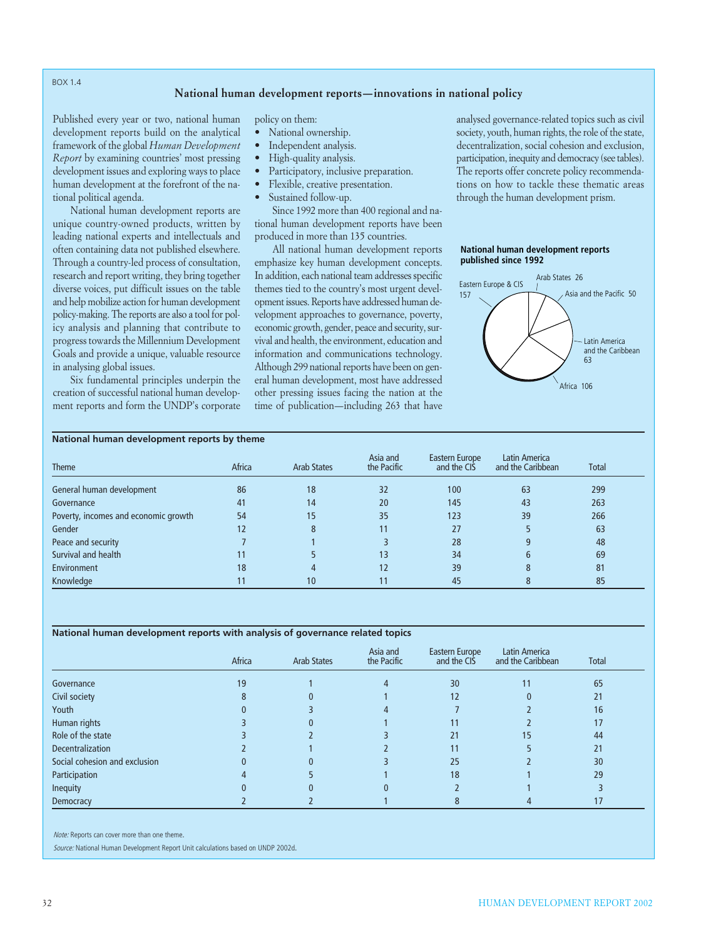#### BOX 1.4

### **National human development reports—innovations in national policy**

Published every year or two, national human development reports build on the analytical framework of the global *Human Development Report* by examining countries' most pressing development issues and exploring ways to place human development at the forefront of the national political agenda.

National human development reports are unique country-owned products, written by leading national experts and intellectuals and often containing data not published elsewhere. Through a country-led process of consultation, research and report writing, they bring together diverse voices, put difficult issues on the table and help mobilize action for human development policy-making. The reports are also a tool for policy analysis and planning that contribute to progress towards the Millennium Development Goals and provide a unique, valuable resource in analysing global issues.

Six fundamental principles underpin the creation of successful national human development reports and form the UNDP's corporate policy on them:

- National ownership.
- Independent analysis.
- High-quality analysis.
- Participatory, inclusive preparation.
- Flexible, creative presentation.
- Sustained follow-up.

Since 1992 more than 400 regional and national human development reports have been produced in more than 135 countries.

All national human development reports emphasize key human development concepts. In addition, each national team addresses specific themes tied to the country's most urgent development issues. Reports have addressed human development approaches to governance, poverty, economic growth, gender, peace and security, survival and health, the environment, education and information and communications technology. Although 299 national reports have been on general human development, most have addressed other pressing issues facing the nation at the time of publication—including 263 that have

analysed governance-related topics such as civil society, youth, human rights, the role of the state, decentralization, social cohesion and exclusion, participation, inequity and democracy (see tables). The reports offer concrete policy recommendations on how to tackle these thematic areas through the human development prism.

#### **National human development reports published since 1992**



### **National human development reports by theme**

| <b>Theme</b>                         | Africa | <b>Arab States</b> | Asia and<br>the Pacific | Eastern Europe<br>and the CIS | Latin America<br>and the Caribbean | Total |
|--------------------------------------|--------|--------------------|-------------------------|-------------------------------|------------------------------------|-------|
| General human development            | 86     | 18                 | 32                      | 100                           | 63                                 | 299   |
| Governance                           | 41     | 14                 | 20                      | 145                           | 43                                 | 263   |
| Poverty, incomes and economic growth | 54     | 15                 | 35                      | 123                           | 39                                 | 266   |
| Gender                               | 12     | 8                  |                         | 27                            |                                    | 63    |
| Peace and security                   |        |                    |                         | 28                            |                                    | 48    |
| Survival and health                  | 11     |                    | 13                      | 34                            | 6                                  | 69    |
| Environment                          | 18     |                    | 12                      | 39                            | 8                                  | 81    |
| Knowledge                            |        | 10                 |                         | 45                            |                                    | 85    |

#### **National human development reports with analysis of governance related topics**

|                               | Africa | <b>Arab States</b> | Asia and<br>the Pacific | Eastern Europe<br>and the CIS | Latin America<br>and the Caribbean | <b>Total</b> |
|-------------------------------|--------|--------------------|-------------------------|-------------------------------|------------------------------------|--------------|
| Governance                    | 19     |                    |                         | 30                            | 11                                 | 65           |
| Civil society                 |        |                    |                         | 12                            |                                    | 21           |
| Youth                         |        |                    |                         |                               |                                    | 16           |
| Human rights                  |        |                    |                         | 11                            |                                    | 17           |
| Role of the state             |        |                    |                         | 21                            | 15                                 | 44           |
| <b>Decentralization</b>       |        |                    |                         | 11                            |                                    | 21           |
| Social cohesion and exclusion |        |                    |                         | 25                            |                                    | 30           |
| Participation                 |        |                    |                         | 18                            |                                    | 29           |
| <b>Inequity</b>               |        |                    |                         |                               |                                    |              |
| Democracy                     |        |                    |                         |                               |                                    |              |

*Note:* Reports can cover more than one theme.

*Source:* National Human Development Report Unit calculations based on UNDP 2002d.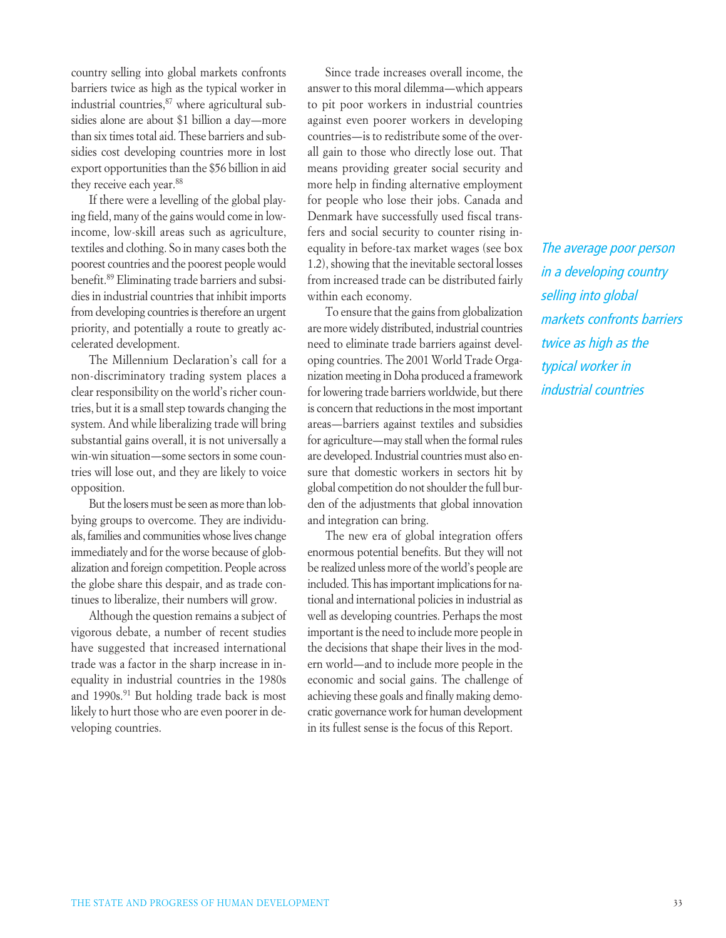country selling into global markets confronts barriers twice as high as the typical worker in industrial countries,<sup>87</sup> where agricultural subsidies alone are about \$1 billion a day—more than six times total aid. These barriers and subsidies cost developing countries more in lost export opportunities than the \$56 billion in aid they receive each year.<sup>88</sup>

If there were a levelling of the global playing field, many of the gains would come in lowincome, low-skill areas such as agriculture, textiles and clothing. So in many cases both the poorest countries and the poorest people would benefit.89 Eliminating trade barriers and subsidies in industrial countries that inhibit imports from developing countries is therefore an urgent priority, and potentially a route to greatly accelerated development.

The Millennium Declaration's call for a non-discriminatory trading system places a clear responsibility on the world's richer countries, but it is a small step towards changing the system. And while liberalizing trade will bring substantial gains overall, it is not universally a win-win situation—some sectors in some countries will lose out, and they are likely to voice opposition.

But the losers must be seen as more than lobbying groups to overcome. They are individuals, families and communities whose lives change immediately and for the worse because of globalization and foreign competition. People across the globe share this despair, and as trade continues to liberalize, their numbers will grow.

Although the question remains a subject of vigorous debate, a number of recent studies have suggested that increased international trade was a factor in the sharp increase in inequality in industrial countries in the 1980s and 1990s.<sup>91</sup> But holding trade back is most likely to hurt those who are even poorer in developing countries.

Since trade increases overall income, the answer to this moral dilemma—which appears to pit poor workers in industrial countries against even poorer workers in developing countries—is to redistribute some of the overall gain to those who directly lose out. That means providing greater social security and more help in finding alternative employment for people who lose their jobs. Canada and Denmark have successfully used fiscal transfers and social security to counter rising inequality in before-tax market wages (see box 1.2), showing that the inevitable sectoral losses from increased trade can be distributed fairly within each economy.

To ensure that the gains from globalization are more widely distributed, industrial countries need to eliminate trade barriers against developing countries. The 2001 World Trade Organization meeting in Doha produced a framework for lowering trade barriers worldwide, but there is concern that reductions in the most important areas—barriers against textiles and subsidies for agriculture—may stall when the formal rules are developed. Industrial countries must also ensure that domestic workers in sectors hit by global competition do not shoulder the full burden of the adjustments that global innovation and integration can bring.

The new era of global integration offers enormous potential benefits. But they will not be realized unless more of the world's people are included. This has important implications for national and international policies in industrial as well as developing countries. Perhaps the most important is the need to include more people in the decisions that shape their lives in the modern world—and to include more people in the economic and social gains. The challenge of achieving these goals and finally making democratic governance work for human development in its fullest sense is the focus of this Report.

*The average poor person in a developing country selling into global markets confronts barriers twice as high as the typical worker in industrial countries*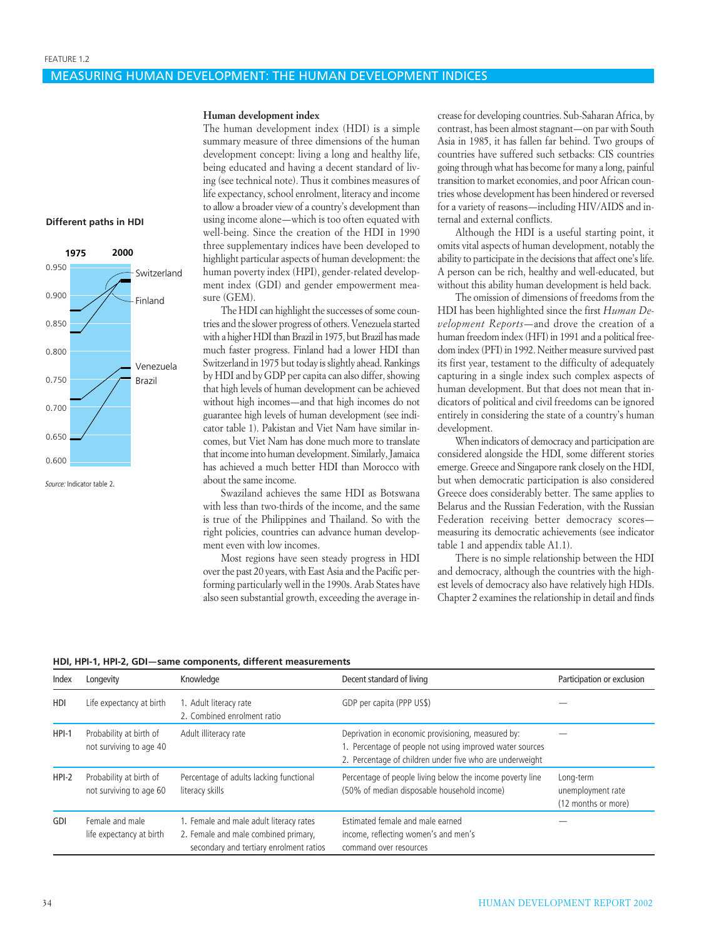#### MEASURING HUMAN DEVELOPMENT: THE HUMAN DEVELOPMENT INDICES

#### **Different paths in HDI**



*Source:* Indicator table 2.

#### **Human development index**

The human development index (HDI) is a simple summary measure of three dimensions of the human development concept: living a long and healthy life, being educated and having a decent standard of living (see technical note). Thus it combines measures of life expectancy, school enrolment, literacy and income to allow a broader view of a country's development than using income alone—which is too often equated with well-being. Since the creation of the HDI in 1990 three supplementary indices have been developed to highlight particular aspects of human development: the human poverty index (HPI), gender-related development index (GDI) and gender empowerment measure (GEM).

The HDI can highlight the successes of some countries and the slower progress of others. Venezuela started with a higher HDI than Brazil in 1975, but Brazil has made much faster progress. Finland had a lower HDI than Switzerland in 1975 but today is slightly ahead. Rankings by HDI and by GDP per capita can also differ, showing that high levels of human development can be achieved without high incomes—and that high incomes do not guarantee high levels of human development (see indicator table 1). Pakistan and Viet Nam have similar incomes, but Viet Nam has done much more to translate that income into human development. Similarly, Jamaica has achieved a much better HDI than Morocco with about the same income.

Swaziland achieves the same HDI as Botswana with less than two-thirds of the income, and the same is true of the Philippines and Thailand. So with the right policies, countries can advance human development even with low incomes.

Most regions have seen steady progress in HDI over the past 20 years, with East Asia and the Pacific performing particularly well in the 1990s. Arab States have also seen substantial growth, exceeding the average increase for developing countries. Sub-Saharan Africa, by contrast, has been almost stagnant—on par with South Asia in 1985, it has fallen far behind. Two groups of countries have suffered such setbacks: CIS countries going through what has become for many a long, painful transition to market economies, and poor African countries whose development has been hindered or reversed for a variety of reasons—including HIV/AIDS and internal and external conflicts.

Although the HDI is a useful starting point, it omits vital aspects of human development, notably the ability to participate in the decisions that affect one's life. A person can be rich, healthy and well-educated, but without this ability human development is held back.

The omission of dimensions of freedoms from the HDI has been highlighted since the first *Human Development Reports*—and drove the creation of a human freedom index (HFI) in 1991 and a political freedom index (PFI) in 1992. Neither measure survived past its first year, testament to the difficulty of adequately capturing in a single index such complex aspects of human development. But that does not mean that indicators of political and civil freedoms can be ignored entirely in considering the state of a country's human development.

When indicators of democracy and participation are considered alongside the HDI, some different stories emerge. Greece and Singapore rank closely on the HDI, but when democratic participation is also considered Greece does considerably better. The same applies to Belarus and the Russian Federation, with the Russian Federation receiving better democracy scores measuring its democratic achievements (see indicator table 1 and appendix table A1.1).

There is no simple relationship between the HDI and democracy, although the countries with the highest levels of democracy also have relatively high HDIs. Chapter 2 examines the relationship in detail and finds

|  |  |  |  |  |  | HDI, HPI-1, HPI-2, GDI—same components, different measurements |
|--|--|--|--|--|--|----------------------------------------------------------------|
|--|--|--|--|--|--|----------------------------------------------------------------|

| Index   | Longevity                                          | Knowledge                                                                                                                  | Decent standard of living                                                                                                                                                  | Participation or exclusion                            |
|---------|----------------------------------------------------|----------------------------------------------------------------------------------------------------------------------------|----------------------------------------------------------------------------------------------------------------------------------------------------------------------------|-------------------------------------------------------|
| HDI     | Life expectancy at birth                           | 1. Adult literacy rate<br>2. Combined enrolment ratio                                                                      | GDP per capita (PPP US\$)                                                                                                                                                  |                                                       |
| $HPI-1$ | Probability at birth of<br>not surviving to age 40 | Adult illiteracy rate                                                                                                      | Deprivation in economic provisioning, measured by:<br>1. Percentage of people not using improved water sources<br>2. Percentage of children under five who are underweight |                                                       |
| $HPI-2$ | Probability at birth of<br>not surviving to age 60 | Percentage of adults lacking functional<br>literacy skills                                                                 | Percentage of people living below the income poverty line<br>(50% of median disposable household income)                                                                   | Long-term<br>unemployment rate<br>(12 months or more) |
| GDI     | Female and male<br>life expectancy at birth        | 1. Female and male adult literacy rates<br>2. Female and male combined primary,<br>secondary and tertiary enrolment ratios | Estimated female and male earned<br>income, reflecting women's and men's<br>command over resources                                                                         |                                                       |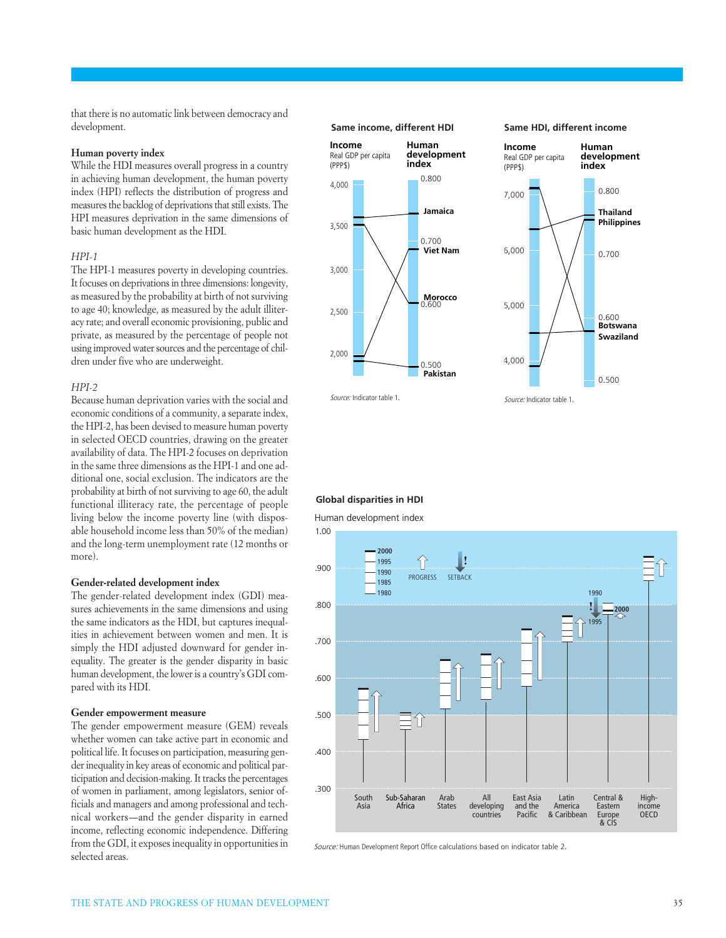that there is no automatic link between democracy and development.

#### **Human poverty index**

While the HDI measures overall progress in a country in achieving human development, the human poverty index (HPI) reflects the distribution of progress and measures the backlog of deprivations that still exists. The HPI measures deprivation in the same dimensions of basic human development as the HDI.

#### *HPI-1*

The HPI-1 measures poverty in developing countries. It focuses on deprivations in three dimensions: longevity, as measured by the probability at birth of not surviving to age 40; knowledge, as measured by the adult illiteracy rate; and overall economic provisioning, public and private, as measured by the percentage of people not using improved water sources and the percentage of children under five who are underweight.

#### *HPI-2*

Because human deprivation varies with the social and economic conditions of a community, a separate index, the HPI-2, has been devised to measure human poverty in selected OECD countries, drawing on the greater availability of data. The HPI-2 focuses on deprivation in the same three dimensions as the HPI-1 and one additional one, social exclusion. The indicators are the probability at birth of not surviving to age 60, the adult functional illiteracy rate, the percentage of people living below the income poverty line (with disposable household income less than 50% of the median) and the long-term unemployment rate (12 months or more).

#### **Gender-related development index**

The gender-related development index (GDI) measures achievements in the same dimensions and using the same indicators as the HDI, but captures inequalities in achievement between women and men. It is simply the HDI adjusted downward for gender inequality. The greater is the gender disparity in basic human development, the lower is a country's GDI compared with its HDI.

#### **Gender empowerment measure**

The gender empowerment measure (GEM) reveals whether women can take active part in economic and political life. It focuses on participation, measuring gender inequality in key areas of economic and political participation and decision-making. It tracks the percentages of women in parliament, among legislators, senior officials and managers and among professional and technical workers—and the gender disparity in earned income, reflecting economic independence. Differing from the GDI, it exposes inequality in opportunities in selected areas.





*Source:* Indicator table 1.

#### **Global disparities in HDI**

Human development index



*Source:* Human Development Report Office calculations based on indicator table 2.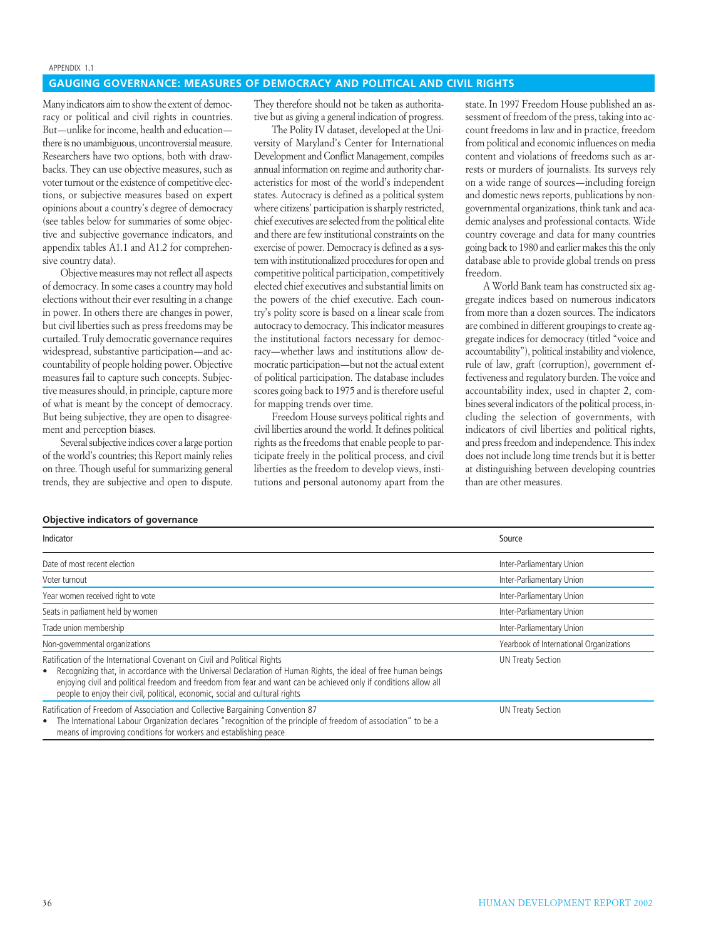#### APPENDIX 1.1

### **GAUGING GOVERNANCE: MEASURES OF DEMOCRACY AND POLITICAL AND CIVIL RIGHTS**

Many indicators aim to show the extent of democracy or political and civil rights in countries. But—unlike for income, health and education there is no unambiguous, uncontroversial measure. Researchers have two options, both with drawbacks. They can use objective measures, such as voter turnout or the existence of competitive elections, or subjective measures based on expert opinions about a country's degree of democracy (see tables below for summaries of some objective and subjective governance indicators, and appendix tables A1.1 and A1.2 for comprehensive country data).

Objective measures may not reflect all aspects of democracy. In some cases a country may hold elections without their ever resulting in a change in power. In others there are changes in power, but civil liberties such as press freedoms may be curtailed. Truly democratic governance requires widespread, substantive participation—and accountability of people holding power. Objective measures fail to capture such concepts. Subjective measures should, in principle, capture more of what is meant by the concept of democracy. But being subjective, they are open to disagreement and perception biases.

Several subjective indices cover a large portion of the world's countries; this Report mainly relies on three. Though useful for summarizing general trends, they are subjective and open to dispute.

They therefore should not be taken as authoritative but as giving a general indication of progress.

The Polity IV dataset, developed at the University of Maryland's Center for International Development and Conflict Management, compiles annual information on regime and authority characteristics for most of the world's independent states. Autocracy is defined as a political system where citizens' participation is sharply restricted, chief executives are selected from the political elite and there are few institutional constraints on the exercise of power. Democracy is defined as a system with institutionalized procedures for open and competitive political participation, competitively elected chief executives and substantial limits on the powers of the chief executive. Each country's polity score is based on a linear scale from autocracy to democracy. This indicator measures the institutional factors necessary for democracy—whether laws and institutions allow democratic participation—but not the actual extent of political participation. The database includes scores going back to 1975 and is therefore useful for mapping trends over time.

Freedom House surveys political rights and civil liberties around the world. It defines political rights as the freedoms that enable people to participate freely in the political process, and civil liberties as the freedom to develop views, institutions and personal autonomy apart from the

state. In 1997 Freedom House published an assessment of freedom of the press, taking into account freedoms in law and in practice, freedom from political and economic influences on media content and violations of freedoms such as arrests or murders of journalists. Its surveys rely on a wide range of sources—including foreign and domestic news reports, publications by nongovernmental organizations, think tank and academic analyses and professional contacts. Wide country coverage and data for many countries going back to 1980 and earlier makes this the only database able to provide global trends on press freedom.

A World Bank team has constructed six aggregate indices based on numerous indicators from more than a dozen sources. The indicators are combined in different groupings to create aggregate indices for democracy (titled "voice and accountability"), political instability and violence, rule of law, graft (corruption), government effectiveness and regulatory burden. The voice and accountability index, used in chapter 2, combines several indicators of the political process, including the selection of governments, with indicators of civil liberties and political rights, and press freedom and independence. This index does not include long time trends but it is better at distinguishing between developing countries than are other measures.

| Objective indicators of governance |  |
|------------------------------------|--|
|------------------------------------|--|

| Indicator                                                                                                                                                                                                                                                                                                                                                                                           | Source                                  |
|-----------------------------------------------------------------------------------------------------------------------------------------------------------------------------------------------------------------------------------------------------------------------------------------------------------------------------------------------------------------------------------------------------|-----------------------------------------|
| Date of most recent election                                                                                                                                                                                                                                                                                                                                                                        | Inter-Parliamentary Union               |
| Voter turnout                                                                                                                                                                                                                                                                                                                                                                                       | Inter-Parliamentary Union               |
| Year women received right to vote                                                                                                                                                                                                                                                                                                                                                                   | Inter-Parliamentary Union               |
| Seats in parliament held by women                                                                                                                                                                                                                                                                                                                                                                   | Inter-Parliamentary Union               |
| Trade union membership                                                                                                                                                                                                                                                                                                                                                                              | Inter-Parliamentary Union               |
| Non-governmental organizations                                                                                                                                                                                                                                                                                                                                                                      | Yearbook of International Organizations |
| Ratification of the International Covenant on Civil and Political Rights<br>Recognizing that, in accordance with the Universal Declaration of Human Rights, the ideal of free human beings<br>٠<br>enjoying civil and political freedom and freedom from fear and want can be achieved only if conditions allow all<br>people to enjoy their civil, political, economic, social and cultural rights | <b>UN Treaty Section</b>                |
| Ratification of Freedom of Association and Collective Bargaining Convention 87<br>The International Labour Organization declares "recognition of the principle of freedom of association" to be a<br>$\bullet$<br>means of improving conditions for workers and establishing peace                                                                                                                  | <b>UN Treaty Section</b>                |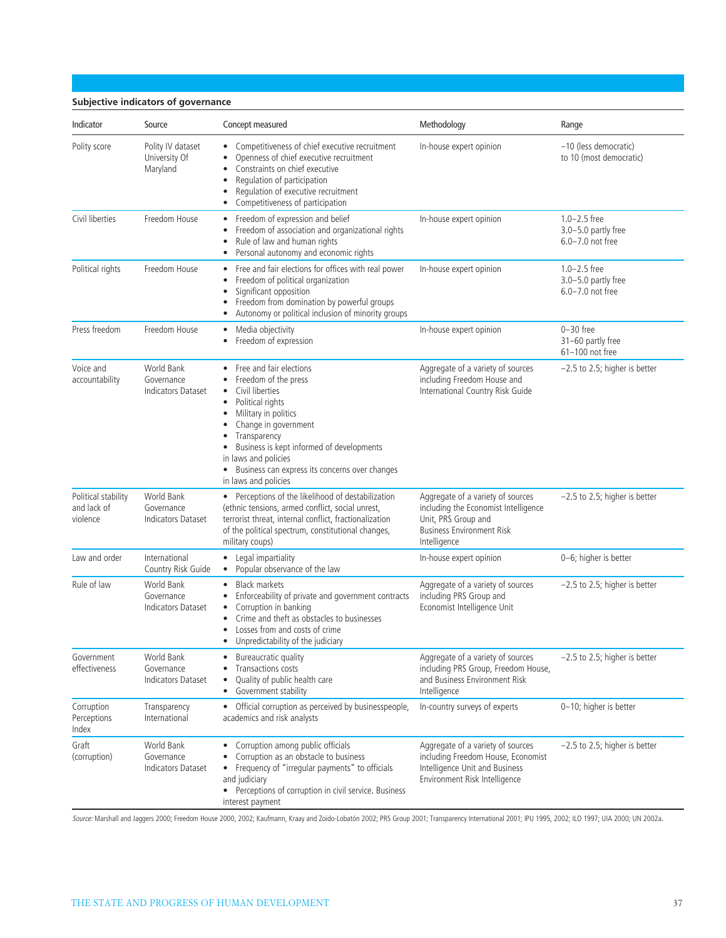### **Subjective indicators of governance**

| Indicator                                      | Source                                                | Concept measured                                                                                                                                                                                                                                                                                                     | Methodology                                                                                                                                          | Range                                                           |
|------------------------------------------------|-------------------------------------------------------|----------------------------------------------------------------------------------------------------------------------------------------------------------------------------------------------------------------------------------------------------------------------------------------------------------------------|------------------------------------------------------------------------------------------------------------------------------------------------------|-----------------------------------------------------------------|
| Polity score                                   | Polity IV dataset<br>University Of<br>Maryland        | Competitiveness of chief executive recruitment<br>Openness of chief executive recruitment<br>Constraints on chief executive<br>Regulation of participation<br>٠<br>Regulation of executive recruitment<br>Competitiveness of participation                                                                           | In-house expert opinion                                                                                                                              | -10 (less democratic)<br>to 10 (most democratic)                |
| Civil liberties                                | Freedom House                                         | Freedom of expression and belief<br>$\bullet$<br>Freedom of association and organizational rights<br>$\bullet$<br>Rule of law and human rights<br>Personal autonomy and economic rights                                                                                                                              | In-house expert opinion                                                                                                                              | $1.0 - 2.5$ free<br>3.0-5.0 partly free<br>$6.0 - 7.0$ not free |
| Political rights                               | Freedom House                                         | Free and fair elections for offices with real power<br>٠<br>Freedom of political organization<br>٠<br>Significant opposition<br>٠<br>Freedom from domination by powerful groups<br>Autonomy or political inclusion of minority groups                                                                                | In-house expert opinion                                                                                                                              | $1.0 - 2.5$ free<br>3.0-5.0 partly free<br>$6.0 - 7.0$ not free |
| Press freedom                                  | Freedom House                                         | Media objectivity<br>$\bullet$<br>Freedom of expression                                                                                                                                                                                                                                                              | In-house expert opinion                                                                                                                              | $0-30$ free<br>31-60 partly free<br>61-100 not free             |
| Voice and<br>accountability                    | World Bank<br>Governance<br>Indicators Dataset        | Free and fair elections<br>Freedom of the press<br>٠<br>Civil liberties<br>٠<br>Political rights<br>Military in politics<br>٠<br>Change in government<br>Transparency<br>Business is kept informed of developments<br>in laws and policies<br>Business can express its concerns over changes<br>in laws and policies | Aggregate of a variety of sources<br>including Freedom House and<br>International Country Risk Guide                                                 | $-2.5$ to 2.5; higher is better                                 |
| Political stability<br>and lack of<br>violence | World Bank<br>Governance<br><b>Indicators Dataset</b> | • Perceptions of the likelihood of destabilization<br>(ethnic tensions, armed conflict, social unrest,<br>terrorist threat, internal conflict, fractionalization<br>of the political spectrum, constitutional changes,<br>military coups)                                                                            | Aggregate of a variety of sources<br>including the Economist Intelligence<br>Unit, PRS Group and<br><b>Business Environment Risk</b><br>Intelligence | $-2.5$ to 2.5; higher is better                                 |
| Law and order                                  | International<br>Country Risk Guide                   | • Legal impartiality<br>Popular observance of the law<br>$\bullet$                                                                                                                                                                                                                                                   | In-house expert opinion                                                                                                                              | 0-6; higher is better                                           |
| Rule of law                                    | World Bank<br>Governance<br><b>Indicators Dataset</b> | <b>Black markets</b><br>$\bullet$<br>Enforceability of private and government contracts<br>Corruption in banking<br>٠<br>Crime and theft as obstacles to businesses<br>Losses from and costs of crime<br>Unpredictability of the judiciary                                                                           | Aggregate of a variety of sources<br>including PRS Group and<br>Economist Intelligence Unit                                                          | $-2.5$ to 2.5; higher is better                                 |
| Government<br>effectiveness                    | World Bank<br>Governance<br><b>Indicators Dataset</b> | Bureaucratic quality<br>Transactions costs<br>Quality of public health care<br>Government stability<br>$\bullet$                                                                                                                                                                                                     | Aggregate of a variety of sources<br>including PRS Group, Freedom House,<br>and Business Environment Risk<br>Intelligence                            | $-2.5$ to 2.5; higher is better                                 |
| Corruption<br>Perceptions<br>Index             | Transparency<br>International                         | • Official corruption as perceived by businesspeople,<br>academics and risk analysts                                                                                                                                                                                                                                 | In-country surveys of experts                                                                                                                        | 0-10; higher is better                                          |
| Graft<br>(corruption)                          | World Bank<br>Governance<br><b>Indicators Dataset</b> | Corruption among public officials<br>Corruption as an obstacle to business<br>• Frequency of "irregular payments" to officials<br>and judiciary<br>• Perceptions of corruption in civil service. Business<br>interest payment                                                                                        | Aggregate of a variety of sources<br>including Freedom House, Economist<br>Intelligence Unit and Business<br>Environment Risk Intelligence           | $-2.5$ to 2.5; higher is better                                 |

*Source:* Marshall and Jaggers 2000; Freedom House 2000, 2002; Kaufmann, Kraay and Zoido-Lobatón 2002; PRS Group 2001; Transparency International 2001; IPU 1995, 2002; ILO 1997; UIA 2000; UN 2002a.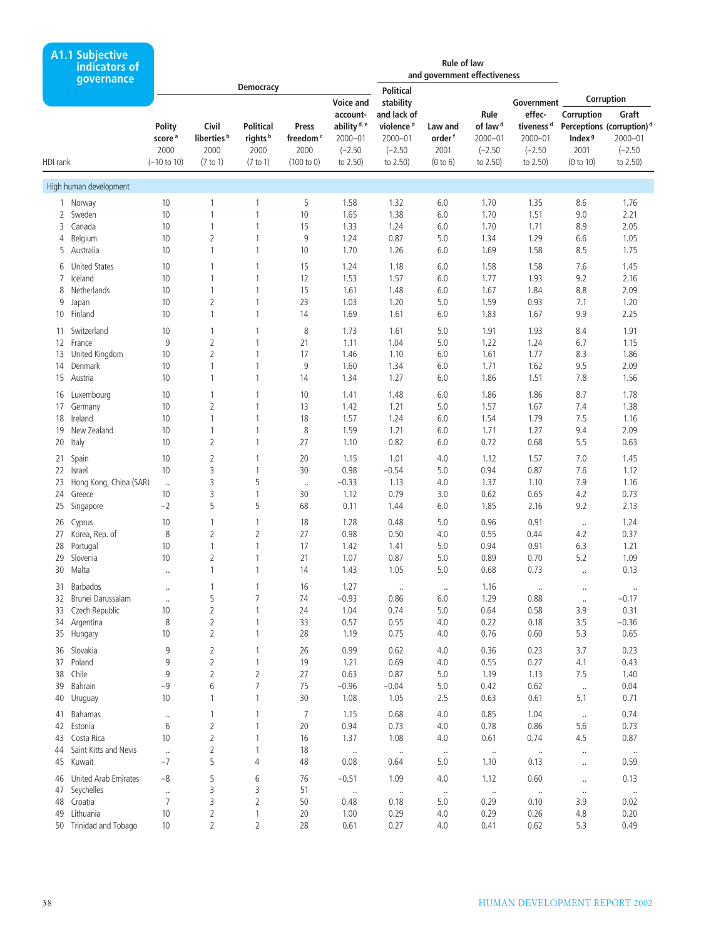| <b>Democracy</b><br><b>Political</b><br>Corruption<br><b>Voice and</b><br>Government<br>stability<br>effec-<br>and lack of<br>Rule<br>Corruption<br>Graft<br>account-<br>ability <sup>d, e</sup><br>of law <sup>d</sup><br>tiveness <sup>d</sup><br>Polity<br>Civil<br><b>Political</b><br>violence <sup>d</sup><br>Perceptions (corruption) <sup>d</sup><br>Press<br>Law and<br>liberties <sup>b</sup><br>$2000 - 01$<br>score <sup>a</sup><br>rights <sup>b</sup><br>freedom <sup>c</sup><br>$2000 - 01$<br>$2000 - 01$<br>order <sup>f</sup><br>2000-01<br>$2000 - 01$<br>Index <sup>9</sup><br>2000<br>2000<br>2000<br>2000<br>$(-2.50)$<br>$(-2.50)$<br>2001<br>$(-2.50)$<br>$(-2.50)$<br>2001<br>$(-2.50)$<br>$(-10 \text{ to } 10)$<br>(100 to 0)<br>to 2.50)<br>to 2.50)<br>to 2.50)<br>to 2.50)<br>HDI rank<br>(7 to 1)<br>(7 to 1)<br>(0 to 6)<br>to 2.50)<br>(0 to 10)<br>High human development<br>10<br>5<br>6.0<br>1.70<br>8.6<br>1.76<br>1 Norway<br>1<br>1<br>1.58<br>1.32<br>1.35<br>Sweden<br>10<br>$\mathbf{1}$<br>10<br>1.65<br>1.38<br>6.0<br>1.70<br>1.51<br>9.0<br>2.21<br>2<br>1<br>1<br>15<br>1.71<br>8.9<br>2.05<br>3<br>Canada<br>10<br>$\mathbf{1}$<br>1.33<br>1.24<br>6.0<br>1.70<br>9<br>Belgium<br>10<br>2<br>0.87<br>5.0<br>1.29<br>6.6<br>1.05<br>1<br>1.24<br>1.34<br>4<br>Australia<br>$\mathbf{1}$<br>10<br>1.70<br>1.26<br>1.58<br>8.5<br>1.75<br>5<br>10<br>$\mathbf{1}$<br>6.0<br>1.69<br><b>United States</b><br>6.0<br>1.58<br>1.58<br>7.6<br>1.45<br>6<br>10<br>1<br>1<br>15<br>1.24<br>1.18<br>Iceland<br>12<br>1.53<br>1.57<br>6.0<br>1.93<br>9.2<br>2.16<br>7<br>10<br>1<br>1<br>1.77<br>1<br>15<br>8.8<br>2.09<br>8<br>Netherlands<br>10<br>$\mathbf{1}$<br>1.61<br>1.48<br>6.0<br>1.67<br>1.84<br>10<br>2<br>23<br>1.20<br>1.59<br>0.93<br>1.20<br>9<br>1<br>1.03<br>5.0<br>7.1<br>Japan<br>Finland<br>$\mathbf{1}$<br>1.69<br>1.67<br>9.9<br>2.25<br>10 <sup>°</sup><br>10<br>$\mathbf{1}$<br>14<br>1.61<br>6.0<br>1.83<br>Switzerland<br>8<br>5.0<br>1.91<br>1.93<br>8.4<br>1.91<br>10<br>1<br>1<br>1.73<br>1.61<br>11<br>$\overline{2}$<br>9<br>21<br>1.04<br>5.0<br>1.22<br>1.24<br>6.7<br>1.15<br>12 France<br>1<br>1.11<br>$\overline{2}$<br>United Kingdom<br>17<br>1.77<br>8.3<br>1.86<br>13<br>10<br>$\mathbf{1}$<br>1.46<br>1.10<br>6.0<br>1.61<br>9<br>Denmark<br>$\mathbf{1}$<br>6.0<br>1.71<br>1.62<br>9.5<br>2.09<br>14<br>10<br>1<br>1.60<br>1.34<br>$\mathbf{1}$<br>14<br>1.27<br>1.51<br>7.8<br>1.56<br>15<br>Austria<br>10<br>$\mathbf{1}$<br>1.34<br>6.0<br>1.86<br>10<br>1.48<br>6.0<br>1.86<br>1.86<br>8.7<br>1.78<br>16<br>Luxembourg<br>10<br>1<br>1<br>1.41<br>$\overline{2}$<br>13<br>1.42<br>1.21<br>5.0<br>1.57<br>1.67<br>7.4<br>1.38<br>17<br>Germany<br>10<br>1<br>18<br>Ireland<br>$\mathbf{1}$<br>18<br>1.57<br>1.79<br>7.5<br>10<br>$\mathbf{1}$<br>1.24<br>6.0<br>1.54<br>1.16<br>New Zealand<br>$\mathbf{1}$<br>8<br>1.59<br>1.21<br>6.0<br>1.71<br>1.27<br>2.09<br>19<br>10<br>1<br>9.4<br>Italy<br>2<br>27<br>0.82<br>0.72<br>0.68<br>5.5<br>20<br>10<br>$\mathbf{1}$<br>1.10<br>6.0<br>0.63<br>2<br>20<br>1.15<br>1.01<br>4.0<br>1.57<br>7.0<br>1.45<br>21 Spain<br>10<br>1<br>1.12<br>3<br>30<br>0.98<br>$-0.54$<br>5.0<br>0.94<br>0.87<br>7.6<br>1.12<br>22<br>Israel<br>10<br>1<br>3<br>5<br>$-0.33$<br>1.13<br>7.9<br>Hong Kong, China (SAR)<br>4.0<br>1.37<br>1.10<br>1.16<br>23<br>$\ldots$<br>$\ldots$<br>3<br>30<br>0.79<br>0.65<br>4.2<br>0.73<br>24<br>Greece<br>10<br>1<br>1.12<br>3.0<br>0.62<br>5<br>5<br>68<br>1.44<br>2.16<br>9.2<br>2.13<br>25<br>Singapore<br>$-2$<br>0.11<br>6.0<br>1.85<br>18<br>1.28<br>0.48<br>5.0<br>0.96<br>0.91<br>1.24<br>26<br>Cyprus<br>10<br>1<br>1<br>$\ldots$<br>$\overline{2}$<br>Korea, Rep. of<br>8<br>2<br>27<br>0.98<br>0.50<br>0.55<br>0.44<br>4.2<br>0.37<br>27<br>4.0<br>$\mathbf{1}$<br>$\mathbf{1}$<br>17<br>28<br>Portugal<br>10<br>1.42<br>1.41<br>5.0<br>0.94<br>0.91<br>6.3<br>1.21<br>Slovenia<br>10<br>2<br>21<br>0.87<br>0.89<br>0.70<br>5.2<br>1.09<br>29<br>1<br>1.07<br>5.0<br>30 Malta<br>14<br>5.0<br>0.73<br>0.13<br>$\mathbf{1}$<br>1<br>1.43<br>1.05<br>0.68<br>$\ldots$<br><br>Barbados<br>1.27<br>1.16<br>31<br>16<br>1<br><br>$\ldots$<br>$\ldots$<br>$\ldots$<br>$\cdot$<br>$\ldots$<br>5<br>$\overline{7}$<br>32 Brunei Darussalam<br>74<br>$-0.93$<br>0.86<br>6.0<br>1.29<br>0.88<br>$-0.17$<br><br>$\ldots$<br>Czech Republic<br>2<br>$\mathbf{1}$<br>24<br>0.74<br>0.64<br>0.58<br>3.9<br>0.31<br>33<br>10<br>1.04<br>5.0<br>8<br>2<br>33<br>0.57<br>0.55<br>0.22<br>0.18<br>3.5<br>$-0.36$<br>Argentina<br>1<br>4.0<br>34<br>35 Hungary<br>$\overline{2}$<br>5.3<br>10<br>$\mathbf{1}$<br>28<br>1.19<br>0.75<br>4.0<br>0.76<br>0.60<br>0.65<br>36 Slovakia<br>9<br>2<br>26<br>0.99<br>0.62<br>4.0<br>0.36<br>0.23<br>3.7<br>0.23<br>$\mathbf{1}$<br>$\overline{2}$<br>37 Poland<br>9<br>19<br>1.21<br>0.69<br>0.55<br>0.27<br>4.1<br>0.43<br>$\mathbf{1}$<br>4.0<br>$\overline{2}$<br>$\overline{2}$<br>38 Chile<br>9<br>27<br>0.63<br>0.87<br>1.13<br>7.5<br>1.40<br>5.0<br>1.19<br>$\overline{7}$<br>Bahrain<br>6<br>75<br>$-0.96$<br>$-0.04$<br>0.62<br>0.04<br>39<br>$-9$<br>5.0<br>0.42<br>$\ldots$<br>$\mathbf{1}$<br>30<br>1.05<br>5.1<br>40<br>Uruguay<br>10<br>$\mathbf{1}$<br>1.08<br>2.5<br>0.63<br>0.61<br>0.71<br>Bahamas<br>$\overline{7}$<br>1.15<br>0.68<br>4.0<br>0.85<br>1.04<br>0.74<br>1<br>1<br>41<br><br>$\ldots$<br>$\overline{2}$<br>6<br>20<br>0.94<br>0.73<br>4.0<br>0.78<br>0.86<br>5.6<br>0.73<br>42 Estonia<br>1<br>$\overline{2}$<br>10<br>0.74<br>4.5<br>43<br>Costa Rica<br>$\mathbf{1}$<br>16<br>1.37<br>1.08<br>4.0<br>0.61<br>0.87<br>Saint Kitts and Nevis<br>2<br>1<br>18<br>44<br>$\ldots$<br>$\cdot$<br>$\cdot\cdot$<br>$\cdot$<br>$\sim$<br>$\ldots$<br>$\ldots$<br>$\cdots$<br>5<br>$-7$<br>45<br>Kuwait<br>4<br>48<br>0.08<br>0.64<br>5.0<br>1.10<br>0.13<br>0.59<br>$\ldots$<br>46 United Arab Emirates<br>$-8$<br>5<br>6<br>76<br>$-0.51$<br>1.09<br>0.60<br>0.13<br>4.0<br>1.12<br>$\ldots$<br>3<br>Seychelles<br>3<br>51<br>47<br><br>$\ldots$<br>$\cdot\cdot$<br>$\cdot$<br>$\cdot$<br>$\ldots$<br>$\cdot\cdot$<br>$\cdot\cdot$<br>3<br>$\overline{2}$<br>48 Croatia<br>$\overline{7}$<br>3.9<br>50<br>0.48<br>0.18<br>5.0<br>0.29<br>0.10<br>0.02<br>49 Lithuania<br>2<br>0.29<br>0.29<br>0.26<br>4.8<br>0.20<br>10<br>1<br>20<br>1.00<br>4.0<br>50 Trinidad and Tobago | <b>A1.1 Subjective</b><br>indicators of<br>qovernance |    |                |   |    |      |      | <b>Rule of law</b><br>and government effectiveness |      |      |     |      |
|----------------------------------------------------------------------------------------------------------------------------------------------------------------------------------------------------------------------------------------------------------------------------------------------------------------------------------------------------------------------------------------------------------------------------------------------------------------------------------------------------------------------------------------------------------------------------------------------------------------------------------------------------------------------------------------------------------------------------------------------------------------------------------------------------------------------------------------------------------------------------------------------------------------------------------------------------------------------------------------------------------------------------------------------------------------------------------------------------------------------------------------------------------------------------------------------------------------------------------------------------------------------------------------------------------------------------------------------------------------------------------------------------------------------------------------------------------------------------------------------------------------------------------------------------------------------------------------------------------------------------------------------------------------------------------------------------------------------------------------------------------------------------------------------------------------------------------------------------------------------------------------------------------------------------------------------------------------------------------------------------------------------------------------------------------------------------------------------------------------------------------------------------------------------------------------------------------------------------------------------------------------------------------------------------------------------------------------------------------------------------------------------------------------------------------------------------------------------------------------------------------------------------------------------------------------------------------------------------------------------------------------------------------------------------------------------------------------------------------------------------------------------------------------------------------------------------------------------------------------------------------------------------------------------------------------------------------------------------------------------------------------------------------------------------------------------------------------------------------------------------------------------------------------------------------------------------------------------------------------------------------------------------------------------------------------------------------------------------------------------------------------------------------------------------------------------------------------------------------------------------------------------------------------------------------------------------------------------------------------------------------------------------------------------------------------------------------------------------------------------------------------------------------------------------------------------------------------------------------------------------------------------------------------------------------------------------------------------------------------------------------------------------------------------------------------------------------------------------------------------------------------------------------------------------------------------------------------------------------------------------------------------------------------------------------------------------------------------------------------------------------------------------------------------------------------------------------------------------------------------------------------------------------------------------------------------------------------------------------------------------------------------------------------------------------------------------------------------------------------------------------------------------------------------------------------------------------------------------------------------------------------------------------------------------------------------------------------------------------------------------------------------------------------------------------------------------------------------------------------------------------------------------------------------------------------------------------------------------------------------------------------------------------------------------------------------------------------------------------------------------------------------------------------------------------------------------------------------------------------------------------------------------------------------------------------------------------------------------------------------------------------------------------------------------------------------------------------------------------------------------------------------------------------------------------------------------------------------------------------------------------------------------------------------------------------------------------------------------------------------------------------------------------------------------------------------------------------------------------------------------------------------------------------------------------------------------------------------------------------------------------------------------------------------------------------------------------------------------------------------------------------------|-------------------------------------------------------|----|----------------|---|----|------|------|----------------------------------------------------|------|------|-----|------|
|                                                                                                                                                                                                                                                                                                                                                                                                                                                                                                                                                                                                                                                                                                                                                                                                                                                                                                                                                                                                                                                                                                                                                                                                                                                                                                                                                                                                                                                                                                                                                                                                                                                                                                                                                                                                                                                                                                                                                                                                                                                                                                                                                                                                                                                                                                                                                                                                                                                                                                                                                                                                                                                                                                                                                                                                                                                                                                                                                                                                                                                                                                                                                                                                                                                                                                                                                                                                                                                                                                                                                                                                                                                                                                                                                                                                                                                                                                                                                                                                                                                                                                                                                                                                                                                                                                                                                                                                                                                                                                                                                                                                                                                                                                                                                                                                                                                                                                                                                                                                                                                                                                                                                                                                                                                                                                                                                                                                                                                                                                                                                                                                                                                                                                                                                                                                                                                                                                                                                                                                                                                                                                                                                                                                                                                                                                                                                                                              |                                                       |    |                |   |    |      |      |                                                    |      |      |     |      |
|                                                                                                                                                                                                                                                                                                                                                                                                                                                                                                                                                                                                                                                                                                                                                                                                                                                                                                                                                                                                                                                                                                                                                                                                                                                                                                                                                                                                                                                                                                                                                                                                                                                                                                                                                                                                                                                                                                                                                                                                                                                                                                                                                                                                                                                                                                                                                                                                                                                                                                                                                                                                                                                                                                                                                                                                                                                                                                                                                                                                                                                                                                                                                                                                                                                                                                                                                                                                                                                                                                                                                                                                                                                                                                                                                                                                                                                                                                                                                                                                                                                                                                                                                                                                                                                                                                                                                                                                                                                                                                                                                                                                                                                                                                                                                                                                                                                                                                                                                                                                                                                                                                                                                                                                                                                                                                                                                                                                                                                                                                                                                                                                                                                                                                                                                                                                                                                                                                                                                                                                                                                                                                                                                                                                                                                                                                                                                                                              |                                                       |    |                |   |    |      |      |                                                    |      |      |     |      |
|                                                                                                                                                                                                                                                                                                                                                                                                                                                                                                                                                                                                                                                                                                                                                                                                                                                                                                                                                                                                                                                                                                                                                                                                                                                                                                                                                                                                                                                                                                                                                                                                                                                                                                                                                                                                                                                                                                                                                                                                                                                                                                                                                                                                                                                                                                                                                                                                                                                                                                                                                                                                                                                                                                                                                                                                                                                                                                                                                                                                                                                                                                                                                                                                                                                                                                                                                                                                                                                                                                                                                                                                                                                                                                                                                                                                                                                                                                                                                                                                                                                                                                                                                                                                                                                                                                                                                                                                                                                                                                                                                                                                                                                                                                                                                                                                                                                                                                                                                                                                                                                                                                                                                                                                                                                                                                                                                                                                                                                                                                                                                                                                                                                                                                                                                                                                                                                                                                                                                                                                                                                                                                                                                                                                                                                                                                                                                                                              |                                                       |    |                |   |    |      |      |                                                    |      |      |     |      |
|                                                                                                                                                                                                                                                                                                                                                                                                                                                                                                                                                                                                                                                                                                                                                                                                                                                                                                                                                                                                                                                                                                                                                                                                                                                                                                                                                                                                                                                                                                                                                                                                                                                                                                                                                                                                                                                                                                                                                                                                                                                                                                                                                                                                                                                                                                                                                                                                                                                                                                                                                                                                                                                                                                                                                                                                                                                                                                                                                                                                                                                                                                                                                                                                                                                                                                                                                                                                                                                                                                                                                                                                                                                                                                                                                                                                                                                                                                                                                                                                                                                                                                                                                                                                                                                                                                                                                                                                                                                                                                                                                                                                                                                                                                                                                                                                                                                                                                                                                                                                                                                                                                                                                                                                                                                                                                                                                                                                                                                                                                                                                                                                                                                                                                                                                                                                                                                                                                                                                                                                                                                                                                                                                                                                                                                                                                                                                                                              |                                                       |    |                |   |    |      |      |                                                    |      |      |     |      |
|                                                                                                                                                                                                                                                                                                                                                                                                                                                                                                                                                                                                                                                                                                                                                                                                                                                                                                                                                                                                                                                                                                                                                                                                                                                                                                                                                                                                                                                                                                                                                                                                                                                                                                                                                                                                                                                                                                                                                                                                                                                                                                                                                                                                                                                                                                                                                                                                                                                                                                                                                                                                                                                                                                                                                                                                                                                                                                                                                                                                                                                                                                                                                                                                                                                                                                                                                                                                                                                                                                                                                                                                                                                                                                                                                                                                                                                                                                                                                                                                                                                                                                                                                                                                                                                                                                                                                                                                                                                                                                                                                                                                                                                                                                                                                                                                                                                                                                                                                                                                                                                                                                                                                                                                                                                                                                                                                                                                                                                                                                                                                                                                                                                                                                                                                                                                                                                                                                                                                                                                                                                                                                                                                                                                                                                                                                                                                                                              |                                                       |    |                |   |    |      |      |                                                    |      |      |     |      |
|                                                                                                                                                                                                                                                                                                                                                                                                                                                                                                                                                                                                                                                                                                                                                                                                                                                                                                                                                                                                                                                                                                                                                                                                                                                                                                                                                                                                                                                                                                                                                                                                                                                                                                                                                                                                                                                                                                                                                                                                                                                                                                                                                                                                                                                                                                                                                                                                                                                                                                                                                                                                                                                                                                                                                                                                                                                                                                                                                                                                                                                                                                                                                                                                                                                                                                                                                                                                                                                                                                                                                                                                                                                                                                                                                                                                                                                                                                                                                                                                                                                                                                                                                                                                                                                                                                                                                                                                                                                                                                                                                                                                                                                                                                                                                                                                                                                                                                                                                                                                                                                                                                                                                                                                                                                                                                                                                                                                                                                                                                                                                                                                                                                                                                                                                                                                                                                                                                                                                                                                                                                                                                                                                                                                                                                                                                                                                                                              |                                                       |    |                |   |    |      |      |                                                    |      |      |     |      |
|                                                                                                                                                                                                                                                                                                                                                                                                                                                                                                                                                                                                                                                                                                                                                                                                                                                                                                                                                                                                                                                                                                                                                                                                                                                                                                                                                                                                                                                                                                                                                                                                                                                                                                                                                                                                                                                                                                                                                                                                                                                                                                                                                                                                                                                                                                                                                                                                                                                                                                                                                                                                                                                                                                                                                                                                                                                                                                                                                                                                                                                                                                                                                                                                                                                                                                                                                                                                                                                                                                                                                                                                                                                                                                                                                                                                                                                                                                                                                                                                                                                                                                                                                                                                                                                                                                                                                                                                                                                                                                                                                                                                                                                                                                                                                                                                                                                                                                                                                                                                                                                                                                                                                                                                                                                                                                                                                                                                                                                                                                                                                                                                                                                                                                                                                                                                                                                                                                                                                                                                                                                                                                                                                                                                                                                                                                                                                                                              |                                                       |    |                |   |    |      |      |                                                    |      |      |     |      |
|                                                                                                                                                                                                                                                                                                                                                                                                                                                                                                                                                                                                                                                                                                                                                                                                                                                                                                                                                                                                                                                                                                                                                                                                                                                                                                                                                                                                                                                                                                                                                                                                                                                                                                                                                                                                                                                                                                                                                                                                                                                                                                                                                                                                                                                                                                                                                                                                                                                                                                                                                                                                                                                                                                                                                                                                                                                                                                                                                                                                                                                                                                                                                                                                                                                                                                                                                                                                                                                                                                                                                                                                                                                                                                                                                                                                                                                                                                                                                                                                                                                                                                                                                                                                                                                                                                                                                                                                                                                                                                                                                                                                                                                                                                                                                                                                                                                                                                                                                                                                                                                                                                                                                                                                                                                                                                                                                                                                                                                                                                                                                                                                                                                                                                                                                                                                                                                                                                                                                                                                                                                                                                                                                                                                                                                                                                                                                                                              |                                                       |    |                |   |    |      |      |                                                    |      |      |     |      |
|                                                                                                                                                                                                                                                                                                                                                                                                                                                                                                                                                                                                                                                                                                                                                                                                                                                                                                                                                                                                                                                                                                                                                                                                                                                                                                                                                                                                                                                                                                                                                                                                                                                                                                                                                                                                                                                                                                                                                                                                                                                                                                                                                                                                                                                                                                                                                                                                                                                                                                                                                                                                                                                                                                                                                                                                                                                                                                                                                                                                                                                                                                                                                                                                                                                                                                                                                                                                                                                                                                                                                                                                                                                                                                                                                                                                                                                                                                                                                                                                                                                                                                                                                                                                                                                                                                                                                                                                                                                                                                                                                                                                                                                                                                                                                                                                                                                                                                                                                                                                                                                                                                                                                                                                                                                                                                                                                                                                                                                                                                                                                                                                                                                                                                                                                                                                                                                                                                                                                                                                                                                                                                                                                                                                                                                                                                                                                                                              |                                                       |    |                |   |    |      |      |                                                    |      |      |     |      |
|                                                                                                                                                                                                                                                                                                                                                                                                                                                                                                                                                                                                                                                                                                                                                                                                                                                                                                                                                                                                                                                                                                                                                                                                                                                                                                                                                                                                                                                                                                                                                                                                                                                                                                                                                                                                                                                                                                                                                                                                                                                                                                                                                                                                                                                                                                                                                                                                                                                                                                                                                                                                                                                                                                                                                                                                                                                                                                                                                                                                                                                                                                                                                                                                                                                                                                                                                                                                                                                                                                                                                                                                                                                                                                                                                                                                                                                                                                                                                                                                                                                                                                                                                                                                                                                                                                                                                                                                                                                                                                                                                                                                                                                                                                                                                                                                                                                                                                                                                                                                                                                                                                                                                                                                                                                                                                                                                                                                                                                                                                                                                                                                                                                                                                                                                                                                                                                                                                                                                                                                                                                                                                                                                                                                                                                                                                                                                                                              |                                                       |    |                |   |    |      |      |                                                    |      |      |     |      |
|                                                                                                                                                                                                                                                                                                                                                                                                                                                                                                                                                                                                                                                                                                                                                                                                                                                                                                                                                                                                                                                                                                                                                                                                                                                                                                                                                                                                                                                                                                                                                                                                                                                                                                                                                                                                                                                                                                                                                                                                                                                                                                                                                                                                                                                                                                                                                                                                                                                                                                                                                                                                                                                                                                                                                                                                                                                                                                                                                                                                                                                                                                                                                                                                                                                                                                                                                                                                                                                                                                                                                                                                                                                                                                                                                                                                                                                                                                                                                                                                                                                                                                                                                                                                                                                                                                                                                                                                                                                                                                                                                                                                                                                                                                                                                                                                                                                                                                                                                                                                                                                                                                                                                                                                                                                                                                                                                                                                                                                                                                                                                                                                                                                                                                                                                                                                                                                                                                                                                                                                                                                                                                                                                                                                                                                                                                                                                                                              |                                                       |    |                |   |    |      |      |                                                    |      |      |     |      |
|                                                                                                                                                                                                                                                                                                                                                                                                                                                                                                                                                                                                                                                                                                                                                                                                                                                                                                                                                                                                                                                                                                                                                                                                                                                                                                                                                                                                                                                                                                                                                                                                                                                                                                                                                                                                                                                                                                                                                                                                                                                                                                                                                                                                                                                                                                                                                                                                                                                                                                                                                                                                                                                                                                                                                                                                                                                                                                                                                                                                                                                                                                                                                                                                                                                                                                                                                                                                                                                                                                                                                                                                                                                                                                                                                                                                                                                                                                                                                                                                                                                                                                                                                                                                                                                                                                                                                                                                                                                                                                                                                                                                                                                                                                                                                                                                                                                                                                                                                                                                                                                                                                                                                                                                                                                                                                                                                                                                                                                                                                                                                                                                                                                                                                                                                                                                                                                                                                                                                                                                                                                                                                                                                                                                                                                                                                                                                                                              |                                                       |    |                |   |    |      |      |                                                    |      |      |     |      |
|                                                                                                                                                                                                                                                                                                                                                                                                                                                                                                                                                                                                                                                                                                                                                                                                                                                                                                                                                                                                                                                                                                                                                                                                                                                                                                                                                                                                                                                                                                                                                                                                                                                                                                                                                                                                                                                                                                                                                                                                                                                                                                                                                                                                                                                                                                                                                                                                                                                                                                                                                                                                                                                                                                                                                                                                                                                                                                                                                                                                                                                                                                                                                                                                                                                                                                                                                                                                                                                                                                                                                                                                                                                                                                                                                                                                                                                                                                                                                                                                                                                                                                                                                                                                                                                                                                                                                                                                                                                                                                                                                                                                                                                                                                                                                                                                                                                                                                                                                                                                                                                                                                                                                                                                                                                                                                                                                                                                                                                                                                                                                                                                                                                                                                                                                                                                                                                                                                                                                                                                                                                                                                                                                                                                                                                                                                                                                                                              |                                                       |    |                |   |    |      |      |                                                    |      |      |     |      |
|                                                                                                                                                                                                                                                                                                                                                                                                                                                                                                                                                                                                                                                                                                                                                                                                                                                                                                                                                                                                                                                                                                                                                                                                                                                                                                                                                                                                                                                                                                                                                                                                                                                                                                                                                                                                                                                                                                                                                                                                                                                                                                                                                                                                                                                                                                                                                                                                                                                                                                                                                                                                                                                                                                                                                                                                                                                                                                                                                                                                                                                                                                                                                                                                                                                                                                                                                                                                                                                                                                                                                                                                                                                                                                                                                                                                                                                                                                                                                                                                                                                                                                                                                                                                                                                                                                                                                                                                                                                                                                                                                                                                                                                                                                                                                                                                                                                                                                                                                                                                                                                                                                                                                                                                                                                                                                                                                                                                                                                                                                                                                                                                                                                                                                                                                                                                                                                                                                                                                                                                                                                                                                                                                                                                                                                                                                                                                                                              |                                                       |    |                |   |    |      |      |                                                    |      |      |     |      |
|                                                                                                                                                                                                                                                                                                                                                                                                                                                                                                                                                                                                                                                                                                                                                                                                                                                                                                                                                                                                                                                                                                                                                                                                                                                                                                                                                                                                                                                                                                                                                                                                                                                                                                                                                                                                                                                                                                                                                                                                                                                                                                                                                                                                                                                                                                                                                                                                                                                                                                                                                                                                                                                                                                                                                                                                                                                                                                                                                                                                                                                                                                                                                                                                                                                                                                                                                                                                                                                                                                                                                                                                                                                                                                                                                                                                                                                                                                                                                                                                                                                                                                                                                                                                                                                                                                                                                                                                                                                                                                                                                                                                                                                                                                                                                                                                                                                                                                                                                                                                                                                                                                                                                                                                                                                                                                                                                                                                                                                                                                                                                                                                                                                                                                                                                                                                                                                                                                                                                                                                                                                                                                                                                                                                                                                                                                                                                                                              |                                                       |    |                |   |    |      |      |                                                    |      |      |     |      |
|                                                                                                                                                                                                                                                                                                                                                                                                                                                                                                                                                                                                                                                                                                                                                                                                                                                                                                                                                                                                                                                                                                                                                                                                                                                                                                                                                                                                                                                                                                                                                                                                                                                                                                                                                                                                                                                                                                                                                                                                                                                                                                                                                                                                                                                                                                                                                                                                                                                                                                                                                                                                                                                                                                                                                                                                                                                                                                                                                                                                                                                                                                                                                                                                                                                                                                                                                                                                                                                                                                                                                                                                                                                                                                                                                                                                                                                                                                                                                                                                                                                                                                                                                                                                                                                                                                                                                                                                                                                                                                                                                                                                                                                                                                                                                                                                                                                                                                                                                                                                                                                                                                                                                                                                                                                                                                                                                                                                                                                                                                                                                                                                                                                                                                                                                                                                                                                                                                                                                                                                                                                                                                                                                                                                                                                                                                                                                                                              |                                                       |    |                |   |    |      |      |                                                    |      |      |     |      |
|                                                                                                                                                                                                                                                                                                                                                                                                                                                                                                                                                                                                                                                                                                                                                                                                                                                                                                                                                                                                                                                                                                                                                                                                                                                                                                                                                                                                                                                                                                                                                                                                                                                                                                                                                                                                                                                                                                                                                                                                                                                                                                                                                                                                                                                                                                                                                                                                                                                                                                                                                                                                                                                                                                                                                                                                                                                                                                                                                                                                                                                                                                                                                                                                                                                                                                                                                                                                                                                                                                                                                                                                                                                                                                                                                                                                                                                                                                                                                                                                                                                                                                                                                                                                                                                                                                                                                                                                                                                                                                                                                                                                                                                                                                                                                                                                                                                                                                                                                                                                                                                                                                                                                                                                                                                                                                                                                                                                                                                                                                                                                                                                                                                                                                                                                                                                                                                                                                                                                                                                                                                                                                                                                                                                                                                                                                                                                                                              |                                                       |    |                |   |    |      |      |                                                    |      |      |     |      |
|                                                                                                                                                                                                                                                                                                                                                                                                                                                                                                                                                                                                                                                                                                                                                                                                                                                                                                                                                                                                                                                                                                                                                                                                                                                                                                                                                                                                                                                                                                                                                                                                                                                                                                                                                                                                                                                                                                                                                                                                                                                                                                                                                                                                                                                                                                                                                                                                                                                                                                                                                                                                                                                                                                                                                                                                                                                                                                                                                                                                                                                                                                                                                                                                                                                                                                                                                                                                                                                                                                                                                                                                                                                                                                                                                                                                                                                                                                                                                                                                                                                                                                                                                                                                                                                                                                                                                                                                                                                                                                                                                                                                                                                                                                                                                                                                                                                                                                                                                                                                                                                                                                                                                                                                                                                                                                                                                                                                                                                                                                                                                                                                                                                                                                                                                                                                                                                                                                                                                                                                                                                                                                                                                                                                                                                                                                                                                                                              |                                                       |    |                |   |    |      |      |                                                    |      |      |     |      |
|                                                                                                                                                                                                                                                                                                                                                                                                                                                                                                                                                                                                                                                                                                                                                                                                                                                                                                                                                                                                                                                                                                                                                                                                                                                                                                                                                                                                                                                                                                                                                                                                                                                                                                                                                                                                                                                                                                                                                                                                                                                                                                                                                                                                                                                                                                                                                                                                                                                                                                                                                                                                                                                                                                                                                                                                                                                                                                                                                                                                                                                                                                                                                                                                                                                                                                                                                                                                                                                                                                                                                                                                                                                                                                                                                                                                                                                                                                                                                                                                                                                                                                                                                                                                                                                                                                                                                                                                                                                                                                                                                                                                                                                                                                                                                                                                                                                                                                                                                                                                                                                                                                                                                                                                                                                                                                                                                                                                                                                                                                                                                                                                                                                                                                                                                                                                                                                                                                                                                                                                                                                                                                                                                                                                                                                                                                                                                                                              |                                                       |    |                |   |    |      |      |                                                    |      |      |     |      |
|                                                                                                                                                                                                                                                                                                                                                                                                                                                                                                                                                                                                                                                                                                                                                                                                                                                                                                                                                                                                                                                                                                                                                                                                                                                                                                                                                                                                                                                                                                                                                                                                                                                                                                                                                                                                                                                                                                                                                                                                                                                                                                                                                                                                                                                                                                                                                                                                                                                                                                                                                                                                                                                                                                                                                                                                                                                                                                                                                                                                                                                                                                                                                                                                                                                                                                                                                                                                                                                                                                                                                                                                                                                                                                                                                                                                                                                                                                                                                                                                                                                                                                                                                                                                                                                                                                                                                                                                                                                                                                                                                                                                                                                                                                                                                                                                                                                                                                                                                                                                                                                                                                                                                                                                                                                                                                                                                                                                                                                                                                                                                                                                                                                                                                                                                                                                                                                                                                                                                                                                                                                                                                                                                                                                                                                                                                                                                                                              |                                                       |    |                |   |    |      |      |                                                    |      |      |     |      |
|                                                                                                                                                                                                                                                                                                                                                                                                                                                                                                                                                                                                                                                                                                                                                                                                                                                                                                                                                                                                                                                                                                                                                                                                                                                                                                                                                                                                                                                                                                                                                                                                                                                                                                                                                                                                                                                                                                                                                                                                                                                                                                                                                                                                                                                                                                                                                                                                                                                                                                                                                                                                                                                                                                                                                                                                                                                                                                                                                                                                                                                                                                                                                                                                                                                                                                                                                                                                                                                                                                                                                                                                                                                                                                                                                                                                                                                                                                                                                                                                                                                                                                                                                                                                                                                                                                                                                                                                                                                                                                                                                                                                                                                                                                                                                                                                                                                                                                                                                                                                                                                                                                                                                                                                                                                                                                                                                                                                                                                                                                                                                                                                                                                                                                                                                                                                                                                                                                                                                                                                                                                                                                                                                                                                                                                                                                                                                                                              |                                                       |    |                |   |    |      |      |                                                    |      |      |     |      |
|                                                                                                                                                                                                                                                                                                                                                                                                                                                                                                                                                                                                                                                                                                                                                                                                                                                                                                                                                                                                                                                                                                                                                                                                                                                                                                                                                                                                                                                                                                                                                                                                                                                                                                                                                                                                                                                                                                                                                                                                                                                                                                                                                                                                                                                                                                                                                                                                                                                                                                                                                                                                                                                                                                                                                                                                                                                                                                                                                                                                                                                                                                                                                                                                                                                                                                                                                                                                                                                                                                                                                                                                                                                                                                                                                                                                                                                                                                                                                                                                                                                                                                                                                                                                                                                                                                                                                                                                                                                                                                                                                                                                                                                                                                                                                                                                                                                                                                                                                                                                                                                                                                                                                                                                                                                                                                                                                                                                                                                                                                                                                                                                                                                                                                                                                                                                                                                                                                                                                                                                                                                                                                                                                                                                                                                                                                                                                                                              |                                                       |    |                |   |    |      |      |                                                    |      |      |     |      |
|                                                                                                                                                                                                                                                                                                                                                                                                                                                                                                                                                                                                                                                                                                                                                                                                                                                                                                                                                                                                                                                                                                                                                                                                                                                                                                                                                                                                                                                                                                                                                                                                                                                                                                                                                                                                                                                                                                                                                                                                                                                                                                                                                                                                                                                                                                                                                                                                                                                                                                                                                                                                                                                                                                                                                                                                                                                                                                                                                                                                                                                                                                                                                                                                                                                                                                                                                                                                                                                                                                                                                                                                                                                                                                                                                                                                                                                                                                                                                                                                                                                                                                                                                                                                                                                                                                                                                                                                                                                                                                                                                                                                                                                                                                                                                                                                                                                                                                                                                                                                                                                                                                                                                                                                                                                                                                                                                                                                                                                                                                                                                                                                                                                                                                                                                                                                                                                                                                                                                                                                                                                                                                                                                                                                                                                                                                                                                                                              |                                                       |    |                |   |    |      |      |                                                    |      |      |     |      |
|                                                                                                                                                                                                                                                                                                                                                                                                                                                                                                                                                                                                                                                                                                                                                                                                                                                                                                                                                                                                                                                                                                                                                                                                                                                                                                                                                                                                                                                                                                                                                                                                                                                                                                                                                                                                                                                                                                                                                                                                                                                                                                                                                                                                                                                                                                                                                                                                                                                                                                                                                                                                                                                                                                                                                                                                                                                                                                                                                                                                                                                                                                                                                                                                                                                                                                                                                                                                                                                                                                                                                                                                                                                                                                                                                                                                                                                                                                                                                                                                                                                                                                                                                                                                                                                                                                                                                                                                                                                                                                                                                                                                                                                                                                                                                                                                                                                                                                                                                                                                                                                                                                                                                                                                                                                                                                                                                                                                                                                                                                                                                                                                                                                                                                                                                                                                                                                                                                                                                                                                                                                                                                                                                                                                                                                                                                                                                                                              |                                                       |    |                |   |    |      |      |                                                    |      |      |     |      |
|                                                                                                                                                                                                                                                                                                                                                                                                                                                                                                                                                                                                                                                                                                                                                                                                                                                                                                                                                                                                                                                                                                                                                                                                                                                                                                                                                                                                                                                                                                                                                                                                                                                                                                                                                                                                                                                                                                                                                                                                                                                                                                                                                                                                                                                                                                                                                                                                                                                                                                                                                                                                                                                                                                                                                                                                                                                                                                                                                                                                                                                                                                                                                                                                                                                                                                                                                                                                                                                                                                                                                                                                                                                                                                                                                                                                                                                                                                                                                                                                                                                                                                                                                                                                                                                                                                                                                                                                                                                                                                                                                                                                                                                                                                                                                                                                                                                                                                                                                                                                                                                                                                                                                                                                                                                                                                                                                                                                                                                                                                                                                                                                                                                                                                                                                                                                                                                                                                                                                                                                                                                                                                                                                                                                                                                                                                                                                                                              |                                                       |    |                |   |    |      |      |                                                    |      |      |     |      |
|                                                                                                                                                                                                                                                                                                                                                                                                                                                                                                                                                                                                                                                                                                                                                                                                                                                                                                                                                                                                                                                                                                                                                                                                                                                                                                                                                                                                                                                                                                                                                                                                                                                                                                                                                                                                                                                                                                                                                                                                                                                                                                                                                                                                                                                                                                                                                                                                                                                                                                                                                                                                                                                                                                                                                                                                                                                                                                                                                                                                                                                                                                                                                                                                                                                                                                                                                                                                                                                                                                                                                                                                                                                                                                                                                                                                                                                                                                                                                                                                                                                                                                                                                                                                                                                                                                                                                                                                                                                                                                                                                                                                                                                                                                                                                                                                                                                                                                                                                                                                                                                                                                                                                                                                                                                                                                                                                                                                                                                                                                                                                                                                                                                                                                                                                                                                                                                                                                                                                                                                                                                                                                                                                                                                                                                                                                                                                                                              |                                                       |    |                |   |    |      |      |                                                    |      |      |     |      |
|                                                                                                                                                                                                                                                                                                                                                                                                                                                                                                                                                                                                                                                                                                                                                                                                                                                                                                                                                                                                                                                                                                                                                                                                                                                                                                                                                                                                                                                                                                                                                                                                                                                                                                                                                                                                                                                                                                                                                                                                                                                                                                                                                                                                                                                                                                                                                                                                                                                                                                                                                                                                                                                                                                                                                                                                                                                                                                                                                                                                                                                                                                                                                                                                                                                                                                                                                                                                                                                                                                                                                                                                                                                                                                                                                                                                                                                                                                                                                                                                                                                                                                                                                                                                                                                                                                                                                                                                                                                                                                                                                                                                                                                                                                                                                                                                                                                                                                                                                                                                                                                                                                                                                                                                                                                                                                                                                                                                                                                                                                                                                                                                                                                                                                                                                                                                                                                                                                                                                                                                                                                                                                                                                                                                                                                                                                                                                                                              |                                                       |    |                |   |    |      |      |                                                    |      |      |     |      |
|                                                                                                                                                                                                                                                                                                                                                                                                                                                                                                                                                                                                                                                                                                                                                                                                                                                                                                                                                                                                                                                                                                                                                                                                                                                                                                                                                                                                                                                                                                                                                                                                                                                                                                                                                                                                                                                                                                                                                                                                                                                                                                                                                                                                                                                                                                                                                                                                                                                                                                                                                                                                                                                                                                                                                                                                                                                                                                                                                                                                                                                                                                                                                                                                                                                                                                                                                                                                                                                                                                                                                                                                                                                                                                                                                                                                                                                                                                                                                                                                                                                                                                                                                                                                                                                                                                                                                                                                                                                                                                                                                                                                                                                                                                                                                                                                                                                                                                                                                                                                                                                                                                                                                                                                                                                                                                                                                                                                                                                                                                                                                                                                                                                                                                                                                                                                                                                                                                                                                                                                                                                                                                                                                                                                                                                                                                                                                                                              |                                                       |    |                |   |    |      |      |                                                    |      |      |     |      |
|                                                                                                                                                                                                                                                                                                                                                                                                                                                                                                                                                                                                                                                                                                                                                                                                                                                                                                                                                                                                                                                                                                                                                                                                                                                                                                                                                                                                                                                                                                                                                                                                                                                                                                                                                                                                                                                                                                                                                                                                                                                                                                                                                                                                                                                                                                                                                                                                                                                                                                                                                                                                                                                                                                                                                                                                                                                                                                                                                                                                                                                                                                                                                                                                                                                                                                                                                                                                                                                                                                                                                                                                                                                                                                                                                                                                                                                                                                                                                                                                                                                                                                                                                                                                                                                                                                                                                                                                                                                                                                                                                                                                                                                                                                                                                                                                                                                                                                                                                                                                                                                                                                                                                                                                                                                                                                                                                                                                                                                                                                                                                                                                                                                                                                                                                                                                                                                                                                                                                                                                                                                                                                                                                                                                                                                                                                                                                                                              |                                                       |    |                |   |    |      |      |                                                    |      |      |     |      |
|                                                                                                                                                                                                                                                                                                                                                                                                                                                                                                                                                                                                                                                                                                                                                                                                                                                                                                                                                                                                                                                                                                                                                                                                                                                                                                                                                                                                                                                                                                                                                                                                                                                                                                                                                                                                                                                                                                                                                                                                                                                                                                                                                                                                                                                                                                                                                                                                                                                                                                                                                                                                                                                                                                                                                                                                                                                                                                                                                                                                                                                                                                                                                                                                                                                                                                                                                                                                                                                                                                                                                                                                                                                                                                                                                                                                                                                                                                                                                                                                                                                                                                                                                                                                                                                                                                                                                                                                                                                                                                                                                                                                                                                                                                                                                                                                                                                                                                                                                                                                                                                                                                                                                                                                                                                                                                                                                                                                                                                                                                                                                                                                                                                                                                                                                                                                                                                                                                                                                                                                                                                                                                                                                                                                                                                                                                                                                                                              |                                                       |    |                |   |    |      |      |                                                    |      |      |     |      |
|                                                                                                                                                                                                                                                                                                                                                                                                                                                                                                                                                                                                                                                                                                                                                                                                                                                                                                                                                                                                                                                                                                                                                                                                                                                                                                                                                                                                                                                                                                                                                                                                                                                                                                                                                                                                                                                                                                                                                                                                                                                                                                                                                                                                                                                                                                                                                                                                                                                                                                                                                                                                                                                                                                                                                                                                                                                                                                                                                                                                                                                                                                                                                                                                                                                                                                                                                                                                                                                                                                                                                                                                                                                                                                                                                                                                                                                                                                                                                                                                                                                                                                                                                                                                                                                                                                                                                                                                                                                                                                                                                                                                                                                                                                                                                                                                                                                                                                                                                                                                                                                                                                                                                                                                                                                                                                                                                                                                                                                                                                                                                                                                                                                                                                                                                                                                                                                                                                                                                                                                                                                                                                                                                                                                                                                                                                                                                                                              |                                                       |    |                |   |    |      |      |                                                    |      |      |     |      |
|                                                                                                                                                                                                                                                                                                                                                                                                                                                                                                                                                                                                                                                                                                                                                                                                                                                                                                                                                                                                                                                                                                                                                                                                                                                                                                                                                                                                                                                                                                                                                                                                                                                                                                                                                                                                                                                                                                                                                                                                                                                                                                                                                                                                                                                                                                                                                                                                                                                                                                                                                                                                                                                                                                                                                                                                                                                                                                                                                                                                                                                                                                                                                                                                                                                                                                                                                                                                                                                                                                                                                                                                                                                                                                                                                                                                                                                                                                                                                                                                                                                                                                                                                                                                                                                                                                                                                                                                                                                                                                                                                                                                                                                                                                                                                                                                                                                                                                                                                                                                                                                                                                                                                                                                                                                                                                                                                                                                                                                                                                                                                                                                                                                                                                                                                                                                                                                                                                                                                                                                                                                                                                                                                                                                                                                                                                                                                                                              |                                                       |    |                |   |    |      |      |                                                    |      |      |     |      |
|                                                                                                                                                                                                                                                                                                                                                                                                                                                                                                                                                                                                                                                                                                                                                                                                                                                                                                                                                                                                                                                                                                                                                                                                                                                                                                                                                                                                                                                                                                                                                                                                                                                                                                                                                                                                                                                                                                                                                                                                                                                                                                                                                                                                                                                                                                                                                                                                                                                                                                                                                                                                                                                                                                                                                                                                                                                                                                                                                                                                                                                                                                                                                                                                                                                                                                                                                                                                                                                                                                                                                                                                                                                                                                                                                                                                                                                                                                                                                                                                                                                                                                                                                                                                                                                                                                                                                                                                                                                                                                                                                                                                                                                                                                                                                                                                                                                                                                                                                                                                                                                                                                                                                                                                                                                                                                                                                                                                                                                                                                                                                                                                                                                                                                                                                                                                                                                                                                                                                                                                                                                                                                                                                                                                                                                                                                                                                                                              |                                                       |    |                |   |    |      |      |                                                    |      |      |     |      |
|                                                                                                                                                                                                                                                                                                                                                                                                                                                                                                                                                                                                                                                                                                                                                                                                                                                                                                                                                                                                                                                                                                                                                                                                                                                                                                                                                                                                                                                                                                                                                                                                                                                                                                                                                                                                                                                                                                                                                                                                                                                                                                                                                                                                                                                                                                                                                                                                                                                                                                                                                                                                                                                                                                                                                                                                                                                                                                                                                                                                                                                                                                                                                                                                                                                                                                                                                                                                                                                                                                                                                                                                                                                                                                                                                                                                                                                                                                                                                                                                                                                                                                                                                                                                                                                                                                                                                                                                                                                                                                                                                                                                                                                                                                                                                                                                                                                                                                                                                                                                                                                                                                                                                                                                                                                                                                                                                                                                                                                                                                                                                                                                                                                                                                                                                                                                                                                                                                                                                                                                                                                                                                                                                                                                                                                                                                                                                                                              |                                                       |    |                |   |    |      |      |                                                    |      |      |     |      |
|                                                                                                                                                                                                                                                                                                                                                                                                                                                                                                                                                                                                                                                                                                                                                                                                                                                                                                                                                                                                                                                                                                                                                                                                                                                                                                                                                                                                                                                                                                                                                                                                                                                                                                                                                                                                                                                                                                                                                                                                                                                                                                                                                                                                                                                                                                                                                                                                                                                                                                                                                                                                                                                                                                                                                                                                                                                                                                                                                                                                                                                                                                                                                                                                                                                                                                                                                                                                                                                                                                                                                                                                                                                                                                                                                                                                                                                                                                                                                                                                                                                                                                                                                                                                                                                                                                                                                                                                                                                                                                                                                                                                                                                                                                                                                                                                                                                                                                                                                                                                                                                                                                                                                                                                                                                                                                                                                                                                                                                                                                                                                                                                                                                                                                                                                                                                                                                                                                                                                                                                                                                                                                                                                                                                                                                                                                                                                                                              |                                                       |    |                |   |    |      |      |                                                    |      |      |     |      |
|                                                                                                                                                                                                                                                                                                                                                                                                                                                                                                                                                                                                                                                                                                                                                                                                                                                                                                                                                                                                                                                                                                                                                                                                                                                                                                                                                                                                                                                                                                                                                                                                                                                                                                                                                                                                                                                                                                                                                                                                                                                                                                                                                                                                                                                                                                                                                                                                                                                                                                                                                                                                                                                                                                                                                                                                                                                                                                                                                                                                                                                                                                                                                                                                                                                                                                                                                                                                                                                                                                                                                                                                                                                                                                                                                                                                                                                                                                                                                                                                                                                                                                                                                                                                                                                                                                                                                                                                                                                                                                                                                                                                                                                                                                                                                                                                                                                                                                                                                                                                                                                                                                                                                                                                                                                                                                                                                                                                                                                                                                                                                                                                                                                                                                                                                                                                                                                                                                                                                                                                                                                                                                                                                                                                                                                                                                                                                                                              |                                                       |    |                |   |    |      |      |                                                    |      |      |     |      |
|                                                                                                                                                                                                                                                                                                                                                                                                                                                                                                                                                                                                                                                                                                                                                                                                                                                                                                                                                                                                                                                                                                                                                                                                                                                                                                                                                                                                                                                                                                                                                                                                                                                                                                                                                                                                                                                                                                                                                                                                                                                                                                                                                                                                                                                                                                                                                                                                                                                                                                                                                                                                                                                                                                                                                                                                                                                                                                                                                                                                                                                                                                                                                                                                                                                                                                                                                                                                                                                                                                                                                                                                                                                                                                                                                                                                                                                                                                                                                                                                                                                                                                                                                                                                                                                                                                                                                                                                                                                                                                                                                                                                                                                                                                                                                                                                                                                                                                                                                                                                                                                                                                                                                                                                                                                                                                                                                                                                                                                                                                                                                                                                                                                                                                                                                                                                                                                                                                                                                                                                                                                                                                                                                                                                                                                                                                                                                                                              |                                                       |    |                |   |    |      |      |                                                    |      |      |     |      |
|                                                                                                                                                                                                                                                                                                                                                                                                                                                                                                                                                                                                                                                                                                                                                                                                                                                                                                                                                                                                                                                                                                                                                                                                                                                                                                                                                                                                                                                                                                                                                                                                                                                                                                                                                                                                                                                                                                                                                                                                                                                                                                                                                                                                                                                                                                                                                                                                                                                                                                                                                                                                                                                                                                                                                                                                                                                                                                                                                                                                                                                                                                                                                                                                                                                                                                                                                                                                                                                                                                                                                                                                                                                                                                                                                                                                                                                                                                                                                                                                                                                                                                                                                                                                                                                                                                                                                                                                                                                                                                                                                                                                                                                                                                                                                                                                                                                                                                                                                                                                                                                                                                                                                                                                                                                                                                                                                                                                                                                                                                                                                                                                                                                                                                                                                                                                                                                                                                                                                                                                                                                                                                                                                                                                                                                                                                                                                                                              |                                                       |    |                |   |    |      |      |                                                    |      |      |     |      |
|                                                                                                                                                                                                                                                                                                                                                                                                                                                                                                                                                                                                                                                                                                                                                                                                                                                                                                                                                                                                                                                                                                                                                                                                                                                                                                                                                                                                                                                                                                                                                                                                                                                                                                                                                                                                                                                                                                                                                                                                                                                                                                                                                                                                                                                                                                                                                                                                                                                                                                                                                                                                                                                                                                                                                                                                                                                                                                                                                                                                                                                                                                                                                                                                                                                                                                                                                                                                                                                                                                                                                                                                                                                                                                                                                                                                                                                                                                                                                                                                                                                                                                                                                                                                                                                                                                                                                                                                                                                                                                                                                                                                                                                                                                                                                                                                                                                                                                                                                                                                                                                                                                                                                                                                                                                                                                                                                                                                                                                                                                                                                                                                                                                                                                                                                                                                                                                                                                                                                                                                                                                                                                                                                                                                                                                                                                                                                                                              |                                                       |    |                |   |    |      |      |                                                    |      |      |     |      |
|                                                                                                                                                                                                                                                                                                                                                                                                                                                                                                                                                                                                                                                                                                                                                                                                                                                                                                                                                                                                                                                                                                                                                                                                                                                                                                                                                                                                                                                                                                                                                                                                                                                                                                                                                                                                                                                                                                                                                                                                                                                                                                                                                                                                                                                                                                                                                                                                                                                                                                                                                                                                                                                                                                                                                                                                                                                                                                                                                                                                                                                                                                                                                                                                                                                                                                                                                                                                                                                                                                                                                                                                                                                                                                                                                                                                                                                                                                                                                                                                                                                                                                                                                                                                                                                                                                                                                                                                                                                                                                                                                                                                                                                                                                                                                                                                                                                                                                                                                                                                                                                                                                                                                                                                                                                                                                                                                                                                                                                                                                                                                                                                                                                                                                                                                                                                                                                                                                                                                                                                                                                                                                                                                                                                                                                                                                                                                                                              |                                                       |    |                |   |    |      |      |                                                    |      |      |     |      |
|                                                                                                                                                                                                                                                                                                                                                                                                                                                                                                                                                                                                                                                                                                                                                                                                                                                                                                                                                                                                                                                                                                                                                                                                                                                                                                                                                                                                                                                                                                                                                                                                                                                                                                                                                                                                                                                                                                                                                                                                                                                                                                                                                                                                                                                                                                                                                                                                                                                                                                                                                                                                                                                                                                                                                                                                                                                                                                                                                                                                                                                                                                                                                                                                                                                                                                                                                                                                                                                                                                                                                                                                                                                                                                                                                                                                                                                                                                                                                                                                                                                                                                                                                                                                                                                                                                                                                                                                                                                                                                                                                                                                                                                                                                                                                                                                                                                                                                                                                                                                                                                                                                                                                                                                                                                                                                                                                                                                                                                                                                                                                                                                                                                                                                                                                                                                                                                                                                                                                                                                                                                                                                                                                                                                                                                                                                                                                                                              |                                                       |    |                |   |    |      |      |                                                    |      |      |     |      |
|                                                                                                                                                                                                                                                                                                                                                                                                                                                                                                                                                                                                                                                                                                                                                                                                                                                                                                                                                                                                                                                                                                                                                                                                                                                                                                                                                                                                                                                                                                                                                                                                                                                                                                                                                                                                                                                                                                                                                                                                                                                                                                                                                                                                                                                                                                                                                                                                                                                                                                                                                                                                                                                                                                                                                                                                                                                                                                                                                                                                                                                                                                                                                                                                                                                                                                                                                                                                                                                                                                                                                                                                                                                                                                                                                                                                                                                                                                                                                                                                                                                                                                                                                                                                                                                                                                                                                                                                                                                                                                                                                                                                                                                                                                                                                                                                                                                                                                                                                                                                                                                                                                                                                                                                                                                                                                                                                                                                                                                                                                                                                                                                                                                                                                                                                                                                                                                                                                                                                                                                                                                                                                                                                                                                                                                                                                                                                                                              |                                                       |    |                |   |    |      |      |                                                    |      |      |     |      |
|                                                                                                                                                                                                                                                                                                                                                                                                                                                                                                                                                                                                                                                                                                                                                                                                                                                                                                                                                                                                                                                                                                                                                                                                                                                                                                                                                                                                                                                                                                                                                                                                                                                                                                                                                                                                                                                                                                                                                                                                                                                                                                                                                                                                                                                                                                                                                                                                                                                                                                                                                                                                                                                                                                                                                                                                                                                                                                                                                                                                                                                                                                                                                                                                                                                                                                                                                                                                                                                                                                                                                                                                                                                                                                                                                                                                                                                                                                                                                                                                                                                                                                                                                                                                                                                                                                                                                                                                                                                                                                                                                                                                                                                                                                                                                                                                                                                                                                                                                                                                                                                                                                                                                                                                                                                                                                                                                                                                                                                                                                                                                                                                                                                                                                                                                                                                                                                                                                                                                                                                                                                                                                                                                                                                                                                                                                                                                                                              |                                                       |    |                |   |    |      |      |                                                    |      |      |     |      |
|                                                                                                                                                                                                                                                                                                                                                                                                                                                                                                                                                                                                                                                                                                                                                                                                                                                                                                                                                                                                                                                                                                                                                                                                                                                                                                                                                                                                                                                                                                                                                                                                                                                                                                                                                                                                                                                                                                                                                                                                                                                                                                                                                                                                                                                                                                                                                                                                                                                                                                                                                                                                                                                                                                                                                                                                                                                                                                                                                                                                                                                                                                                                                                                                                                                                                                                                                                                                                                                                                                                                                                                                                                                                                                                                                                                                                                                                                                                                                                                                                                                                                                                                                                                                                                                                                                                                                                                                                                                                                                                                                                                                                                                                                                                                                                                                                                                                                                                                                                                                                                                                                                                                                                                                                                                                                                                                                                                                                                                                                                                                                                                                                                                                                                                                                                                                                                                                                                                                                                                                                                                                                                                                                                                                                                                                                                                                                                                              |                                                       |    |                |   |    |      |      |                                                    |      |      |     |      |
|                                                                                                                                                                                                                                                                                                                                                                                                                                                                                                                                                                                                                                                                                                                                                                                                                                                                                                                                                                                                                                                                                                                                                                                                                                                                                                                                                                                                                                                                                                                                                                                                                                                                                                                                                                                                                                                                                                                                                                                                                                                                                                                                                                                                                                                                                                                                                                                                                                                                                                                                                                                                                                                                                                                                                                                                                                                                                                                                                                                                                                                                                                                                                                                                                                                                                                                                                                                                                                                                                                                                                                                                                                                                                                                                                                                                                                                                                                                                                                                                                                                                                                                                                                                                                                                                                                                                                                                                                                                                                                                                                                                                                                                                                                                                                                                                                                                                                                                                                                                                                                                                                                                                                                                                                                                                                                                                                                                                                                                                                                                                                                                                                                                                                                                                                                                                                                                                                                                                                                                                                                                                                                                                                                                                                                                                                                                                                                                              |                                                       |    |                |   |    |      |      |                                                    |      |      |     |      |
|                                                                                                                                                                                                                                                                                                                                                                                                                                                                                                                                                                                                                                                                                                                                                                                                                                                                                                                                                                                                                                                                                                                                                                                                                                                                                                                                                                                                                                                                                                                                                                                                                                                                                                                                                                                                                                                                                                                                                                                                                                                                                                                                                                                                                                                                                                                                                                                                                                                                                                                                                                                                                                                                                                                                                                                                                                                                                                                                                                                                                                                                                                                                                                                                                                                                                                                                                                                                                                                                                                                                                                                                                                                                                                                                                                                                                                                                                                                                                                                                                                                                                                                                                                                                                                                                                                                                                                                                                                                                                                                                                                                                                                                                                                                                                                                                                                                                                                                                                                                                                                                                                                                                                                                                                                                                                                                                                                                                                                                                                                                                                                                                                                                                                                                                                                                                                                                                                                                                                                                                                                                                                                                                                                                                                                                                                                                                                                                              |                                                       |    |                |   |    |      |      |                                                    |      |      |     |      |
|                                                                                                                                                                                                                                                                                                                                                                                                                                                                                                                                                                                                                                                                                                                                                                                                                                                                                                                                                                                                                                                                                                                                                                                                                                                                                                                                                                                                                                                                                                                                                                                                                                                                                                                                                                                                                                                                                                                                                                                                                                                                                                                                                                                                                                                                                                                                                                                                                                                                                                                                                                                                                                                                                                                                                                                                                                                                                                                                                                                                                                                                                                                                                                                                                                                                                                                                                                                                                                                                                                                                                                                                                                                                                                                                                                                                                                                                                                                                                                                                                                                                                                                                                                                                                                                                                                                                                                                                                                                                                                                                                                                                                                                                                                                                                                                                                                                                                                                                                                                                                                                                                                                                                                                                                                                                                                                                                                                                                                                                                                                                                                                                                                                                                                                                                                                                                                                                                                                                                                                                                                                                                                                                                                                                                                                                                                                                                                                              |                                                       |    |                |   |    |      |      |                                                    |      |      |     |      |
|                                                                                                                                                                                                                                                                                                                                                                                                                                                                                                                                                                                                                                                                                                                                                                                                                                                                                                                                                                                                                                                                                                                                                                                                                                                                                                                                                                                                                                                                                                                                                                                                                                                                                                                                                                                                                                                                                                                                                                                                                                                                                                                                                                                                                                                                                                                                                                                                                                                                                                                                                                                                                                                                                                                                                                                                                                                                                                                                                                                                                                                                                                                                                                                                                                                                                                                                                                                                                                                                                                                                                                                                                                                                                                                                                                                                                                                                                                                                                                                                                                                                                                                                                                                                                                                                                                                                                                                                                                                                                                                                                                                                                                                                                                                                                                                                                                                                                                                                                                                                                                                                                                                                                                                                                                                                                                                                                                                                                                                                                                                                                                                                                                                                                                                                                                                                                                                                                                                                                                                                                                                                                                                                                                                                                                                                                                                                                                                              |                                                       |    |                |   |    |      |      |                                                    |      |      |     |      |
|                                                                                                                                                                                                                                                                                                                                                                                                                                                                                                                                                                                                                                                                                                                                                                                                                                                                                                                                                                                                                                                                                                                                                                                                                                                                                                                                                                                                                                                                                                                                                                                                                                                                                                                                                                                                                                                                                                                                                                                                                                                                                                                                                                                                                                                                                                                                                                                                                                                                                                                                                                                                                                                                                                                                                                                                                                                                                                                                                                                                                                                                                                                                                                                                                                                                                                                                                                                                                                                                                                                                                                                                                                                                                                                                                                                                                                                                                                                                                                                                                                                                                                                                                                                                                                                                                                                                                                                                                                                                                                                                                                                                                                                                                                                                                                                                                                                                                                                                                                                                                                                                                                                                                                                                                                                                                                                                                                                                                                                                                                                                                                                                                                                                                                                                                                                                                                                                                                                                                                                                                                                                                                                                                                                                                                                                                                                                                                                              |                                                       |    |                |   |    |      |      |                                                    |      |      |     |      |
|                                                                                                                                                                                                                                                                                                                                                                                                                                                                                                                                                                                                                                                                                                                                                                                                                                                                                                                                                                                                                                                                                                                                                                                                                                                                                                                                                                                                                                                                                                                                                                                                                                                                                                                                                                                                                                                                                                                                                                                                                                                                                                                                                                                                                                                                                                                                                                                                                                                                                                                                                                                                                                                                                                                                                                                                                                                                                                                                                                                                                                                                                                                                                                                                                                                                                                                                                                                                                                                                                                                                                                                                                                                                                                                                                                                                                                                                                                                                                                                                                                                                                                                                                                                                                                                                                                                                                                                                                                                                                                                                                                                                                                                                                                                                                                                                                                                                                                                                                                                                                                                                                                                                                                                                                                                                                                                                                                                                                                                                                                                                                                                                                                                                                                                                                                                                                                                                                                                                                                                                                                                                                                                                                                                                                                                                                                                                                                                              |                                                       |    |                |   |    |      |      |                                                    |      |      |     |      |
|                                                                                                                                                                                                                                                                                                                                                                                                                                                                                                                                                                                                                                                                                                                                                                                                                                                                                                                                                                                                                                                                                                                                                                                                                                                                                                                                                                                                                                                                                                                                                                                                                                                                                                                                                                                                                                                                                                                                                                                                                                                                                                                                                                                                                                                                                                                                                                                                                                                                                                                                                                                                                                                                                                                                                                                                                                                                                                                                                                                                                                                                                                                                                                                                                                                                                                                                                                                                                                                                                                                                                                                                                                                                                                                                                                                                                                                                                                                                                                                                                                                                                                                                                                                                                                                                                                                                                                                                                                                                                                                                                                                                                                                                                                                                                                                                                                                                                                                                                                                                                                                                                                                                                                                                                                                                                                                                                                                                                                                                                                                                                                                                                                                                                                                                                                                                                                                                                                                                                                                                                                                                                                                                                                                                                                                                                                                                                                                              |                                                       | 10 | $\overline{2}$ | 2 | 28 | 0.61 | 0.27 | 4.0                                                | 0.41 | 0.62 | 5.3 | 0.49 |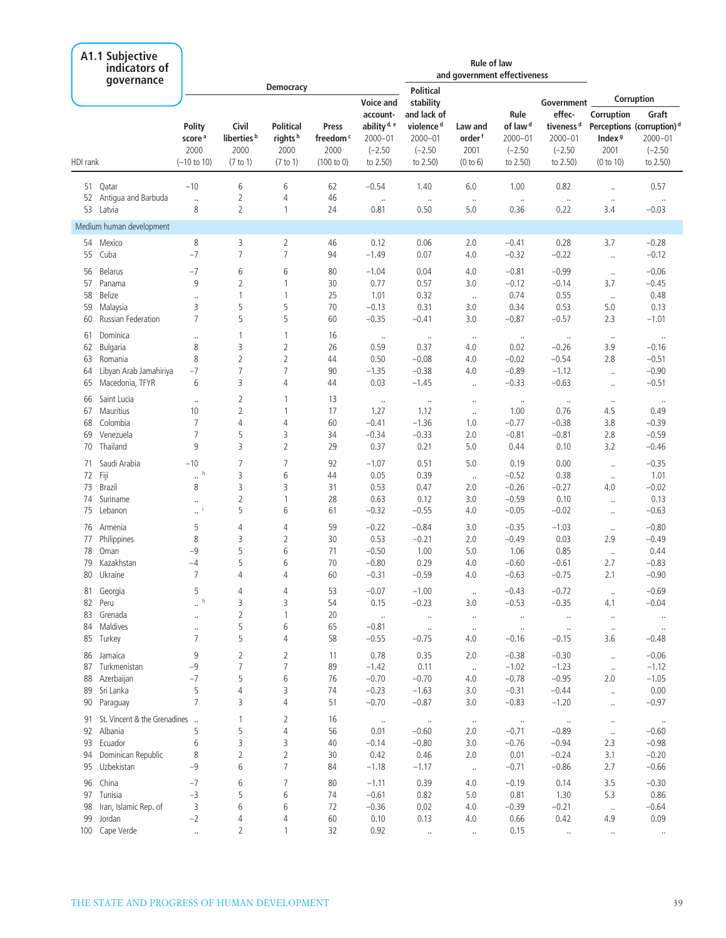|                                                                                                                                                                                                                                                                                                                                                                                                                                                                                                                                                                                                                                                                                                                                                                                                                                                                                                                                                                                                                                                                                                                                                                                                                                                                                                                                                                                                                                                                                                                                                                                                                                                                                                                                                                                                                                                                                                                                                                                                                                                                                                                                                                                                                                                                                                                                                                                                                                                                                                                                                                                                                                                                                                                                                                                                                                                                                                                                                                                                                                                                                                                                                                                                                                                                                                                                                                                                                                                                                                                                                                                                                                                                                                                                                                                                                                                                                                                                |                          |                                      |                                         |                                                 |                                       |                                                                 | <b>Rule of law</b><br>and government effectiveness               |                                       |                                                         |                                                                       |                                          |                                                                            |
|--------------------------------------------------------------------------------------------------------------------------------------------------------------------------------------------------------------------------------------------------------------------------------------------------------------------------------------------------------------------------------------------------------------------------------------------------------------------------------------------------------------------------------------------------------------------------------------------------------------------------------------------------------------------------------------------------------------------------------------------------------------------------------------------------------------------------------------------------------------------------------------------------------------------------------------------------------------------------------------------------------------------------------------------------------------------------------------------------------------------------------------------------------------------------------------------------------------------------------------------------------------------------------------------------------------------------------------------------------------------------------------------------------------------------------------------------------------------------------------------------------------------------------------------------------------------------------------------------------------------------------------------------------------------------------------------------------------------------------------------------------------------------------------------------------------------------------------------------------------------------------------------------------------------------------------------------------------------------------------------------------------------------------------------------------------------------------------------------------------------------------------------------------------------------------------------------------------------------------------------------------------------------------------------------------------------------------------------------------------------------------------------------------------------------------------------------------------------------------------------------------------------------------------------------------------------------------------------------------------------------------------------------------------------------------------------------------------------------------------------------------------------------------------------------------------------------------------------------------------------------------------------------------------------------------------------------------------------------------------------------------------------------------------------------------------------------------------------------------------------------------------------------------------------------------------------------------------------------------------------------------------------------------------------------------------------------------------------------------------------------------------------------------------------------------------------------------------------------------------------------------------------------------------------------------------------------------------------------------------------------------------------------------------------------------------------------------------------------------------------------------------------------------------------------------------------------------------------------------------------------------------------------------------------------------|--------------------------|--------------------------------------|-----------------------------------------|-------------------------------------------------|---------------------------------------|-----------------------------------------------------------------|------------------------------------------------------------------|---------------------------------------|---------------------------------------------------------|-----------------------------------------------------------------------|------------------------------------------|----------------------------------------------------------------------------|
|                                                                                                                                                                                                                                                                                                                                                                                                                                                                                                                                                                                                                                                                                                                                                                                                                                                                                                                                                                                                                                                                                                                                                                                                                                                                                                                                                                                                                                                                                                                                                                                                                                                                                                                                                                                                                                                                                                                                                                                                                                                                                                                                                                                                                                                                                                                                                                                                                                                                                                                                                                                                                                                                                                                                                                                                                                                                                                                                                                                                                                                                                                                                                                                                                                                                                                                                                                                                                                                                                                                                                                                                                                                                                                                                                                                                                                                                                                                                |                          |                                      |                                         | <b>Democracy</b>                                |                                       |                                                                 | <b>Political</b>                                                 |                                       |                                                         |                                                                       |                                          | Corruption                                                                 |
|                                                                                                                                                                                                                                                                                                                                                                                                                                                                                                                                                                                                                                                                                                                                                                                                                                                                                                                                                                                                                                                                                                                                                                                                                                                                                                                                                                                                                                                                                                                                                                                                                                                                                                                                                                                                                                                                                                                                                                                                                                                                                                                                                                                                                                                                                                                                                                                                                                                                                                                                                                                                                                                                                                                                                                                                                                                                                                                                                                                                                                                                                                                                                                                                                                                                                                                                                                                                                                                                                                                                                                                                                                                                                                                                                                                                                                                                                                                                |                          | Polity<br>score <sup>a</sup><br>2000 | Civil<br>liberties <sup>b</sup><br>2000 | <b>Political</b><br>rights <sup>b</sup><br>2000 | Press<br>freedom <sup>c</sup><br>2000 | account-<br>ability <sup>d, e</sup><br>$2000 - 01$<br>$(-2.50)$ | and lack of<br>violence <sup>d</sup><br>$2000 - 01$<br>$(-2.50)$ | Law and<br>order <sup>f</sup><br>2001 | Rule<br>of law <sup>d</sup><br>$2000 - 01$<br>$(-2.50)$ | Government<br>effec-<br>tiveness <sup>d</sup><br>2000-01<br>$(-2.50)$ | Corruption<br>Index <sup>9</sup><br>2001 | Graft<br>Perceptions (corruption) <sup>d</sup><br>$2000 - 01$<br>$(-2.50)$ |
| A1.1 Subjective<br>indicators of<br>qovernance<br>Voice and<br>stability<br>(100 to 0)<br>to 2.50)<br>to 2.50)<br>HDI rank<br>$(-10 \text{ to } 10)$<br>(7 to 1)<br>(7 to 1)<br>(0 to 6)<br>$-10$<br>6<br>6<br>$-0.54$<br>51<br>Qatar<br>62<br>1.40<br>6.0<br>52 Antigua and Barbuda<br>2<br>4<br>46<br><br>$\ldots$<br>$\ldots$<br>$\ldots$<br>8<br>$\overline{2}$<br>53 Latvia<br>$\mathbf{1}$<br>0.81<br>0.50<br>5.0<br>24<br>Medium human development<br>8<br>Mexico<br>3<br>$\overline{2}$<br>46<br>54<br>0.12<br>0.06<br>2.0<br>$-7$<br>$\overline{7}$<br>$\overline{7}$<br>55 Cuba<br>$-1.49$<br>94<br>0.07<br>4.0<br>$-7$<br>6<br>6<br>80<br>$-1.04$<br>0.04<br>56<br><b>Belarus</b><br>4.0<br>9<br>$\overline{2}$<br>$\mathbf{1}$<br>30<br>0.77<br>0.57<br>57<br>Panama<br>3.0<br>58<br>$\mathbf{1}$<br>25<br>1.01<br>0.32<br><b>Belize</b><br>1<br>$\ddotsc$<br>$\ldots$<br>5<br>5<br>59<br>3<br>70<br>$-0.13$<br>0.31<br>Malaysia<br>3.0<br>$\overline{7}$<br>5<br>5<br>60<br>$-0.35$<br>$-0.41$<br>60<br>Russian Federation<br>3.0<br>Dominica<br>1<br>16<br>61<br>1<br>$\ldots$<br>$\cdot$<br>$\ldots$<br>$\cdot\cdot$<br>3<br>$\overline{2}$<br>Bulgaria<br>8<br>26<br>0.59<br>62<br>0.37<br>4.0<br>$\overline{2}$<br>8<br>2<br>0.50<br>$-0.08$<br>63<br>Romania<br>44<br>4.0<br>$\overline{7}$<br>Libyan Arab Jamahiriya<br>$-7$<br>7<br>90<br>$-1.35$<br>$-0.38$<br>4.0<br>64<br>3<br>6<br>4<br>0.03<br>65<br>Macedonia, TFYR<br>44<br>$-1.45$<br>$\ldots$<br>Saint Lucia<br>66<br>2<br>1<br>13<br>$\ldots$<br>$\ldots$<br>$\ldots$<br>$\cdot\cdot$<br>$\overline{2}$<br>$\mathbf{1}$<br>17<br>67<br>Mauritius<br>10<br>1.27<br>1.12<br>$\ldots$<br>68<br>Colombia<br>7<br>$\overline{4}$<br>4<br>60<br>$-1.36$<br>$-0.41$<br>1.0<br>$\overline{7}$<br>5<br>Venezuela<br>3<br>34<br>$-0.34$<br>$-0.33$<br>2.0<br>69<br>9<br>3<br>$\overline{2}$<br>70<br>Thailand<br>29<br>0.37<br>0.21<br>5.0<br>Saudi Arabia<br>$-10$<br>7<br>7<br>92<br>0.51<br>5.0<br>$-1.07$<br>71<br>$\mathbb{Z}^{\mathfrak{h}}$<br>3<br>72 Fiji<br>6<br>0.05<br>44<br>0.39<br>$\ldots$<br>73<br>8<br>3<br>3<br>0.53<br>0.47<br>Brazil<br>31<br>2.0<br>$\overline{2}$<br>Suriname<br>28<br>0.63<br>0.12<br>74<br>$\mathbf{1}$<br>3.0<br>$\ldots$<br>5<br>75<br>Lebanon<br>6<br>61<br>$-0.32$<br>$-0.55$<br>$\cdot$ <sup>i</sup><br>4.0<br>5<br>4<br>59<br>$-0.84$<br>76<br>Armenia<br>4<br>$-0.22$<br>3.0<br>8<br>3<br>2<br>30<br>0.53<br>$-0.21$<br>77<br>Philippines<br>2.0<br>78<br>Oman<br>$-9$<br>5<br>6<br>$-0.50$<br>1.00<br>71<br>5.0<br>79<br>Kazakhstan<br>5<br>6<br>70<br>$-0.80$<br>0.29<br>$-4$<br>4.0<br>80 Ukraine<br>7<br>60<br>$-0.59$<br>4<br>4<br>$-0.31$<br>4.0<br>5<br>4<br>4<br>53<br>$-0.07$<br>Georgia<br>$-1.00$<br>81<br>$\cdot\cdot$<br>$\mathbb{Z}^{\mathfrak{h}}$<br>3<br>3<br>82 Peru<br>54<br>0.15<br>$-0.23$<br>3.0<br>$\overline{2}$<br>83 Grenada<br>1<br>20<br><br>$\ldots$<br>$\cdot\cdot$<br>$\cdot$<br>84 Maldives<br>5<br>6<br>65<br>$-0.81$<br>$\ldots$<br>$\ldots$<br>$\cdot\cdot$<br>5<br>85 Turkey<br>7<br>4<br>58<br>$-0.55$<br>$-0.75$<br>4.0<br>9<br>2<br>2<br>0.78<br>86 Jamaica<br>11<br>0.35<br>2.0<br>$\overline{7}$<br>$\overline{7}$<br>87 Turkmenistan<br>$-9$<br>89<br>$-1.42$<br>0.11<br>$\ldots$<br>88 Azerbaijan<br>$-7$<br>5<br>6<br>$-0.70$<br>$-0.70$<br>76<br>4.0<br>5<br>$\overline{4}$<br>3<br>89 Sri Lanka<br>74<br>$-0.23$<br>$-1.63$<br>3.0<br>$\overline{7}$<br>3<br>4<br>51<br>$-0.70$<br>$-0.87$<br>90 Paraguay<br>3.0<br>$\overline{2}$<br>91 St. Vincent & the Grenadines<br>16<br>1<br>$\sim$<br>$\cdot\cdot$<br>$\cdot\cdot$<br>5<br>5<br>4<br>56<br>92 Albania<br>0.01<br>$-0.60$<br>2.0<br>6<br>93 Ecuador<br>3<br>3<br>40<br>$-0.14$<br>$-0.80$<br>3.0<br>$\overline{2}$<br>$\overline{2}$<br>Dominican Republic<br>8<br>0.46<br>94<br>30<br>0.42<br>2.0<br>$\overline{7}$<br>$-9$<br>6<br>95 Uzbekistan<br>84<br>$-1.18$<br>$-1.17$<br>$\ldots$<br>96 China | to 2.50)                 | to 2.50)                             | (0 to 10)                               | to 2.50)                                        |                                       |                                                                 |                                                                  |                                       |                                                         |                                                                       |                                          |                                                                            |
|                                                                                                                                                                                                                                                                                                                                                                                                                                                                                                                                                                                                                                                                                                                                                                                                                                                                                                                                                                                                                                                                                                                                                                                                                                                                                                                                                                                                                                                                                                                                                                                                                                                                                                                                                                                                                                                                                                                                                                                                                                                                                                                                                                                                                                                                                                                                                                                                                                                                                                                                                                                                                                                                                                                                                                                                                                                                                                                                                                                                                                                                                                                                                                                                                                                                                                                                                                                                                                                                                                                                                                                                                                                                                                                                                                                                                                                                                                                                |                          |                                      |                                         |                                                 |                                       |                                                                 |                                                                  |                                       | 1.00                                                    | 0.82                                                                  | $\ddotsc$                                | 0.57                                                                       |
|                                                                                                                                                                                                                                                                                                                                                                                                                                                                                                                                                                                                                                                                                                                                                                                                                                                                                                                                                                                                                                                                                                                                                                                                                                                                                                                                                                                                                                                                                                                                                                                                                                                                                                                                                                                                                                                                                                                                                                                                                                                                                                                                                                                                                                                                                                                                                                                                                                                                                                                                                                                                                                                                                                                                                                                                                                                                                                                                                                                                                                                                                                                                                                                                                                                                                                                                                                                                                                                                                                                                                                                                                                                                                                                                                                                                                                                                                                                                |                          |                                      |                                         |                                                 |                                       |                                                                 |                                                                  |                                       | $\ldots$<br>0.36                                        | $\ldots$<br>0.22                                                      | $\cdot\cdot$<br>3.4                      | $\cdot\cdot$<br>$-0.03$                                                    |
|                                                                                                                                                                                                                                                                                                                                                                                                                                                                                                                                                                                                                                                                                                                                                                                                                                                                                                                                                                                                                                                                                                                                                                                                                                                                                                                                                                                                                                                                                                                                                                                                                                                                                                                                                                                                                                                                                                                                                                                                                                                                                                                                                                                                                                                                                                                                                                                                                                                                                                                                                                                                                                                                                                                                                                                                                                                                                                                                                                                                                                                                                                                                                                                                                                                                                                                                                                                                                                                                                                                                                                                                                                                                                                                                                                                                                                                                                                                                |                          |                                      |                                         |                                                 |                                       |                                                                 |                                                                  |                                       |                                                         |                                                                       |                                          |                                                                            |
|                                                                                                                                                                                                                                                                                                                                                                                                                                                                                                                                                                                                                                                                                                                                                                                                                                                                                                                                                                                                                                                                                                                                                                                                                                                                                                                                                                                                                                                                                                                                                                                                                                                                                                                                                                                                                                                                                                                                                                                                                                                                                                                                                                                                                                                                                                                                                                                                                                                                                                                                                                                                                                                                                                                                                                                                                                                                                                                                                                                                                                                                                                                                                                                                                                                                                                                                                                                                                                                                                                                                                                                                                                                                                                                                                                                                                                                                                                                                |                          |                                      |                                         |                                                 |                                       |                                                                 |                                                                  |                                       | $-0.41$                                                 | 0.28                                                                  | 3.7                                      | $-0.28$                                                                    |
|                                                                                                                                                                                                                                                                                                                                                                                                                                                                                                                                                                                                                                                                                                                                                                                                                                                                                                                                                                                                                                                                                                                                                                                                                                                                                                                                                                                                                                                                                                                                                                                                                                                                                                                                                                                                                                                                                                                                                                                                                                                                                                                                                                                                                                                                                                                                                                                                                                                                                                                                                                                                                                                                                                                                                                                                                                                                                                                                                                                                                                                                                                                                                                                                                                                                                                                                                                                                                                                                                                                                                                                                                                                                                                                                                                                                                                                                                                                                |                          |                                      |                                         |                                                 |                                       |                                                                 |                                                                  |                                       | $-0.32$                                                 | $-0.22$                                                               | $\ldots$                                 | $-0.12$                                                                    |
|                                                                                                                                                                                                                                                                                                                                                                                                                                                                                                                                                                                                                                                                                                                                                                                                                                                                                                                                                                                                                                                                                                                                                                                                                                                                                                                                                                                                                                                                                                                                                                                                                                                                                                                                                                                                                                                                                                                                                                                                                                                                                                                                                                                                                                                                                                                                                                                                                                                                                                                                                                                                                                                                                                                                                                                                                                                                                                                                                                                                                                                                                                                                                                                                                                                                                                                                                                                                                                                                                                                                                                                                                                                                                                                                                                                                                                                                                                                                |                          |                                      |                                         |                                                 |                                       |                                                                 |                                                                  |                                       | $-0.81$                                                 | $-0.99$                                                               |                                          | $-0.06$                                                                    |
|                                                                                                                                                                                                                                                                                                                                                                                                                                                                                                                                                                                                                                                                                                                                                                                                                                                                                                                                                                                                                                                                                                                                                                                                                                                                                                                                                                                                                                                                                                                                                                                                                                                                                                                                                                                                                                                                                                                                                                                                                                                                                                                                                                                                                                                                                                                                                                                                                                                                                                                                                                                                                                                                                                                                                                                                                                                                                                                                                                                                                                                                                                                                                                                                                                                                                                                                                                                                                                                                                                                                                                                                                                                                                                                                                                                                                                                                                                                                |                          |                                      |                                         |                                                 |                                       |                                                                 |                                                                  |                                       | $-0.12$                                                 | $-0.14$                                                               | $\ldots$<br>3.7                          | $-0.45$                                                                    |
|                                                                                                                                                                                                                                                                                                                                                                                                                                                                                                                                                                                                                                                                                                                                                                                                                                                                                                                                                                                                                                                                                                                                                                                                                                                                                                                                                                                                                                                                                                                                                                                                                                                                                                                                                                                                                                                                                                                                                                                                                                                                                                                                                                                                                                                                                                                                                                                                                                                                                                                                                                                                                                                                                                                                                                                                                                                                                                                                                                                                                                                                                                                                                                                                                                                                                                                                                                                                                                                                                                                                                                                                                                                                                                                                                                                                                                                                                                                                |                          |                                      |                                         |                                                 |                                       |                                                                 |                                                                  |                                       | 0.74                                                    | 0.55                                                                  | $\ldots$                                 | 0.48                                                                       |
|                                                                                                                                                                                                                                                                                                                                                                                                                                                                                                                                                                                                                                                                                                                                                                                                                                                                                                                                                                                                                                                                                                                                                                                                                                                                                                                                                                                                                                                                                                                                                                                                                                                                                                                                                                                                                                                                                                                                                                                                                                                                                                                                                                                                                                                                                                                                                                                                                                                                                                                                                                                                                                                                                                                                                                                                                                                                                                                                                                                                                                                                                                                                                                                                                                                                                                                                                                                                                                                                                                                                                                                                                                                                                                                                                                                                                                                                                                                                |                          |                                      |                                         |                                                 |                                       |                                                                 |                                                                  |                                       | 0.34                                                    | 0.53                                                                  | 5.0                                      | 0.13                                                                       |
|                                                                                                                                                                                                                                                                                                                                                                                                                                                                                                                                                                                                                                                                                                                                                                                                                                                                                                                                                                                                                                                                                                                                                                                                                                                                                                                                                                                                                                                                                                                                                                                                                                                                                                                                                                                                                                                                                                                                                                                                                                                                                                                                                                                                                                                                                                                                                                                                                                                                                                                                                                                                                                                                                                                                                                                                                                                                                                                                                                                                                                                                                                                                                                                                                                                                                                                                                                                                                                                                                                                                                                                                                                                                                                                                                                                                                                                                                                                                |                          |                                      |                                         |                                                 |                                       |                                                                 |                                                                  |                                       | $-0.87$                                                 | $-0.57$                                                               | 2.3                                      | $-1.01$                                                                    |
|                                                                                                                                                                                                                                                                                                                                                                                                                                                                                                                                                                                                                                                                                                                                                                                                                                                                                                                                                                                                                                                                                                                                                                                                                                                                                                                                                                                                                                                                                                                                                                                                                                                                                                                                                                                                                                                                                                                                                                                                                                                                                                                                                                                                                                                                                                                                                                                                                                                                                                                                                                                                                                                                                                                                                                                                                                                                                                                                                                                                                                                                                                                                                                                                                                                                                                                                                                                                                                                                                                                                                                                                                                                                                                                                                                                                                                                                                                                                |                          |                                      |                                         |                                                 |                                       |                                                                 |                                                                  |                                       | $\ldots$                                                | $\ldots$                                                              | $\cdot\cdot$                             | $\ldots$                                                                   |
|                                                                                                                                                                                                                                                                                                                                                                                                                                                                                                                                                                                                                                                                                                                                                                                                                                                                                                                                                                                                                                                                                                                                                                                                                                                                                                                                                                                                                                                                                                                                                                                                                                                                                                                                                                                                                                                                                                                                                                                                                                                                                                                                                                                                                                                                                                                                                                                                                                                                                                                                                                                                                                                                                                                                                                                                                                                                                                                                                                                                                                                                                                                                                                                                                                                                                                                                                                                                                                                                                                                                                                                                                                                                                                                                                                                                                                                                                                                                |                          |                                      |                                         |                                                 |                                       |                                                                 |                                                                  |                                       | 0.02                                                    | $-0.26$                                                               | 3.9                                      | $-0.16$                                                                    |
|                                                                                                                                                                                                                                                                                                                                                                                                                                                                                                                                                                                                                                                                                                                                                                                                                                                                                                                                                                                                                                                                                                                                                                                                                                                                                                                                                                                                                                                                                                                                                                                                                                                                                                                                                                                                                                                                                                                                                                                                                                                                                                                                                                                                                                                                                                                                                                                                                                                                                                                                                                                                                                                                                                                                                                                                                                                                                                                                                                                                                                                                                                                                                                                                                                                                                                                                                                                                                                                                                                                                                                                                                                                                                                                                                                                                                                                                                                                                |                          |                                      |                                         |                                                 |                                       |                                                                 |                                                                  |                                       | $-0.02$                                                 | $-0.54$                                                               | 2.8                                      | $-0.51$                                                                    |
|                                                                                                                                                                                                                                                                                                                                                                                                                                                                                                                                                                                                                                                                                                                                                                                                                                                                                                                                                                                                                                                                                                                                                                                                                                                                                                                                                                                                                                                                                                                                                                                                                                                                                                                                                                                                                                                                                                                                                                                                                                                                                                                                                                                                                                                                                                                                                                                                                                                                                                                                                                                                                                                                                                                                                                                                                                                                                                                                                                                                                                                                                                                                                                                                                                                                                                                                                                                                                                                                                                                                                                                                                                                                                                                                                                                                                                                                                                                                |                          |                                      |                                         |                                                 |                                       |                                                                 |                                                                  |                                       | $-0.89$                                                 | $-1.12$                                                               | $\ldots$                                 | $-0.90$                                                                    |
|                                                                                                                                                                                                                                                                                                                                                                                                                                                                                                                                                                                                                                                                                                                                                                                                                                                                                                                                                                                                                                                                                                                                                                                                                                                                                                                                                                                                                                                                                                                                                                                                                                                                                                                                                                                                                                                                                                                                                                                                                                                                                                                                                                                                                                                                                                                                                                                                                                                                                                                                                                                                                                                                                                                                                                                                                                                                                                                                                                                                                                                                                                                                                                                                                                                                                                                                                                                                                                                                                                                                                                                                                                                                                                                                                                                                                                                                                                                                |                          |                                      |                                         |                                                 |                                       |                                                                 |                                                                  |                                       | $-0.33$                                                 | $-0.63$                                                               | $\ddotsc$                                | $-0.51$                                                                    |
|                                                                                                                                                                                                                                                                                                                                                                                                                                                                                                                                                                                                                                                                                                                                                                                                                                                                                                                                                                                                                                                                                                                                                                                                                                                                                                                                                                                                                                                                                                                                                                                                                                                                                                                                                                                                                                                                                                                                                                                                                                                                                                                                                                                                                                                                                                                                                                                                                                                                                                                                                                                                                                                                                                                                                                                                                                                                                                                                                                                                                                                                                                                                                                                                                                                                                                                                                                                                                                                                                                                                                                                                                                                                                                                                                                                                                                                                                                                                |                          |                                      |                                         |                                                 |                                       |                                                                 |                                                                  |                                       | $\ldots$                                                | $\ldots$                                                              | $\cdot\cdot$                             | $\ldots$                                                                   |
|                                                                                                                                                                                                                                                                                                                                                                                                                                                                                                                                                                                                                                                                                                                                                                                                                                                                                                                                                                                                                                                                                                                                                                                                                                                                                                                                                                                                                                                                                                                                                                                                                                                                                                                                                                                                                                                                                                                                                                                                                                                                                                                                                                                                                                                                                                                                                                                                                                                                                                                                                                                                                                                                                                                                                                                                                                                                                                                                                                                                                                                                                                                                                                                                                                                                                                                                                                                                                                                                                                                                                                                                                                                                                                                                                                                                                                                                                                                                |                          |                                      |                                         |                                                 |                                       |                                                                 |                                                                  |                                       | 1.00                                                    | 0.76                                                                  | 4.5                                      | 0.49                                                                       |
|                                                                                                                                                                                                                                                                                                                                                                                                                                                                                                                                                                                                                                                                                                                                                                                                                                                                                                                                                                                                                                                                                                                                                                                                                                                                                                                                                                                                                                                                                                                                                                                                                                                                                                                                                                                                                                                                                                                                                                                                                                                                                                                                                                                                                                                                                                                                                                                                                                                                                                                                                                                                                                                                                                                                                                                                                                                                                                                                                                                                                                                                                                                                                                                                                                                                                                                                                                                                                                                                                                                                                                                                                                                                                                                                                                                                                                                                                                                                |                          |                                      |                                         |                                                 |                                       |                                                                 |                                                                  |                                       | $-0.77$                                                 | $-0.38$                                                               | 3.8                                      | $-0.39$                                                                    |
|                                                                                                                                                                                                                                                                                                                                                                                                                                                                                                                                                                                                                                                                                                                                                                                                                                                                                                                                                                                                                                                                                                                                                                                                                                                                                                                                                                                                                                                                                                                                                                                                                                                                                                                                                                                                                                                                                                                                                                                                                                                                                                                                                                                                                                                                                                                                                                                                                                                                                                                                                                                                                                                                                                                                                                                                                                                                                                                                                                                                                                                                                                                                                                                                                                                                                                                                                                                                                                                                                                                                                                                                                                                                                                                                                                                                                                                                                                                                |                          |                                      |                                         |                                                 |                                       |                                                                 |                                                                  |                                       | $-0.81$<br>0.44                                         | $-0.81$<br>0.10                                                       | 2.8<br>3.2                               | $-0.59$<br>$-0.46$                                                         |
|                                                                                                                                                                                                                                                                                                                                                                                                                                                                                                                                                                                                                                                                                                                                                                                                                                                                                                                                                                                                                                                                                                                                                                                                                                                                                                                                                                                                                                                                                                                                                                                                                                                                                                                                                                                                                                                                                                                                                                                                                                                                                                                                                                                                                                                                                                                                                                                                                                                                                                                                                                                                                                                                                                                                                                                                                                                                                                                                                                                                                                                                                                                                                                                                                                                                                                                                                                                                                                                                                                                                                                                                                                                                                                                                                                                                                                                                                                                                |                          |                                      |                                         |                                                 |                                       |                                                                 |                                                                  |                                       |                                                         |                                                                       |                                          |                                                                            |
|                                                                                                                                                                                                                                                                                                                                                                                                                                                                                                                                                                                                                                                                                                                                                                                                                                                                                                                                                                                                                                                                                                                                                                                                                                                                                                                                                                                                                                                                                                                                                                                                                                                                                                                                                                                                                                                                                                                                                                                                                                                                                                                                                                                                                                                                                                                                                                                                                                                                                                                                                                                                                                                                                                                                                                                                                                                                                                                                                                                                                                                                                                                                                                                                                                                                                                                                                                                                                                                                                                                                                                                                                                                                                                                                                                                                                                                                                                                                |                          |                                      |                                         |                                                 |                                       |                                                                 |                                                                  |                                       | 0.19<br>$-0.52$                                         | 0.00<br>0.38                                                          | $\ldots$                                 | $-0.35$<br>1.01                                                            |
|                                                                                                                                                                                                                                                                                                                                                                                                                                                                                                                                                                                                                                                                                                                                                                                                                                                                                                                                                                                                                                                                                                                                                                                                                                                                                                                                                                                                                                                                                                                                                                                                                                                                                                                                                                                                                                                                                                                                                                                                                                                                                                                                                                                                                                                                                                                                                                                                                                                                                                                                                                                                                                                                                                                                                                                                                                                                                                                                                                                                                                                                                                                                                                                                                                                                                                                                                                                                                                                                                                                                                                                                                                                                                                                                                                                                                                                                                                                                |                          |                                      |                                         |                                                 |                                       |                                                                 |                                                                  |                                       | $-0.26$                                                 | $-0.27$                                                               | $\ldots$<br>4.0                          | $-0.02$                                                                    |
|                                                                                                                                                                                                                                                                                                                                                                                                                                                                                                                                                                                                                                                                                                                                                                                                                                                                                                                                                                                                                                                                                                                                                                                                                                                                                                                                                                                                                                                                                                                                                                                                                                                                                                                                                                                                                                                                                                                                                                                                                                                                                                                                                                                                                                                                                                                                                                                                                                                                                                                                                                                                                                                                                                                                                                                                                                                                                                                                                                                                                                                                                                                                                                                                                                                                                                                                                                                                                                                                                                                                                                                                                                                                                                                                                                                                                                                                                                                                |                          |                                      |                                         |                                                 |                                       |                                                                 |                                                                  |                                       | $-0.59$                                                 | 0.10                                                                  |                                          | 0.13                                                                       |
|                                                                                                                                                                                                                                                                                                                                                                                                                                                                                                                                                                                                                                                                                                                                                                                                                                                                                                                                                                                                                                                                                                                                                                                                                                                                                                                                                                                                                                                                                                                                                                                                                                                                                                                                                                                                                                                                                                                                                                                                                                                                                                                                                                                                                                                                                                                                                                                                                                                                                                                                                                                                                                                                                                                                                                                                                                                                                                                                                                                                                                                                                                                                                                                                                                                                                                                                                                                                                                                                                                                                                                                                                                                                                                                                                                                                                                                                                                                                |                          |                                      |                                         |                                                 |                                       |                                                                 |                                                                  |                                       | $-0.05$                                                 | $-0.02$                                                               | $\ldots$<br>$\ddotsc$                    | $-0.63$                                                                    |
|                                                                                                                                                                                                                                                                                                                                                                                                                                                                                                                                                                                                                                                                                                                                                                                                                                                                                                                                                                                                                                                                                                                                                                                                                                                                                                                                                                                                                                                                                                                                                                                                                                                                                                                                                                                                                                                                                                                                                                                                                                                                                                                                                                                                                                                                                                                                                                                                                                                                                                                                                                                                                                                                                                                                                                                                                                                                                                                                                                                                                                                                                                                                                                                                                                                                                                                                                                                                                                                                                                                                                                                                                                                                                                                                                                                                                                                                                                                                |                          |                                      |                                         |                                                 |                                       |                                                                 |                                                                  |                                       | $-0.35$                                                 | $-1.03$                                                               | $\cdot\cdot$                             | $-0.80$                                                                    |
|                                                                                                                                                                                                                                                                                                                                                                                                                                                                                                                                                                                                                                                                                                                                                                                                                                                                                                                                                                                                                                                                                                                                                                                                                                                                                                                                                                                                                                                                                                                                                                                                                                                                                                                                                                                                                                                                                                                                                                                                                                                                                                                                                                                                                                                                                                                                                                                                                                                                                                                                                                                                                                                                                                                                                                                                                                                                                                                                                                                                                                                                                                                                                                                                                                                                                                                                                                                                                                                                                                                                                                                                                                                                                                                                                                                                                                                                                                                                |                          |                                      |                                         |                                                 |                                       |                                                                 |                                                                  |                                       | $-0.49$                                                 | 0.03                                                                  | 2.9                                      | $-0.49$                                                                    |
|                                                                                                                                                                                                                                                                                                                                                                                                                                                                                                                                                                                                                                                                                                                                                                                                                                                                                                                                                                                                                                                                                                                                                                                                                                                                                                                                                                                                                                                                                                                                                                                                                                                                                                                                                                                                                                                                                                                                                                                                                                                                                                                                                                                                                                                                                                                                                                                                                                                                                                                                                                                                                                                                                                                                                                                                                                                                                                                                                                                                                                                                                                                                                                                                                                                                                                                                                                                                                                                                                                                                                                                                                                                                                                                                                                                                                                                                                                                                |                          |                                      |                                         |                                                 |                                       |                                                                 |                                                                  |                                       | 1.06                                                    | 0.85                                                                  | $\ldots$                                 | 0.44                                                                       |
|                                                                                                                                                                                                                                                                                                                                                                                                                                                                                                                                                                                                                                                                                                                                                                                                                                                                                                                                                                                                                                                                                                                                                                                                                                                                                                                                                                                                                                                                                                                                                                                                                                                                                                                                                                                                                                                                                                                                                                                                                                                                                                                                                                                                                                                                                                                                                                                                                                                                                                                                                                                                                                                                                                                                                                                                                                                                                                                                                                                                                                                                                                                                                                                                                                                                                                                                                                                                                                                                                                                                                                                                                                                                                                                                                                                                                                                                                                                                |                          |                                      |                                         |                                                 |                                       |                                                                 |                                                                  |                                       | $-0.60$                                                 | $-0.61$                                                               | 2.7                                      | $-0.83$                                                                    |
|                                                                                                                                                                                                                                                                                                                                                                                                                                                                                                                                                                                                                                                                                                                                                                                                                                                                                                                                                                                                                                                                                                                                                                                                                                                                                                                                                                                                                                                                                                                                                                                                                                                                                                                                                                                                                                                                                                                                                                                                                                                                                                                                                                                                                                                                                                                                                                                                                                                                                                                                                                                                                                                                                                                                                                                                                                                                                                                                                                                                                                                                                                                                                                                                                                                                                                                                                                                                                                                                                                                                                                                                                                                                                                                                                                                                                                                                                                                                |                          |                                      |                                         |                                                 |                                       |                                                                 |                                                                  |                                       | $-0.63$                                                 | $-0.75$                                                               | 2.1                                      | $-0.90$                                                                    |
|                                                                                                                                                                                                                                                                                                                                                                                                                                                                                                                                                                                                                                                                                                                                                                                                                                                                                                                                                                                                                                                                                                                                                                                                                                                                                                                                                                                                                                                                                                                                                                                                                                                                                                                                                                                                                                                                                                                                                                                                                                                                                                                                                                                                                                                                                                                                                                                                                                                                                                                                                                                                                                                                                                                                                                                                                                                                                                                                                                                                                                                                                                                                                                                                                                                                                                                                                                                                                                                                                                                                                                                                                                                                                                                                                                                                                                                                                                                                |                          |                                      |                                         |                                                 |                                       |                                                                 |                                                                  |                                       | $-0.43$                                                 | $-0.72$                                                               | $\cdot$                                  | $-0.69$                                                                    |
|                                                                                                                                                                                                                                                                                                                                                                                                                                                                                                                                                                                                                                                                                                                                                                                                                                                                                                                                                                                                                                                                                                                                                                                                                                                                                                                                                                                                                                                                                                                                                                                                                                                                                                                                                                                                                                                                                                                                                                                                                                                                                                                                                                                                                                                                                                                                                                                                                                                                                                                                                                                                                                                                                                                                                                                                                                                                                                                                                                                                                                                                                                                                                                                                                                                                                                                                                                                                                                                                                                                                                                                                                                                                                                                                                                                                                                                                                                                                |                          |                                      |                                         |                                                 |                                       |                                                                 |                                                                  |                                       | $-0.53$                                                 | $-0.35$                                                               | 4.1                                      | $-0.04$                                                                    |
|                                                                                                                                                                                                                                                                                                                                                                                                                                                                                                                                                                                                                                                                                                                                                                                                                                                                                                                                                                                                                                                                                                                                                                                                                                                                                                                                                                                                                                                                                                                                                                                                                                                                                                                                                                                                                                                                                                                                                                                                                                                                                                                                                                                                                                                                                                                                                                                                                                                                                                                                                                                                                                                                                                                                                                                                                                                                                                                                                                                                                                                                                                                                                                                                                                                                                                                                                                                                                                                                                                                                                                                                                                                                                                                                                                                                                                                                                                                                |                          |                                      |                                         |                                                 |                                       |                                                                 |                                                                  |                                       | $\ldots$                                                | $\ldots$                                                              | $\cdot\cdot$                             | $\cdot\cdot$                                                               |
|                                                                                                                                                                                                                                                                                                                                                                                                                                                                                                                                                                                                                                                                                                                                                                                                                                                                                                                                                                                                                                                                                                                                                                                                                                                                                                                                                                                                                                                                                                                                                                                                                                                                                                                                                                                                                                                                                                                                                                                                                                                                                                                                                                                                                                                                                                                                                                                                                                                                                                                                                                                                                                                                                                                                                                                                                                                                                                                                                                                                                                                                                                                                                                                                                                                                                                                                                                                                                                                                                                                                                                                                                                                                                                                                                                                                                                                                                                                                |                          |                                      |                                         |                                                 |                                       |                                                                 |                                                                  |                                       | $\cdot\cdot$                                            | $\cdot$                                                               | $\cdot\cdot$                             | $\ldots$                                                                   |
|                                                                                                                                                                                                                                                                                                                                                                                                                                                                                                                                                                                                                                                                                                                                                                                                                                                                                                                                                                                                                                                                                                                                                                                                                                                                                                                                                                                                                                                                                                                                                                                                                                                                                                                                                                                                                                                                                                                                                                                                                                                                                                                                                                                                                                                                                                                                                                                                                                                                                                                                                                                                                                                                                                                                                                                                                                                                                                                                                                                                                                                                                                                                                                                                                                                                                                                                                                                                                                                                                                                                                                                                                                                                                                                                                                                                                                                                                                                                |                          |                                      |                                         |                                                 |                                       |                                                                 |                                                                  |                                       | $-0.16$                                                 | $-0.15$                                                               | 3.6                                      | $-0.48$                                                                    |
|                                                                                                                                                                                                                                                                                                                                                                                                                                                                                                                                                                                                                                                                                                                                                                                                                                                                                                                                                                                                                                                                                                                                                                                                                                                                                                                                                                                                                                                                                                                                                                                                                                                                                                                                                                                                                                                                                                                                                                                                                                                                                                                                                                                                                                                                                                                                                                                                                                                                                                                                                                                                                                                                                                                                                                                                                                                                                                                                                                                                                                                                                                                                                                                                                                                                                                                                                                                                                                                                                                                                                                                                                                                                                                                                                                                                                                                                                                                                |                          |                                      |                                         |                                                 |                                       |                                                                 |                                                                  |                                       | $-0.38$                                                 | $-0.30$                                                               | $\ldots$                                 | $-0.06$                                                                    |
|                                                                                                                                                                                                                                                                                                                                                                                                                                                                                                                                                                                                                                                                                                                                                                                                                                                                                                                                                                                                                                                                                                                                                                                                                                                                                                                                                                                                                                                                                                                                                                                                                                                                                                                                                                                                                                                                                                                                                                                                                                                                                                                                                                                                                                                                                                                                                                                                                                                                                                                                                                                                                                                                                                                                                                                                                                                                                                                                                                                                                                                                                                                                                                                                                                                                                                                                                                                                                                                                                                                                                                                                                                                                                                                                                                                                                                                                                                                                |                          |                                      |                                         |                                                 |                                       |                                                                 |                                                                  |                                       | $-1.02$                                                 | $-1.23$                                                               | $\ldots$                                 | $-1.12$                                                                    |
|                                                                                                                                                                                                                                                                                                                                                                                                                                                                                                                                                                                                                                                                                                                                                                                                                                                                                                                                                                                                                                                                                                                                                                                                                                                                                                                                                                                                                                                                                                                                                                                                                                                                                                                                                                                                                                                                                                                                                                                                                                                                                                                                                                                                                                                                                                                                                                                                                                                                                                                                                                                                                                                                                                                                                                                                                                                                                                                                                                                                                                                                                                                                                                                                                                                                                                                                                                                                                                                                                                                                                                                                                                                                                                                                                                                                                                                                                                                                |                          |                                      |                                         |                                                 |                                       |                                                                 |                                                                  |                                       | $-0.78$<br>$-0.31$                                      | $-0.95$<br>$-0.44$                                                    | 2.0                                      | $-1.05$                                                                    |
|                                                                                                                                                                                                                                                                                                                                                                                                                                                                                                                                                                                                                                                                                                                                                                                                                                                                                                                                                                                                                                                                                                                                                                                                                                                                                                                                                                                                                                                                                                                                                                                                                                                                                                                                                                                                                                                                                                                                                                                                                                                                                                                                                                                                                                                                                                                                                                                                                                                                                                                                                                                                                                                                                                                                                                                                                                                                                                                                                                                                                                                                                                                                                                                                                                                                                                                                                                                                                                                                                                                                                                                                                                                                                                                                                                                                                                                                                                                                |                          |                                      |                                         |                                                 |                                       |                                                                 |                                                                  |                                       | $-0.83$                                                 | $-1.20$                                                               | $\ldots$<br>$\ldots$                     | 0.00<br>$-0.97$                                                            |
|                                                                                                                                                                                                                                                                                                                                                                                                                                                                                                                                                                                                                                                                                                                                                                                                                                                                                                                                                                                                                                                                                                                                                                                                                                                                                                                                                                                                                                                                                                                                                                                                                                                                                                                                                                                                                                                                                                                                                                                                                                                                                                                                                                                                                                                                                                                                                                                                                                                                                                                                                                                                                                                                                                                                                                                                                                                                                                                                                                                                                                                                                                                                                                                                                                                                                                                                                                                                                                                                                                                                                                                                                                                                                                                                                                                                                                                                                                                                |                          |                                      |                                         |                                                 |                                       |                                                                 |                                                                  |                                       |                                                         |                                                                       |                                          |                                                                            |
|                                                                                                                                                                                                                                                                                                                                                                                                                                                                                                                                                                                                                                                                                                                                                                                                                                                                                                                                                                                                                                                                                                                                                                                                                                                                                                                                                                                                                                                                                                                                                                                                                                                                                                                                                                                                                                                                                                                                                                                                                                                                                                                                                                                                                                                                                                                                                                                                                                                                                                                                                                                                                                                                                                                                                                                                                                                                                                                                                                                                                                                                                                                                                                                                                                                                                                                                                                                                                                                                                                                                                                                                                                                                                                                                                                                                                                                                                                                                |                          |                                      |                                         |                                                 |                                       |                                                                 |                                                                  |                                       | $\cdot$                                                 | $\cdots$<br>$-0.89$                                                   | $\cdot\cdot$                             | $\cdots$                                                                   |
|                                                                                                                                                                                                                                                                                                                                                                                                                                                                                                                                                                                                                                                                                                                                                                                                                                                                                                                                                                                                                                                                                                                                                                                                                                                                                                                                                                                                                                                                                                                                                                                                                                                                                                                                                                                                                                                                                                                                                                                                                                                                                                                                                                                                                                                                                                                                                                                                                                                                                                                                                                                                                                                                                                                                                                                                                                                                                                                                                                                                                                                                                                                                                                                                                                                                                                                                                                                                                                                                                                                                                                                                                                                                                                                                                                                                                                                                                                                                |                          |                                      |                                         |                                                 |                                       |                                                                 |                                                                  |                                       | $-0.71$<br>$-0.76$                                      | $-0.94$                                                               | $\ldots$                                 | $-0.60$<br>$-0.98$                                                         |
|                                                                                                                                                                                                                                                                                                                                                                                                                                                                                                                                                                                                                                                                                                                                                                                                                                                                                                                                                                                                                                                                                                                                                                                                                                                                                                                                                                                                                                                                                                                                                                                                                                                                                                                                                                                                                                                                                                                                                                                                                                                                                                                                                                                                                                                                                                                                                                                                                                                                                                                                                                                                                                                                                                                                                                                                                                                                                                                                                                                                                                                                                                                                                                                                                                                                                                                                                                                                                                                                                                                                                                                                                                                                                                                                                                                                                                                                                                                                |                          |                                      |                                         |                                                 |                                       |                                                                 |                                                                  |                                       | 0.01                                                    | $-0.24$                                                               | 2.3<br>3.1                               | $-0.20$                                                                    |
|                                                                                                                                                                                                                                                                                                                                                                                                                                                                                                                                                                                                                                                                                                                                                                                                                                                                                                                                                                                                                                                                                                                                                                                                                                                                                                                                                                                                                                                                                                                                                                                                                                                                                                                                                                                                                                                                                                                                                                                                                                                                                                                                                                                                                                                                                                                                                                                                                                                                                                                                                                                                                                                                                                                                                                                                                                                                                                                                                                                                                                                                                                                                                                                                                                                                                                                                                                                                                                                                                                                                                                                                                                                                                                                                                                                                                                                                                                                                |                          |                                      |                                         |                                                 |                                       |                                                                 |                                                                  |                                       | $-0.71$                                                 | $-0.86$                                                               | 2.7                                      | $-0.66$                                                                    |
|                                                                                                                                                                                                                                                                                                                                                                                                                                                                                                                                                                                                                                                                                                                                                                                                                                                                                                                                                                                                                                                                                                                                                                                                                                                                                                                                                                                                                                                                                                                                                                                                                                                                                                                                                                                                                                                                                                                                                                                                                                                                                                                                                                                                                                                                                                                                                                                                                                                                                                                                                                                                                                                                                                                                                                                                                                                                                                                                                                                                                                                                                                                                                                                                                                                                                                                                                                                                                                                                                                                                                                                                                                                                                                                                                                                                                                                                                                                                |                          |                                      |                                         |                                                 |                                       |                                                                 |                                                                  |                                       |                                                         |                                                                       |                                          |                                                                            |
| 97 Tunisia                                                                                                                                                                                                                                                                                                                                                                                                                                                                                                                                                                                                                                                                                                                                                                                                                                                                                                                                                                                                                                                                                                                                                                                                                                                                                                                                                                                                                                                                                                                                                                                                                                                                                                                                                                                                                                                                                                                                                                                                                                                                                                                                                                                                                                                                                                                                                                                                                                                                                                                                                                                                                                                                                                                                                                                                                                                                                                                                                                                                                                                                                                                                                                                                                                                                                                                                                                                                                                                                                                                                                                                                                                                                                                                                                                                                                                                                                                                     |                          | $-7$<br>$-3$                         | 6<br>5                                  | 7<br>6                                          | 80<br>74                              | $-1.11$<br>$-0.61$                                              | 0.39<br>0.82                                                     | 4.0<br>5.0                            | $-0.19$<br>0.81                                         | 0.14<br>1.30                                                          | 3.5<br>5.3                               | $-0.30$<br>0.86                                                            |
|                                                                                                                                                                                                                                                                                                                                                                                                                                                                                                                                                                                                                                                                                                                                                                                                                                                                                                                                                                                                                                                                                                                                                                                                                                                                                                                                                                                                                                                                                                                                                                                                                                                                                                                                                                                                                                                                                                                                                                                                                                                                                                                                                                                                                                                                                                                                                                                                                                                                                                                                                                                                                                                                                                                                                                                                                                                                                                                                                                                                                                                                                                                                                                                                                                                                                                                                                                                                                                                                                                                                                                                                                                                                                                                                                                                                                                                                                                                                | 98 Iran, Islamic Rep. of | 3                                    | 6                                       | 6                                               | 72                                    | $-0.36$                                                         | 0.02                                                             | 4.0                                   | $-0.39$                                                 | $-0.21$                                                               |                                          | $-0.64$                                                                    |
| 99 Jordan                                                                                                                                                                                                                                                                                                                                                                                                                                                                                                                                                                                                                                                                                                                                                                                                                                                                                                                                                                                                                                                                                                                                                                                                                                                                                                                                                                                                                                                                                                                                                                                                                                                                                                                                                                                                                                                                                                                                                                                                                                                                                                                                                                                                                                                                                                                                                                                                                                                                                                                                                                                                                                                                                                                                                                                                                                                                                                                                                                                                                                                                                                                                                                                                                                                                                                                                                                                                                                                                                                                                                                                                                                                                                                                                                                                                                                                                                                                      |                          | $-2$                                 | 4                                       | 4                                               | 60                                    | 0.10                                                            | 0.13                                                             | 4.0                                   | 0.66                                                    | 0.42                                                                  | $\cdot\cdot$<br>4.9                      | 0.09                                                                       |
|                                                                                                                                                                                                                                                                                                                                                                                                                                                                                                                                                                                                                                                                                                                                                                                                                                                                                                                                                                                                                                                                                                                                                                                                                                                                                                                                                                                                                                                                                                                                                                                                                                                                                                                                                                                                                                                                                                                                                                                                                                                                                                                                                                                                                                                                                                                                                                                                                                                                                                                                                                                                                                                                                                                                                                                                                                                                                                                                                                                                                                                                                                                                                                                                                                                                                                                                                                                                                                                                                                                                                                                                                                                                                                                                                                                                                                                                                                                                | 100 Cape Verde           | $\ddotsc$                            | 2                                       | $\mathbf{1}$                                    | 32                                    | 0.92                                                            | $\ldots$                                                         | $\ldots$                              | 0.15                                                    | $\ldots$                                                              | $\cdot\cdot$                             | $\cdot$                                                                    |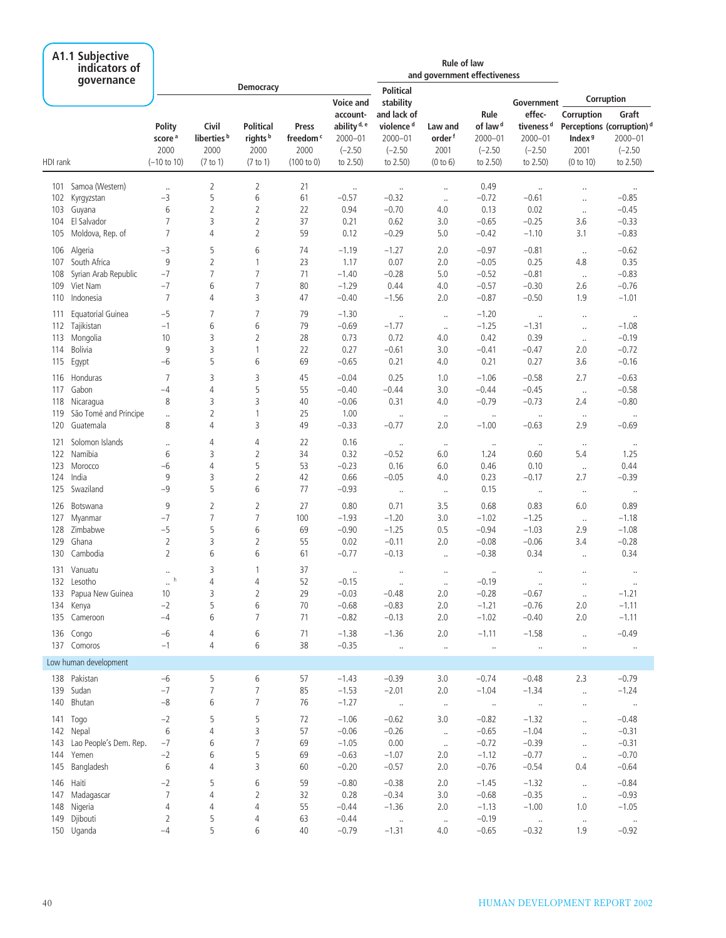|            | A1.1 Subjective<br>indicators of<br>qovernance |                                      |                                         |                                                 |                                       |                                                                                     |                                                                               | <b>Rule of law</b><br>and government effectiveness |                                                     |                                                                           |                                          |                                                                        |
|------------|------------------------------------------------|--------------------------------------|-----------------------------------------|-------------------------------------------------|---------------------------------------|-------------------------------------------------------------------------------------|-------------------------------------------------------------------------------|----------------------------------------------------|-----------------------------------------------------|---------------------------------------------------------------------------|------------------------------------------|------------------------------------------------------------------------|
|            |                                                |                                      |                                         | <b>Democracy</b>                                |                                       |                                                                                     | <b>Political</b>                                                              |                                                    |                                                     |                                                                           |                                          | Corruption                                                             |
|            |                                                | Polity<br>score <sup>a</sup><br>2000 | Civil<br>liberties <sup>b</sup><br>2000 | <b>Political</b><br>rights <sup>b</sup><br>2000 | Press<br>freedom <sup>c</sup><br>2000 | <b>Voice and</b><br>account-<br>ability <sup>d, e</sup><br>$2000 - 01$<br>$(-2.50)$ | stability<br>and lack of<br>violence <sup>d</sup><br>$2000 - 01$<br>$(-2.50)$ | Law and<br>order <sup>f</sup><br>2001              | Rule<br>of law <sup>d</sup><br>2000-01<br>$(-2.50)$ | Government<br>effec-<br>tiveness <sup>d</sup><br>$2000 - 01$<br>$(-2.50)$ | Corruption<br>Index <sup>9</sup><br>2001 | Graft<br>Perceptions (corruption) <sup>d</sup><br>2000-01<br>$(-2.50)$ |
| HDI rank   |                                                | $(-10 \text{ to } 10)$               | (7 to 1)                                | (7 to 1)                                        | (100 to 0)                            | to 2.50)                                                                            | to 2.50)                                                                      | (0 to 6)                                           | to 2.50)                                            | to 2.50)                                                                  | (0 to 10)                                | to 2.50)                                                               |
| 101        | Samoa (Western)                                | $\ldots$                             | $\overline{2}$                          | 2                                               | 21                                    | $\ldots$                                                                            | $\cdot\cdot$                                                                  | $\ddot{\phantom{a}}$                               | 0.49                                                | $\ldots$                                                                  | $\ddot{\phantom{a}}$                     | $\ldots$                                                               |
| 102        | Kyrgyzstan                                     | $-3$                                 | 5                                       | 6                                               | 61                                    | $-0.57$                                                                             | $-0.32$                                                                       | $\cdot\cdot$                                       | $-0.72$                                             | $-0.61$                                                                   | $\ddot{\phantom{a}}$                     | $-0.85$                                                                |
| 103        | Guyana                                         | 6                                    | 2                                       | 2                                               | 22                                    | 0.94                                                                                | $-0.70$                                                                       | 4.0                                                | 0.13                                                | 0.02                                                                      | $\ldots$                                 | $-0.45$                                                                |
| 104        | El Salvador                                    | 7                                    | 3                                       | 2                                               | 37                                    | 0.21                                                                                | 0.62                                                                          | 3.0                                                | $-0.65$                                             | $-0.25$                                                                   | 3.6                                      | $-0.33$                                                                |
| 105        | Moldova, Rep. of                               | $\overline{7}$                       | 4                                       | $\overline{2}$                                  | 59                                    | 0.12                                                                                | $-0.29$                                                                       | 5.0                                                | $-0.42$                                             | $-1.10$                                                                   | 3.1                                      | $-0.83$                                                                |
|            | 106 Algeria                                    | $-3$                                 | 5                                       | 6                                               | 74                                    | $-1.19$                                                                             | $-1.27$                                                                       | 2.0                                                | $-0.97$                                             | $-0.81$                                                                   | $\cdot\cdot$                             | $-0.62$                                                                |
| 107        | South Africa                                   | 9                                    | $\overline{2}$                          | $\mathbf{1}$                                    | 23                                    | 1.17                                                                                | 0.07                                                                          | 2.0                                                | $-0.05$                                             | 0.25                                                                      | 4.8                                      | 0.35                                                                   |
| 108        | Syrian Arab Republic                           | $-7$                                 | 7                                       | 7                                               | 71                                    | $-1.40$                                                                             | $-0.28$                                                                       | 5.0                                                | $-0.52$                                             | $-0.81$                                                                   | $\ldots$                                 | $-0.83$                                                                |
| 109        | Viet Nam                                       | $-7$                                 | 6                                       | 7                                               | 80                                    | $-1.29$                                                                             | 0.44                                                                          | 4.0                                                | $-0.57$                                             | $-0.30$                                                                   | 2.6                                      | $-0.76$                                                                |
| 110        | Indonesia                                      | 7                                    | 4                                       | 3                                               | 47                                    | $-0.40$                                                                             | $-1.56$                                                                       | 2.0                                                | $-0.87$                                             | $-0.50$                                                                   | 1.9                                      | $-1.01$                                                                |
| 111        | Equatorial Guinea                              | $-5$                                 | 7                                       | 7                                               | 79                                    | $-1.30$                                                                             | $\ldots$                                                                      | $\ldots$                                           | $-1.20$                                             | $\ldots$                                                                  | $\ldots$                                 | $\ldots$                                                               |
| 112        | Tajikistan                                     | $-1$                                 | 6                                       | 6                                               | 79                                    | $-0.69$                                                                             | $-1.77$                                                                       | $\cdot\cdot$                                       | $-1.25$                                             | $-1.31$                                                                   | $\ddot{\phantom{a}}$                     | $-1.08$                                                                |
| 113        | Mongolia                                       | 10                                   | 3                                       | 2                                               | 28                                    | 0.73                                                                                | 0.72                                                                          | 4.0                                                | 0.42                                                | 0.39                                                                      | $\ldots$                                 | $-0.19$                                                                |
| 114        | <b>Bolivia</b>                                 | 9                                    | 3                                       | $\mathbf{1}$                                    | 22                                    | 0.27                                                                                | $-0.61$                                                                       | 3.0                                                | $-0.41$                                             | $-0.47$                                                                   | 2.0                                      | $-0.72$                                                                |
| 115        | Egypt                                          | $-6$                                 | 5                                       | 6                                               | 69                                    | $-0.65$                                                                             | 0.21                                                                          | 4.0                                                | 0.21                                                | 0.27                                                                      | 3.6                                      | $-0.16$                                                                |
| 116        | Honduras                                       | 7                                    | 3                                       | 3                                               | 45                                    | $-0.04$                                                                             | 0.25                                                                          | 1.0                                                | $-1.06$                                             | $-0.58$                                                                   | 2.7                                      | $-0.63$                                                                |
| 117        | Gabon                                          | $-4$                                 | 4                                       | 5                                               | 55                                    | $-0.40$                                                                             | $-0.44$                                                                       | 3.0                                                | $-0.44$                                             | $-0.45$                                                                   | $\ldots$                                 | $-0.58$                                                                |
| 118        | Nicaragua                                      | 8                                    | 3                                       | 3                                               | 40                                    | $-0.06$                                                                             | 0.31                                                                          | 4.0                                                | $-0.79$                                             | $-0.73$                                                                   | 2.4                                      | $-0.80$                                                                |
| 119        | São Tomé and Principe                          |                                      | 2                                       | $\mathbf{1}$                                    | 25                                    | 1.00                                                                                | $\ldots$                                                                      | $\cdot\cdot$                                       | $\ldots$                                            | $\ldots$                                                                  | $\ddot{\phantom{0}}$                     | $\ldots$                                                               |
| 120        | Guatemala                                      | 8                                    | 4                                       | 3                                               | 49                                    | $-0.33$                                                                             | $-0.77$                                                                       | 2.0                                                | $-1.00$                                             | $-0.63$                                                                   | 2.9                                      | $-0.69$                                                                |
|            |                                                |                                      |                                         |                                                 |                                       |                                                                                     |                                                                               |                                                    |                                                     |                                                                           |                                          |                                                                        |
| 121<br>122 | Solomon Islands<br>Namibia                     | <br>6                                | 4<br>3                                  | 4<br>$\overline{2}$                             | 22<br>34                              | 0.16<br>0.32                                                                        | $\cdot\cdot$<br>$-0.52$                                                       | $\ldots$<br>6.0                                    | $\cdot\cdot$<br>1.24                                | $\ldots$<br>0.60                                                          | $\cdot\cdot$<br>5.4                      | $\cdot\cdot$<br>1.25                                                   |
| 123        | Morocco                                        | $-6$                                 | 4                                       | 5                                               | 53                                    | $-0.23$                                                                             | 0.16                                                                          | 6.0                                                | 0.46                                                | 0.10                                                                      |                                          | 0.44                                                                   |
| 124        | India                                          | 9                                    | 3                                       | 2                                               | 42                                    | 0.66                                                                                | $-0.05$                                                                       | 4.0                                                | 0.23                                                | $-0.17$                                                                   | $\cdot$<br>2.7                           | $-0.39$                                                                |
| 125        | Swaziland                                      | $-9$                                 | 5                                       | 6                                               | 77                                    | $-0.93$                                                                             |                                                                               |                                                    | 0.15                                                |                                                                           |                                          |                                                                        |
|            |                                                |                                      |                                         |                                                 |                                       |                                                                                     | $\cdot\cdot$                                                                  | $\cdot\cdot$                                       |                                                     | $\cdot\cdot$                                                              | $\cdot\cdot$                             | $\cdot$                                                                |
| 126        | Botswana                                       | 9                                    | 2                                       | 2                                               | 27                                    | 0.80                                                                                | 0.71                                                                          | 3.5                                                | 0.68                                                | 0.83                                                                      | 6.0                                      | 0.89                                                                   |
| 127        | Myanmar                                        | $-7$                                 | $\overline{7}$                          | $\overline{7}$                                  | 100                                   | $-1.93$                                                                             | $-1.20$                                                                       | 3.0                                                | $-1.02$                                             | $-1.25$                                                                   | $\ddotsc$                                | $-1.18$                                                                |
|            | 128 Zimbabwe                                   | $-5$                                 | 5                                       | 6                                               | 69                                    | $-0.90$                                                                             | $-1.25$                                                                       | 0.5                                                | $-0.94$                                             | $-1.03$                                                                   | 2.9                                      | $-1.08$                                                                |
| 129        | Ghana                                          | $\overline{2}$<br>$\overline{2}$     | 3<br>6                                  | 2                                               | 55                                    | 0.02                                                                                | $-0.11$                                                                       | 2.0                                                | $-0.08$                                             | $-0.06$                                                                   | 3.4                                      | $-0.28$                                                                |
|            | 130 Cambodia                                   |                                      |                                         | 6                                               | 61                                    | $-0.77$                                                                             | $-0.13$                                                                       | $\ldots$                                           | $-0.38$                                             | 0.34                                                                      | $\ldots$                                 | 0.34                                                                   |
|            | 131 Vanuatu                                    | $\ldots$                             | 3                                       | 1                                               | 37                                    | $\ldots$                                                                            | $\ldots$                                                                      | $\ldots$                                           | $\cdot$                                             | $\ddotsc$                                                                 |                                          | $\ldots$                                                               |
|            | 132 Lesotho                                    | h                                    | 4                                       |                                                 | 52                                    | $-0.15$                                                                             | $\cdots$                                                                      | $\cdots$                                           | $-0.19$                                             | $\cdots$                                                                  |                                          | $\cdot\cdot$                                                           |
|            | 133 Papua New Guinea                           | 10                                   | 3                                       | 2                                               | 29                                    | $-0.03$                                                                             | $-0.48$                                                                       | 2.0                                                | $-0.28$                                             | $-0.67$                                                                   | $\sim$                                   | $-1.21$                                                                |
|            | 134 Kenya                                      | $-2$                                 | 5                                       | 6                                               | 70                                    | $-0.68$                                                                             | $-0.83$                                                                       | 2.0                                                | $-1.21$                                             | $-0.76$                                                                   | 2.0                                      | $-1.11$                                                                |
|            | 135 Cameroon                                   | $-4$                                 | 6                                       | $\overline{7}$                                  | 71                                    | $-0.82$                                                                             | $-0.13$                                                                       | 2.0                                                | $-1.02$                                             | $-0.40$                                                                   | 2.0                                      | $-1.11$                                                                |
|            | 136 Congo                                      | $-6$                                 | 4                                       | 6                                               | 71                                    | $-1.38$                                                                             | $-1.36$                                                                       | 2.0                                                | $-1.11$                                             | $-1.58$                                                                   | $\ldots$                                 | $-0.49$                                                                |
|            | 137 Comoros                                    | $-1$                                 | 4                                       | 6                                               | 38                                    | $-0.35$                                                                             | $\sim$ 100 $\mu$                                                              | $\ldots$                                           | $\sim$ $\sim$                                       | $\sim$ $\sim$                                                             | $\cdot\cdot$                             | $\sim$ $\sim$                                                          |
|            | Low human development                          |                                      |                                         |                                                 |                                       |                                                                                     |                                                                               |                                                    |                                                     |                                                                           |                                          |                                                                        |
|            | 138 Pakistan                                   | $-6$                                 | 5                                       | 6                                               | 57                                    | $-1.43$                                                                             | $-0.39$                                                                       | 3.0                                                | $-0.74$                                             | $-0.48$                                                                   | 2.3                                      | $-0.79$                                                                |
|            | 139 Sudan                                      | $-7$                                 | 7                                       | 7                                               | 85                                    | $-1.53$                                                                             | $-2.01$                                                                       | 2.0                                                | $-1.04$                                             | $-1.34$                                                                   | $\ldots$                                 | $-1.24$                                                                |
|            | 140 Bhutan                                     | $-8$                                 | 6                                       | $\overline{7}$                                  | 76                                    | $-1.27$                                                                             | $\sim 100$                                                                    | $\sim$                                             | $\sim$ 100 $\mu$                                    | $\sim$ 100 $\mu$                                                          | $\ldots$                                 | $\sim$ $\sim$                                                          |
|            | 141 Togo                                       | $-2$                                 | 5                                       | 5                                               | 72                                    | $-1.06$                                                                             | $-0.62$                                                                       | 3.0                                                | $-0.82$                                             | $-1.32$                                                                   |                                          | $-0.48$                                                                |
|            | 142 Nepal                                      | 6                                    | 4                                       | 3                                               | 57                                    | $-0.06$                                                                             | $-0.26$                                                                       | $\sim$                                             | $-0.65$                                             | $-1.04$                                                                   | $\ldots$<br>$\ldots$                     | $-0.31$                                                                |
|            | 143 Lao People's Dem. Rep.                     | $-7$                                 | 6                                       | 7                                               | 69                                    | $-1.05$                                                                             | 0.00                                                                          | $\sim$                                             | $-0.72$                                             | $-0.39$                                                                   | $\ldots$                                 | $-0.31$                                                                |
|            | 144 Yemen                                      | $-2$                                 | 6                                       | 5                                               | 69                                    | $-0.63$                                                                             | $-1.07$                                                                       | 2.0                                                | $-1.12$                                             | $-0.77$                                                                   | $\ldots$                                 | $-0.70$                                                                |
|            | 145 Bangladesh                                 | 6                                    | 4                                       | 3                                               | 60                                    | $-0.20$                                                                             | $-0.57$                                                                       | 2.0                                                | $-0.76$                                             | $-0.54$                                                                   | 0.4                                      | $-0.64$                                                                |
|            |                                                |                                      |                                         |                                                 |                                       |                                                                                     |                                                                               |                                                    |                                                     |                                                                           |                                          |                                                                        |
|            | 146 Haiti                                      | $-2$<br>$\overline{7}$               | 5                                       | 6                                               | 59                                    | $-0.80$                                                                             | $-0.38$                                                                       | 2.0                                                | $-1.45$                                             | $-1.32$                                                                   | $\ldots$                                 | $-0.84$                                                                |
|            | 147 Madagascar                                 | 4                                    | 4                                       | 2<br>4                                          | 32<br>55                              | 0.28                                                                                | $-0.34$                                                                       | 3.0                                                | $-0.68$                                             | $-0.35$                                                                   | $\ddotsc$                                | $-0.93$<br>$-1.05$                                                     |
|            | 148 Nigeria<br>149 Djibouti                    | 2                                    | 4<br>5                                  |                                                 | 63                                    | $-0.44$<br>$-0.44$                                                                  | $-1.36$                                                                       | 2.0                                                | $-1.13$<br>$-0.19$                                  | $-1.00$                                                                   | 1.0                                      |                                                                        |
|            | 150 Uganda                                     | $-4$                                 | 5                                       | 4<br>6                                          | 40                                    | $-0.79$                                                                             | $\sim$ $\sim$<br>$-1.31$                                                      | $\ldots$<br>4.0                                    | $-0.65$                                             | $\sim$ 100 $\mu$<br>$-0.32$                                               | $\cdot$<br>1.9                           | $\sim$ $\sim$<br>$-0.92$                                               |
|            |                                                |                                      |                                         |                                                 |                                       |                                                                                     |                                                                               |                                                    |                                                     |                                                                           |                                          |                                                                        |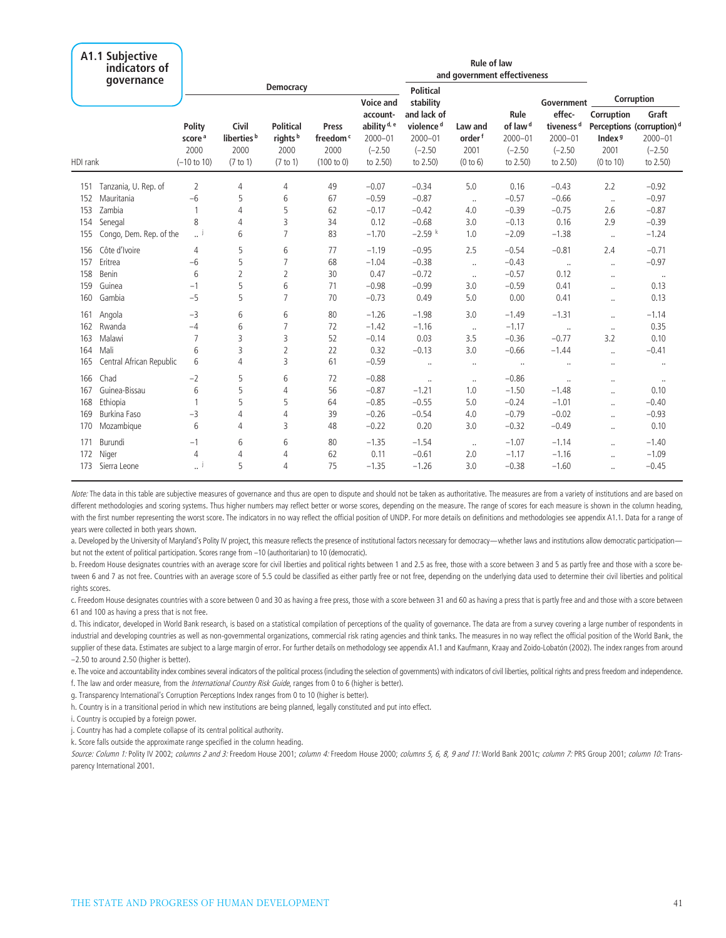|          | A1.1 Subjective<br>indicators of<br>qovernance |                                                                |                                                     |                                                             |                                                     |                                                                             |                                                                              | <b>Rule of law</b><br>and government effectiveness |                                                                     |                                                                         |                                                       |                                                                                        |
|----------|------------------------------------------------|----------------------------------------------------------------|-----------------------------------------------------|-------------------------------------------------------------|-----------------------------------------------------|-----------------------------------------------------------------------------|------------------------------------------------------------------------------|----------------------------------------------------|---------------------------------------------------------------------|-------------------------------------------------------------------------|-------------------------------------------------------|----------------------------------------------------------------------------------------|
|          |                                                |                                                                |                                                     | <b>Democracy</b>                                            |                                                     | <b>Voice and</b>                                                            | <b>Political</b><br>stability                                                |                                                    |                                                                     | Government                                                              |                                                       | Corruption                                                                             |
| HDI rank |                                                | Polity<br>score <sup>a</sup><br>2000<br>$(-10 \text{ to } 10)$ | Civil<br>liberties <sup>b</sup><br>2000<br>(7 to 1) | <b>Political</b><br>rights <sup>b</sup><br>2000<br>(7 to 1) | Press<br>freedom <sup>c</sup><br>2000<br>(100 to 0) | account-<br>ability <sup>d, e</sup><br>$2000 - 01$<br>$(-2.50)$<br>to 2.50) | and lack of<br>violence <sup>d</sup><br>$2000 - 01$<br>$(-2.50)$<br>to 2.50) | Law and<br>order <sup>f</sup><br>2001<br>(0 to 6)  | Rule<br>of law <sup>d</sup><br>$2000 - 01$<br>$(-2.50)$<br>to 2.50) | effec-<br>tiveness <sup>d</sup><br>$2000 - 01$<br>$(-2.50)$<br>to 2.50) | Corruption<br>Index <sup>9</sup><br>2001<br>(0 to 10) | Graft<br>Perceptions (corruption) <sup>d</sup><br>$2000 - 01$<br>$(-2.50)$<br>to 2.50) |
| 151      | Tanzania, U. Rep. of                           | $\overline{2}$                                                 | 4                                                   | 4                                                           | 49                                                  | $-0.07$                                                                     | $-0.34$                                                                      | 5.0                                                | 0.16                                                                | $-0.43$                                                                 | 2.2                                                   | $-0.92$                                                                                |
| 152      | Mauritania                                     | $-6$                                                           | 5                                                   | 6                                                           | 67                                                  | $-0.59$                                                                     | $-0.87$                                                                      | $\ldots$                                           | $-0.57$                                                             | $-0.66$                                                                 | $\ddotsc$                                             | $-0.97$                                                                                |
| 153      | Zambia                                         |                                                                | 4                                                   | 5                                                           | 62                                                  | $-0.17$                                                                     | $-0.42$                                                                      | 4.0                                                | $-0.39$                                                             | $-0.75$                                                                 | 2.6                                                   | $-0.87$                                                                                |
| 154      | Senegal                                        | 8                                                              | 4                                                   | 3                                                           | 34                                                  | 0.12                                                                        | $-0.68$                                                                      | 3.0                                                | $-0.13$                                                             | 0.16                                                                    | 2.9                                                   | $-0.39$                                                                                |
| 155      | Congo, Dem. Rep. of the                        | j                                                              | 6                                                   | 7                                                           | 83                                                  | $-1.70$                                                                     | $-2.59$ k                                                                    | 1.0                                                | $-2.09$                                                             | $-1.38$                                                                 | $\ddotsc$                                             | $-1.24$                                                                                |
| 156      | Côte d'Ivoire                                  | $\overline{4}$                                                 | 5                                                   | 6                                                           | 77                                                  | $-1.19$                                                                     | $-0.95$                                                                      | 2.5                                                | $-0.54$                                                             | $-0.81$                                                                 | 2.4                                                   | $-0.71$                                                                                |
| 157      | Eritrea                                        | $-6$                                                           | 5                                                   | $\overline{7}$                                              | 68                                                  | $-1.04$                                                                     | $-0.38$                                                                      | $\ddotsc$                                          | $-0.43$                                                             | $\ldots$                                                                | $\ddotsc$                                             | $-0.97$                                                                                |
| 158      | Benin                                          | 6                                                              | 2                                                   | 2                                                           | 30                                                  | 0.47                                                                        | $-0.72$                                                                      | $\ddotsc$                                          | $-0.57$                                                             | 0.12                                                                    | $\ddot{\phantom{a}}$                                  | $\cdot\cdot$                                                                           |
| 159      | Guinea                                         | $-1$                                                           | 5                                                   | 6                                                           | 71                                                  | $-0.98$                                                                     | $-0.99$                                                                      | 3.0                                                | $-0.59$                                                             | 0.41                                                                    | $\ddot{\phantom{a}}$                                  | 0.13                                                                                   |
| 160      | Gambia                                         | $-5$                                                           | 5                                                   | $\overline{7}$                                              | 70                                                  | $-0.73$                                                                     | 0.49                                                                         | 5.0                                                | 0.00                                                                | 0.41                                                                    | $\ddotsc$                                             | 0.13                                                                                   |
| 161      | Angola                                         | $-3$                                                           | 6                                                   | 6                                                           | 80                                                  | $-1.26$                                                                     | $-1.98$                                                                      | 3.0                                                | $-1.49$                                                             | $-1.31$                                                                 | $\ddot{\phantom{a}}$                                  | $-1.14$                                                                                |
| 162      | Rwanda                                         | $-4$                                                           | 6                                                   | 7                                                           | 72                                                  | $-1.42$                                                                     | $-1.16$                                                                      | $\ddotsc$                                          | $-1.17$                                                             | $\ddotsc$                                                               | $\ldots$                                              | 0.35                                                                                   |
| 163      | Malawi                                         | 7                                                              | 3                                                   | 3                                                           | 52                                                  | $-0.14$                                                                     | 0.03                                                                         | 3.5                                                | $-0.36$                                                             | $-0.77$                                                                 | 3.2                                                   | 0.10                                                                                   |
| 164      | Mali                                           | 6                                                              | 3                                                   | 2                                                           | 22                                                  | 0.32                                                                        | $-0.13$                                                                      | 3.0                                                | $-0.66$                                                             | $-1.44$                                                                 | $\ddot{\phantom{a}}$                                  | $-0.41$                                                                                |
| 165      | Central African Republic                       | 6                                                              | 4                                                   | 3                                                           | 61                                                  | $-0.59$                                                                     | $\ldots$                                                                     |                                                    | $\ldots$                                                            | $\ldots$                                                                | $\ldots$                                              | $\cdot\cdot$                                                                           |
| 166      | Chad                                           | $-2$                                                           | 5                                                   | 6                                                           | 72                                                  | $-0.88$                                                                     | $\ddot{\phantom{a}}$                                                         |                                                    | $-0.86$                                                             | $\ddot{\phantom{a}}$                                                    | $\ldots$                                              | $\cdot\cdot$                                                                           |
| 167      | Guinea-Bissau                                  | 6                                                              | 5                                                   | 4                                                           | 56                                                  | $-0.87$                                                                     | $-1.21$                                                                      | 1.0                                                | $-1.50$                                                             | $-1.48$                                                                 | $\ddot{\phantom{a}}$                                  | 0.10                                                                                   |
| 168      | Ethiopia                                       |                                                                | 5                                                   | 5                                                           | 64                                                  | $-0.85$                                                                     | $-0.55$                                                                      | 5.0                                                | $-0.24$                                                             | $-1.01$                                                                 | $\ddotsc$                                             | $-0.40$                                                                                |
| 169      | Burkina Faso                                   | $-3$                                                           | 4                                                   | 4                                                           | 39                                                  | $-0.26$                                                                     | $-0.54$                                                                      | 4.0                                                | $-0.79$                                                             | $-0.02$                                                                 | $\ddotsc$                                             | $-0.93$                                                                                |
| 170      | Mozambique                                     | 6                                                              | 4                                                   | 3                                                           | 48                                                  | $-0.22$                                                                     | 0.20                                                                         | 3.0                                                | $-0.32$                                                             | $-0.49$                                                                 | $\ddotsc$                                             | 0.10                                                                                   |
| 171      | Burundi                                        | $-1$                                                           | 6                                                   | 6                                                           | 80                                                  | $-1.35$                                                                     | $-1.54$                                                                      | $\cdot$                                            | $-1.07$                                                             | $-1.14$                                                                 | $\ddotsc$                                             | $-1.40$                                                                                |
| 172      | Niger                                          | 4                                                              | 4                                                   | 4                                                           | 62                                                  | 0.11                                                                        | $-0.61$                                                                      | 2.0                                                | $-1.17$                                                             | $-1.16$                                                                 | $\ddotsc$                                             | $-1.09$                                                                                |
| 173      | Sierra Leone                                   |                                                                | 5                                                   | 4                                                           | 75                                                  | $-1.35$                                                                     | $-1.26$                                                                      | 3.0                                                | $-0.38$                                                             | $-1.60$                                                                 | $\ddot{\phantom{a}}$                                  | $-0.45$                                                                                |

Note: The data in this table are subjective measures of governance and thus are open to dispute and should not be taken as authoritative. The measures are from a variety of institutions and are based on different methodologies and scoring systems. Thus higher numbers may reflect better or worse scores, depending on the measure. The range of scores for each measure is shown in the column heading, with the first number representing the worst score. The indicators in no way reflect the official position of UNDP. For more details on definitions and methodologies see appendix A1.1. Data for a range of years were collected in both years shown.

a. Developed by the University of Maryland's Polity IV project, this measure reflects the presence of institutional factors necessary for democracy—whether laws and institutions allow democratic participation but not the extent of political participation. Scores range from –10 (authoritarian) to 10 (democratic).

b. Freedom House designates countries with an average score for civil liberties and political rights between 1 and 2.5 as free, those with a score between 3 and 5 as partly free and those with a score between 6 and 7 as not free. Countries with an average score of 5.5 could be classified as either partly free or not free, depending on the underlying data used to determine their civil liberties and political rights scores.

c. Freedom House designates countries with a score between 0 and 30 as having a free press, those with a score between 31 and 60 as having a press that is partly free and and those with a score between 61 and 100 as having a press that is not free.

d. This indicator, developed in World Bank research, is based on a statistical compilation of perceptions of the quality of governance. The data are from a survey covering a large number of respondents in industrial and developing countries as well as non-governmental organizations, commercial risk rating agencies and think tanks. The measures in no way reflect the official position of the World Bank, the supplier of these data. Estimates are subject to a large margin of error. For further details on methodology see appendix A1.1 and Kaufmann, Kraay and Zoido-Lobatón (2002). The index ranges from around –2.50 to around 2.50 (higher is better).

e. The voice and accountability index combines several indicators of the political process (including the selection of governments) with indicators of civil liberties, political rights and press freedom and independence. f. The law and order measure, from the *International Country Risk Guide*, ranges from 0 to 6 (higher is better).

g. Transparency International's Corruption Perceptions Index ranges from 0 to 10 (higher is better).

h. Country is in a transitional period in which new institutions are being planned, legally constituted and put into effect.

i. Country is occupied by a foreign power.

j. Country has had a complete collapse of its central political authority.

k. Score falls outside the approximate range specified in the column heading.

Source: Column 1: Polity IV 2002; columns 2 and 3: Freedom House 2001; column 4: Freedom House 2000; columns 5, 6, 8, 9 and 11: World Bank 2001c; column 7: PRS Group 2001; column 10: Transparency International 2001.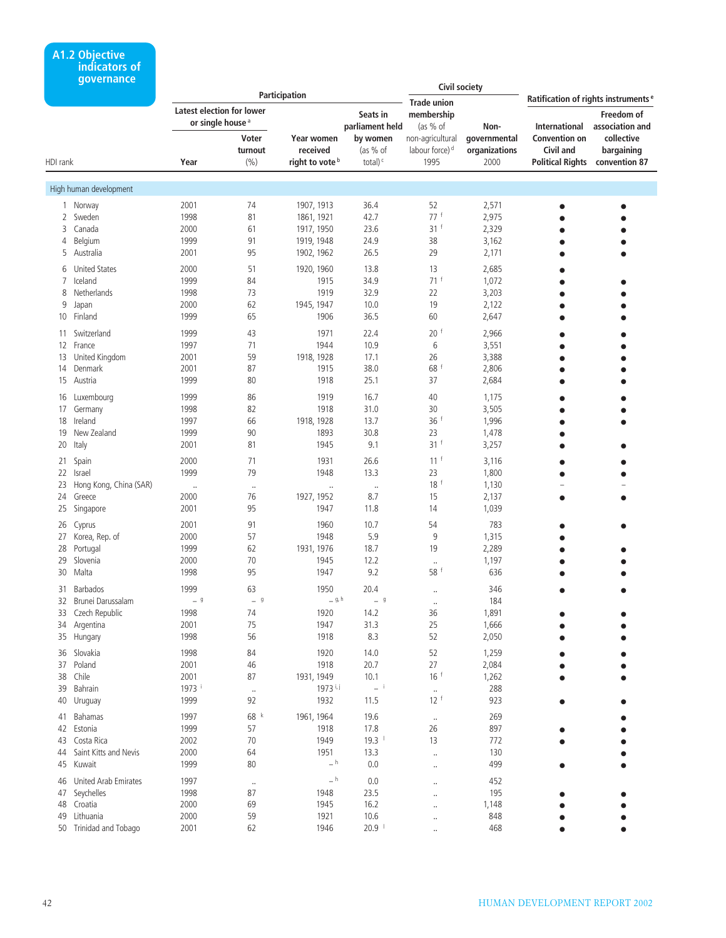### **A1.2 Objective indicators of governance**

|          |                           |         |                              | Participation              |                     |                             | <b>Civil society</b> |                                       |                                                 |
|----------|---------------------------|---------|------------------------------|----------------------------|---------------------|-----------------------------|----------------------|---------------------------------------|-------------------------------------------------|
|          |                           |         |                              |                            |                     | <b>Trade union</b>          |                      |                                       | Ratification of rights instruments <sup>e</sup> |
|          |                           |         | Latest election for lower    |                            | Seats in            | membership                  |                      |                                       | Freedom of                                      |
|          |                           |         | or single house <sup>a</sup> |                            | parliament held     | (as $%$ of                  | Non-                 | International                         | association and                                 |
|          |                           |         | Voter                        | Year women                 | by women            | non-agricultural            | governmental         | <b>Convention on</b>                  | collective                                      |
|          |                           |         |                              | received                   |                     | labour force) <sup>d</sup>  |                      | Civil and                             |                                                 |
|          |                           |         | turnout                      |                            | (as % of            |                             | organizations        |                                       | bargaining                                      |
| HDI rank |                           | Year    | (9/0)                        | right to vote <sup>b</sup> | total) <sup>c</sup> | 1995                        | 2000                 | <b>Political Rights convention 87</b> |                                                 |
|          | High human development    |         |                              |                            |                     |                             |                      |                                       |                                                 |
|          |                           |         |                              |                            |                     |                             |                      |                                       |                                                 |
| 1        | Norway                    | 2001    | 74                           | 1907, 1913                 | 36.4                | 52                          | 2,571                | $\bullet$                             |                                                 |
| 2        | Sweden                    | 1998    | 81                           | 1861, 1921                 | 42.7                | 77 f                        | 2,975                |                                       |                                                 |
| 3        | Canada                    | 2000    | 61                           | 1917, 1950                 | 23.6                | 31 <sup>f</sup>             | 2,329                |                                       |                                                 |
| 4        | Belgium                   | 1999    | 91                           | 1919, 1948                 | 24.9                | 38                          | 3,162                |                                       |                                                 |
| 5        | Australia                 | 2001    | 95                           | 1902, 1962                 | 26.5                | 29                          | 2,171                | $\bullet$                             |                                                 |
| 6        | <b>United States</b>      | 2000    | 51                           | 1920, 1960                 | 13.8                | 13                          | 2,685                |                                       |                                                 |
| 7        | Iceland                   | 1999    | 84                           | 1915                       | 34.9                | 71 <sup>1</sup>             | 1,072                |                                       |                                                 |
| 8        | Netherlands               | 1998    | 73                           | 1919                       | 32.9                | 22                          | 3,203                |                                       |                                                 |
| 9        | Japan                     | 2000    | 62                           | 1945, 1947                 | 10.0                | 19                          | 2,122                |                                       |                                                 |
| 10       | Finland                   | 1999    | 65                           | 1906                       | 36.5                | 60                          | 2,647                | $\bullet$                             |                                                 |
|          |                           |         |                              |                            |                     |                             |                      |                                       |                                                 |
| 11       | Switzerland               | 1999    | 43                           | 1971                       | 22.4                | 20 <sup>†</sup>             | 2,966                |                                       |                                                 |
| 12       | France                    | 1997    | 71                           | 1944                       | 10.9                | 6                           | 3,551                |                                       |                                                 |
|          | 13 United Kingdom         | 2001    | 59                           | 1918, 1928                 | 17.1                | 26                          | 3,388                |                                       |                                                 |
| 14       | Denmark                   | 2001    | 87                           | 1915                       | 38.0                | 68 <sup>†</sup>             | 2,806                |                                       |                                                 |
| 15       | Austria                   | 1999    | 80                           | 1918                       | 25.1                | 37                          | 2,684                | $\bullet$                             |                                                 |
| 16       | Luxembourg                | 1999    | 86                           | 1919                       | 16.7                | 40                          | 1,175                |                                       |                                                 |
| 17       | Germany                   | 1998    | 82                           | 1918                       | 31.0                | 30                          | 3,505                |                                       |                                                 |
|          | 18 Ireland                | 1997    | 66                           | 1918, 1928                 | 13.7                | 36 <sup>†</sup>             | 1,996                |                                       |                                                 |
| 19       | New Zealand               | 1999    | 90                           | 1893                       | 30.8                | 23                          | 1,478                |                                       |                                                 |
|          |                           |         | 81                           |                            |                     | 31 f                        |                      |                                       |                                                 |
| 20       | Italy                     | 2001    |                              | 1945                       | 9.1                 |                             | 3,257                |                                       |                                                 |
| 21       | Spain                     | 2000    | 71                           | 1931                       | 26.6                | 11 <sup>†</sup>             | 3,116                |                                       |                                                 |
| 22       | Israel                    | 1999    | 79                           | 1948                       | 13.3                | 23                          | 1,800                | $\bullet$                             |                                                 |
|          | 23 Hong Kong, China (SAR) | $\cdot$ | $\ldots$                     | $\ldots$                   | $\cdot$             | 18 <sup>†</sup>             | 1,130                |                                       |                                                 |
|          | 24 Greece                 | 2000    | 76                           | 1927, 1952                 | 8.7                 | 15                          | 2,137                | $\bullet$                             |                                                 |
| 25       | Singapore                 | 2001    | 95                           | 1947                       | 11.8                | 14                          | 1,039                |                                       |                                                 |
| 26       | Cyprus                    | 2001    | 91                           | 1960                       | 10.7                | 54                          | 783                  |                                       |                                                 |
| 27       | Korea, Rep. of            | 2000    | 57                           | 1948                       | 5.9                 | 9                           | 1,315                |                                       |                                                 |
| 28       | Portugal                  | 1999    | 62                           | 1931, 1976                 | 18.7                | 19                          | 2,289                |                                       |                                                 |
|          |                           |         |                              |                            |                     |                             |                      |                                       |                                                 |
| 29<br>30 | Slovenia                  | 2000    | 70<br>95                     | 1945                       | 12.2<br>9.2         | $\cdot$<br>58 f             | 1,197                |                                       |                                                 |
|          | Malta                     | 1998    |                              | 1947                       |                     |                             | 636                  |                                       |                                                 |
| 31       | Barbados                  | 1999    | 63                           | 1950                       | 20.4                |                             | 346                  |                                       |                                                 |
| 32       | Brunei Darussalam         | $-9$    | $-9$                         | <sub>-</sub> g, h          | $-9$                | $\cdot$                     | 184                  |                                       |                                                 |
|          | 33 Czech Republic         | 1998    | 74                           | 1920                       | 14.2                | 36                          | 1,891                |                                       |                                                 |
|          | 34 Argentina              | 2001    | 75                           | 1947                       | 31.3                | 25                          | 1,666                |                                       |                                                 |
|          | 35 Hungary                | 1998    | 56                           | 1918                       | 8.3                 | 52                          | 2,050                |                                       |                                                 |
|          | 36 Slovakia               | 1998    | 84                           | 1920                       | 14.0                | 52                          | 1,259                |                                       |                                                 |
|          | 37 Poland                 | 2001    | 46                           | 1918                       | 20.7                | 27                          | 2,084                |                                       |                                                 |
|          | 38 Chile                  | 2001    | 87                           | 1931, 1949                 | 10.1                | 16 <sup>1</sup>             | 1,262                |                                       |                                                 |
|          | 39 Bahrain                | 1973 i  |                              | 1973 i, j                  | $\equiv$ $^{\rm i}$ |                             | 288                  |                                       |                                                 |
| 40       | Uruguay                   | 1999    | $\ldots$<br>92               | 1932                       | 11.5                | $\ldots$<br>12 <sup>f</sup> | 923                  |                                       |                                                 |
|          |                           |         |                              |                            |                     |                             |                      |                                       |                                                 |
| 41       | Bahamas                   | 1997    | 68 k                         | 1961, 1964                 | 19.6                | $\cdot$                     | 269                  |                                       |                                                 |
|          | 42 Estonia                | 1999    | 57                           | 1918                       | 17.8                | 26                          | 897                  |                                       |                                                 |
|          | 43 Costa Rica             | 2002    | 70                           | 1949                       | 19.3                | 13                          | 772                  |                                       |                                                 |
|          | 44 Saint Kitts and Nevis  | 2000    | 64                           | 1951                       | 13.3                | $\cdot$                     | 130                  |                                       |                                                 |
|          | 45 Kuwait                 | 1999    | 80                           | $-$ h                      | 0.0                 | $\ddotsc$                   | 499                  | $\bullet$                             |                                                 |
|          | 46 United Arab Emirates   | 1997    | $\cdot$                      | $-$ h                      | 0.0                 | $\ldots$                    | 452                  |                                       |                                                 |
|          | 47 Seychelles             | 1998    | 87                           | 1948                       | 23.5                | $\ddot{\phantom{0}}$        | 195                  |                                       |                                                 |
|          | 48 Croatia                | 2000    | 69                           | 1945                       | 16.2                |                             | 1,148                |                                       |                                                 |
|          | 49 Lithuania              | 2000    | 59                           | 1921                       | 10.6                | $\ldots$                    | 848                  |                                       |                                                 |
|          | 50 Trinidad and Tobago    | 2001    | 62                           | 1946                       | 20.9                | $\ldots$                    | 468                  | $\bullet$                             |                                                 |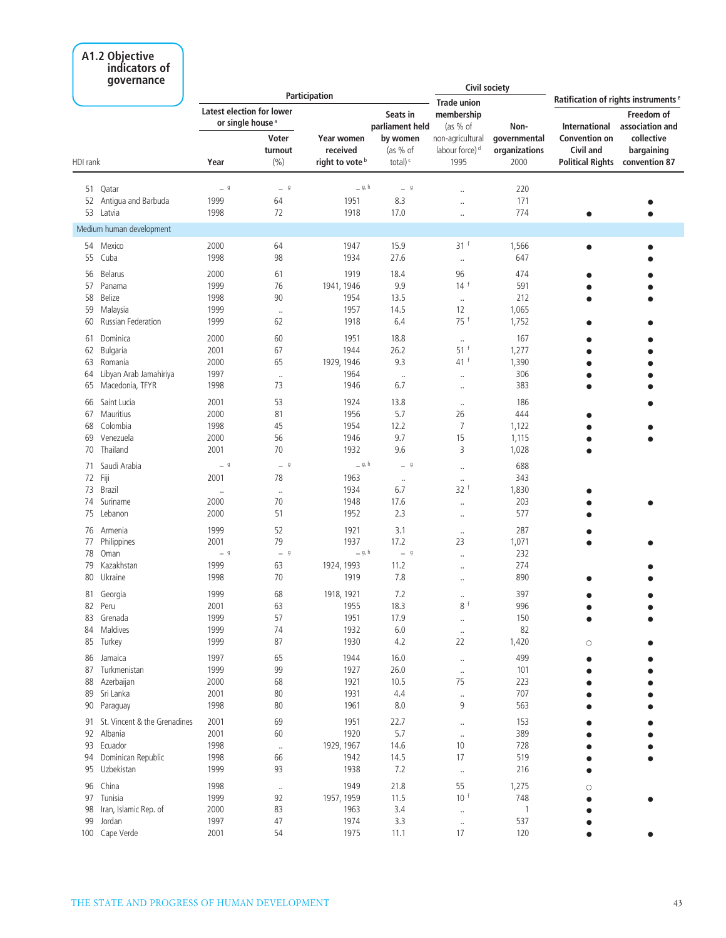### **A1.2 Objective indicators of**

| governance                             |                                                                  |                         |                                                      |                                               | <b>Civil society</b>                                   |                                       |                                                              |                                                 |
|----------------------------------------|------------------------------------------------------------------|-------------------------|------------------------------------------------------|-----------------------------------------------|--------------------------------------------------------|---------------------------------------|--------------------------------------------------------------|-------------------------------------------------|
|                                        |                                                                  |                         | Participation                                        |                                               | <b>Trade union</b>                                     |                                       |                                                              | Ratification of rights instruments <sup>e</sup> |
|                                        | <b>Latest election for lower</b><br>or single house <sup>a</sup> |                         |                                                      | Seats in<br>parliament held                   | membership<br>(as % of                                 | Non-                                  | International                                                | Freedom of<br>association and                   |
| HDI rank                               | Year                                                             | Voter<br>turnout<br>(%) | Year women<br>received<br>right to vote <sup>b</sup> | by women<br>(as $%$ of<br>total) <sup>c</sup> | non-agricultural<br>labour force) <sup>d</sup><br>1995 | governmental<br>organizations<br>2000 | <b>Convention on</b><br>Civil and<br><b>Political Rights</b> | collective<br>bargaining<br>convention 87       |
|                                        |                                                                  |                         |                                                      |                                               |                                                        |                                       |                                                              |                                                 |
| Qatar<br>51                            | $ ^{\circ}$                                                      | $-9$                    | $= 9, h$                                             | $-9$                                          | $\ddotsc$                                              | 220                                   |                                                              |                                                 |
| Antigua and Barbuda<br>52<br>53 Latvia | 1999<br>1998                                                     | 64<br>72                | 1951<br>1918                                         | 8.3<br>17.0                                   |                                                        | 171<br>774                            |                                                              |                                                 |
|                                        |                                                                  |                         |                                                      |                                               | $\ddot{\phantom{a}}$                                   |                                       | $\bullet$                                                    |                                                 |
| Medium human development               |                                                                  |                         |                                                      |                                               |                                                        |                                       |                                                              |                                                 |
| 54<br>Mexico                           | 2000                                                             | 64                      | 1947                                                 | 15.9                                          | 31 <sup>†</sup>                                        | 1,566                                 | $\bullet$                                                    |                                                 |
| 55<br>Cuba                             | 1998                                                             | 98                      | 1934                                                 | 27.6                                          | $\cdot\cdot$                                           | 647                                   |                                                              |                                                 |
| <b>Belarus</b><br>56                   | 2000                                                             | 61                      | 1919                                                 | 18.4                                          | 96                                                     | 474                                   |                                                              |                                                 |
| Panama<br>57                           | 1999                                                             | 76                      | 1941, 1946                                           | 9.9                                           | 14 <sup>†</sup>                                        | 591                                   | ä                                                            |                                                 |
| 58<br>Belize                           | 1998                                                             | 90                      | 1954                                                 | 13.5                                          | $\cdot\cdot$                                           | 212                                   |                                                              |                                                 |
| 59<br>Malaysia                         | 1999                                                             | $\ldots$                | 1957                                                 | 14.5                                          | 12                                                     | 1,065                                 |                                                              |                                                 |
| Russian Federation<br>60               | 1999                                                             | 62                      | 1918                                                 | 6.4                                           | 75 f                                                   | 1,752                                 | ä                                                            |                                                 |
| Dominica<br>61                         | 2000                                                             | 60                      | 1951                                                 | 18.8                                          | $\cdot\cdot$                                           | 167                                   |                                                              |                                                 |
| Bulgaria<br>62                         | 2001                                                             | 67                      | 1944                                                 | 26.2                                          | $51$ <sup>f</sup>                                      | 1,277                                 |                                                              |                                                 |
| Romania<br>63                          | 2000                                                             | 65                      | 1929, 1946                                           | 9.3                                           | 41 f                                                   | 1,390                                 |                                                              |                                                 |
| Libyan Arab Jamahiriya<br>64           | 1997                                                             | $\ldots$                | 1964                                                 | $\ddot{\phantom{0}}$                          | $\ldots$                                               | 306                                   |                                                              |                                                 |
| Macedonia, TFYR<br>65                  | 1998                                                             | 73                      | 1946                                                 | 6.7                                           | $\cdot$                                                | 383                                   | $\bullet$                                                    |                                                 |
| Saint Lucia<br>66                      | 2001                                                             | 53                      | 1924                                                 | 13.8                                          | $\cdot\cdot$                                           | 186                                   |                                                              |                                                 |
| Mauritius<br>67                        | 2000                                                             | 81                      | 1956                                                 | 5.7                                           | 26                                                     | 444                                   |                                                              |                                                 |
| Colombia<br>68                         | 1998                                                             | 45                      | 1954                                                 | 12.2                                          | $\overline{7}$                                         | 1,122                                 |                                                              |                                                 |
| 69<br>Venezuela                        | 2000                                                             | 56                      | 1946                                                 | 9.7                                           | 15                                                     | 1,115                                 |                                                              |                                                 |
| Thailand<br>70                         | 2001                                                             | 70                      | 1932                                                 | 9.6                                           | 3                                                      | 1,028                                 | $\bullet$                                                    |                                                 |
| Saudi Arabia<br>71                     | $-9$                                                             | $-9$                    | _ g, h                                               | $-9$                                          | $\ddotsc$                                              | 688                                   |                                                              |                                                 |
| 72<br>Fiji                             | 2001                                                             | 78                      | 1963                                                 | $\ldots$                                      | $\ldots$                                               | 343                                   |                                                              |                                                 |
| 73<br><b>Brazil</b>                    | $\cdot\cdot$                                                     | $\cdot\cdot$            | 1934                                                 | 6.7                                           | 32 f                                                   | 1,830                                 |                                                              |                                                 |
| Suriname<br>74                         | 2000                                                             | 70                      | 1948                                                 | 17.6                                          | $\cdot$                                                | 203                                   |                                                              |                                                 |
| 75<br>Lebanon                          | 2000                                                             | 51                      | 1952                                                 | 2.3                                           | $\cdot$                                                | 577                                   |                                                              |                                                 |
| 76<br>Armenia                          | 1999                                                             | 52                      | 1921                                                 | 3.1                                           |                                                        | 287                                   |                                                              |                                                 |
| Philippines<br>77                      | 2001                                                             | 79                      | 1937                                                 | 17.2                                          | $\cdot\cdot$<br>23                                     | 1,071                                 | $\bullet$                                                    |                                                 |
| 78<br>Oman                             | $-9$                                                             | $-9$                    | _ g, h                                               | $-9$                                          | $\ddot{\phantom{a}}$                                   | 232                                   |                                                              |                                                 |
| Kazakhstan<br>79                       | 1999                                                             | 63                      | 1924, 1993                                           | 11.2                                          | $\cdot$                                                | 274                                   |                                                              |                                                 |
| Ukraine<br>80                          | 1998                                                             | 70                      | 1919                                                 | 7.8                                           | $\cdot$                                                | 890                                   |                                                              |                                                 |
|                                        |                                                                  |                         |                                                      |                                               |                                                        |                                       |                                                              |                                                 |
| 81 Georgia                             | 1999                                                             | 68                      | 1918, 1921                                           | 7.2                                           | $\ddotsc$                                              | 397                                   |                                                              |                                                 |
| 82 Peru<br>83 Grenada                  | 2001<br>1999                                                     | 63<br>57                | 1955<br>1951                                         | 18.3<br>17.9                                  | 8 f                                                    | 996<br>150                            |                                                              |                                                 |
| 84 Maldives                            | 1999                                                             | 74                      | 1932                                                 | $6.0$                                         | $\ddotsc$                                              | 82                                    |                                                              |                                                 |
| 85 Turkey                              | 1999                                                             | 87                      | 1930                                                 | 4.2                                           | $\cdot\cdot$<br>22                                     | 1,420                                 | $\circ$                                                      |                                                 |
|                                        |                                                                  |                         |                                                      |                                               |                                                        |                                       |                                                              |                                                 |
| 86 Jamaica                             | 1997                                                             | 65                      | 1944                                                 | 16.0                                          | $\ldots$                                               | 499                                   |                                                              |                                                 |
| 87<br>Turkmenistan                     | 1999                                                             | 99                      | 1927                                                 | 26.0                                          | $\cdot\cdot$                                           | 101                                   |                                                              |                                                 |
| Azerbaijan<br>88                       | 2000                                                             | 68                      | 1921                                                 | 10.5                                          | 75                                                     | 223                                   |                                                              |                                                 |
| 89 Sri Lanka                           | 2001                                                             | 80                      | 1931                                                 | 4.4                                           | $\cdots$                                               | 707                                   |                                                              |                                                 |
| 90<br>Paraguay                         | 1998                                                             | 80                      | 1961                                                 | 8.0                                           | 9                                                      | 563                                   |                                                              |                                                 |
| 91 St. Vincent & the Grenadines        | 2001                                                             | 69                      | 1951                                                 | 22.7                                          |                                                        | 153                                   |                                                              |                                                 |
| 92 Albania                             | 2001                                                             | 60                      | 1920                                                 | 5.7                                           | $\ldots$                                               | 389                                   |                                                              |                                                 |
| 93 Ecuador                             | 1998                                                             | $\cdot\cdot$            | 1929, 1967                                           | 14.6                                          | 10                                                     | 728                                   |                                                              |                                                 |
| 94 Dominican Republic                  | 1998                                                             | 66                      | 1942                                                 | 14.5                                          | 17                                                     | 519                                   |                                                              |                                                 |
| 95<br>Uzbekistan                       | 1999                                                             | 93                      | 1938                                                 | 7.2                                           | $\cdot\cdot$                                           | 216                                   | ä                                                            |                                                 |
| 96 China                               | 1998                                                             | $\cdot\cdot$            | 1949                                                 | 21.8                                          | 55                                                     | 1,275                                 | $\circ$                                                      |                                                 |
| 97 Tunisia                             | 1999                                                             | 92                      | 1957, 1959                                           | 11.5                                          | 10 <sup>1</sup>                                        | 748                                   |                                                              |                                                 |
| 98 Iran, Islamic Rep. of               | 2000                                                             | 83                      | 1963                                                 | 3.4                                           | $\ldots$                                               | $\mathbf{1}$                          |                                                              |                                                 |
| 99 Jordan                              | 1997                                                             | 47                      | 1974                                                 | 3.3                                           | $\cdot\cdot$                                           | 537                                   |                                                              |                                                 |
| 100 Cape Verde                         | 2001                                                             | 54                      | 1975                                                 | 11.1                                          | 17                                                     | 120                                   | $\bullet$                                                    |                                                 |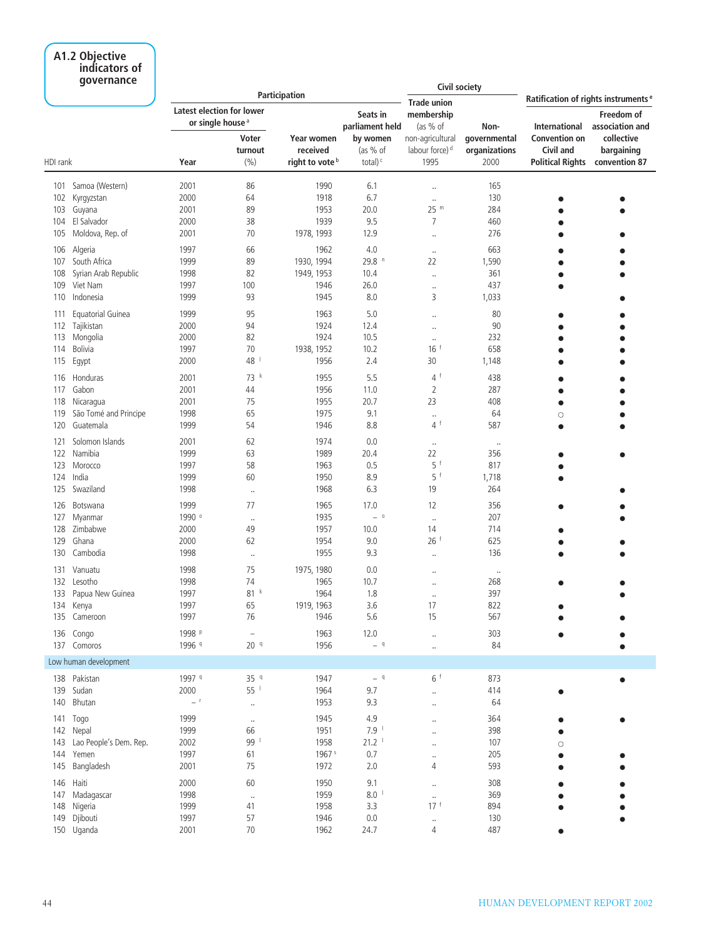## **A1.2 Objective indicators of**

|          | qovernance                           |                  |                                                                           |                                        |                                         | <b>Civil society</b>                       |                       |                                              |                                                     |
|----------|--------------------------------------|------------------|---------------------------------------------------------------------------|----------------------------------------|-----------------------------------------|--------------------------------------------|-----------------------|----------------------------------------------|-----------------------------------------------------|
|          |                                      |                  |                                                                           | Participation                          |                                         | <b>Trade union</b>                         |                       |                                              | Ratification of rights instruments <sup>e</sup>     |
|          |                                      |                  | <b>Latest election for lower</b><br>or single house <sup>a</sup><br>Voter | Year women                             | Seats in<br>parliament held<br>by women | membership<br>(as % of<br>non-agricultural | Non-<br>governmental  | <b>International</b><br><b>Convention on</b> | Freedom of<br>association and<br>collective         |
| HDI rank |                                      | Year             | turnout<br>(%)                                                            | received<br>right to vote <sup>b</sup> | (as % of<br>total) $c$                  | labour force) <sup>d</sup><br>1995         | organizations<br>2000 | Civil and                                    | bargaining<br><b>Political Rights convention 87</b> |
| 101      | Samoa (Western)                      | 2001             | 86                                                                        | 1990                                   | 6.1                                     | $\ddot{\phantom{0}}$                       | 165                   |                                              |                                                     |
| 102      | Kyrgyzstan                           | 2000             | 64                                                                        | 1918                                   | 6.7                                     | $\ddotsc$                                  | 130                   |                                              |                                                     |
| 103      | Guyana                               | 2001             | 89                                                                        | 1953                                   | 20.0                                    | 25 m                                       | 284                   |                                              |                                                     |
| 104      | El Salvador                          | 2000             | 38                                                                        | 1939                                   | 9.5                                     | $\overline{7}$                             | 460                   |                                              |                                                     |
| 105      | Moldova, Rep. of                     | 2001             | 70                                                                        | 1978, 1993                             | 12.9                                    | $\ddotsc$                                  | 276                   |                                              |                                                     |
| 106      | Algeria                              | 1997             | 66                                                                        | 1962                                   | 4.0                                     | $\cdot\cdot$                               | 663                   |                                              |                                                     |
| 107      | South Africa                         | 1999             | 89                                                                        | 1930, 1994                             | 29.8 <sup>n</sup>                       | 22                                         | 1,590                 |                                              |                                                     |
| 108      | Syrian Arab Republic                 | 1998             | 82                                                                        | 1949, 1953                             | 10.4                                    | $\ddot{\phantom{0}}$                       | 361                   |                                              |                                                     |
| 109      | Viet Nam                             | 1997             | 100                                                                       | 1946                                   | 26.0                                    | $\ddot{\phantom{0}}$                       | 437                   |                                              |                                                     |
| 110      | Indonesia                            | 1999             | 93                                                                        | 1945                                   | 8.0                                     | 3                                          | 1,033                 |                                              |                                                     |
| 111      | Equatorial Guinea                    | 1999             | 95                                                                        | 1963                                   | 5.0                                     |                                            | 80                    |                                              |                                                     |
| 112      | Tajikistan                           | 2000             | 94                                                                        | 1924                                   | 12.4                                    |                                            | 90                    |                                              |                                                     |
| 113      | Mongolia                             | 2000             | 82                                                                        | 1924                                   | 10.5                                    | $\ddot{\phantom{0}}$                       | 232                   |                                              |                                                     |
| 114      | Bolivia                              | 1997             | 70                                                                        | 1938, 1952                             | 10.2                                    | 16                                         | 658                   |                                              |                                                     |
| 115      | Egypt                                | 2000             | 48                                                                        | 1956                                   | 2.4                                     | 30                                         | 1,148                 |                                              |                                                     |
| 116      | Honduras                             | 2001             | 73 k                                                                      | 1955                                   | 5.5                                     | $\overline{4}$                             | 438                   |                                              |                                                     |
| 117      | Gabon                                | 2001             | 44                                                                        | 1956                                   | 11.0                                    | 2                                          | 287                   |                                              |                                                     |
| 118      | Nicaragua                            | 2001             | 75                                                                        | 1955                                   | 20.7                                    | 23                                         | 408                   | Ŏ                                            |                                                     |
| 119      | São Tomé and Principe                | 1998             | 65                                                                        | 1975                                   | 9.1                                     | $\ddot{\phantom{0}}$                       | 64                    | $\circ$                                      |                                                     |
| 120      | Guatemala                            | 1999             | 54                                                                        | 1946                                   | 8.8                                     | $4^+$                                      | 587                   | ٠                                            |                                                     |
| 121      | Solomon Islands                      | 2001             | 62                                                                        | 1974                                   | 0.0                                     |                                            |                       |                                              |                                                     |
| 122      | Namibia                              | 1999             | 63                                                                        | 1989                                   | 20.4                                    | $\ldots$<br>22                             | $\cdot$<br>356        |                                              |                                                     |
| 123      | Morocco                              | 1997             | 58                                                                        | 1963                                   | 0.5                                     | 5 f                                        | 817                   |                                              |                                                     |
| 124      | India                                | 1999             | 60                                                                        | 1950                                   | 8.9                                     | 5                                          | 1,718                 |                                              |                                                     |
| 125      | Swaziland                            | 1998             | $\cdot\cdot$                                                              | 1968                                   | 6.3                                     | 19                                         | 264                   |                                              |                                                     |
| 126      | Botswana                             | 1999             | 77                                                                        | 1965                                   | 17.0                                    | 12                                         | 356                   |                                              |                                                     |
| 127      | Myanmar                              | 1990 °           |                                                                           | 1935                                   | $ \,$ $^{\circ}$                        |                                            | 207                   |                                              |                                                     |
| 128      | Zimbabwe                             | 2000             | $\cdot$<br>49                                                             | 1957                                   | 10.0                                    | $\ldots$<br>14                             | 714                   |                                              |                                                     |
| 129      | Ghana                                | 2000             | 62                                                                        | 1954                                   | 9.0                                     | 26 <sup>†</sup>                            | 625                   |                                              |                                                     |
| 130      | Cambodia                             | 1998             | $\cdot$                                                                   | 1955                                   | 9.3                                     | $\ddotsc$                                  | 136                   |                                              |                                                     |
|          |                                      |                  |                                                                           |                                        |                                         |                                            |                       |                                              |                                                     |
| 131      | Vanuatu<br>Lesotho                   | 1998             | 75<br>74                                                                  | 1975, 1980                             | 0.0                                     |                                            | $\cdot\cdot$          |                                              |                                                     |
| 132      | 133 Papua New Guinea                 | 1998<br>1997     | 81 k                                                                      | 1965<br>1964                           | 10.7<br>1.8                             |                                            | 268<br>397            |                                              |                                                     |
|          | 134 Kenya                            | 1997             | 65                                                                        | 1919, 1963                             | 3.6                                     | $\ddot{\phantom{0}}$<br>17                 | 822                   |                                              |                                                     |
|          | 135 Cameroon                         | 1997             | 76                                                                        | 1946                                   | 5.6                                     | 15                                         | 567                   |                                              |                                                     |
|          |                                      |                  |                                                                           |                                        |                                         |                                            |                       |                                              |                                                     |
|          | 136 Congo                            | 1998 P<br>1996 9 | $\qquad \qquad -$<br>20 <sup>q</sup>                                      | 1963<br>1956                           | 12.0<br>$-$ q                           | $\ldots$                                   | 303<br>84             |                                              |                                                     |
|          | 137 Comoros<br>Low human development |                  |                                                                           |                                        |                                         |                                            |                       |                                              |                                                     |
|          | 138 Pakistan                         |                  |                                                                           |                                        |                                         | 6f                                         |                       |                                              |                                                     |
|          |                                      | 1997 9<br>2000   | 35 q<br>55 <sup>1</sup>                                                   | 1947<br>1964                           | $-$ q<br>9.7                            |                                            | 873                   |                                              |                                                     |
|          | 139 Sudan<br>140 Bhutan              | $-$ <sup>r</sup> |                                                                           | 1953                                   | 9.3                                     | $\ldots$                                   | 414<br>64             |                                              |                                                     |
|          |                                      |                  | $\ldots$                                                                  |                                        |                                         | $\ldots$                                   |                       |                                              |                                                     |
|          | 141 Togo                             | 1999             | $\cdot\cdot$                                                              | 1945                                   | 4.9                                     | $\ddot{\phantom{0}}$                       | 364                   |                                              |                                                     |
|          | 142 Nepal                            | 1999             | 66                                                                        | 1951                                   | $7.9-1$                                 | $\ddot{\phantom{a}}$                       | 398                   |                                              |                                                     |
|          | 143 Lao People's Dem. Rep.           | 2002             | 99                                                                        | 1958                                   | 21.2                                    | $\ldots$                                   | 107                   | $\circ$                                      |                                                     |
|          | 144 Yemen                            | 1997             | 61                                                                        | 1967 <sup>s</sup>                      | 0.7                                     | $\ldots$                                   | 205                   |                                              |                                                     |
|          | 145 Bangladesh                       | 2001             | 75                                                                        | 1972                                   | 2.0                                     | 4                                          | 593                   |                                              |                                                     |
|          | 146 Haiti                            | 2000             | 60                                                                        | 1950                                   | 9.1                                     | $\ldots$                                   | 308                   |                                              |                                                     |
|          | 147 Madagascar                       | 1998             | $\cdot\cdot$                                                              | 1959                                   | $8.0-1$                                 | $\ldots$                                   | 369                   |                                              |                                                     |
|          | 148 Nigeria                          | 1999             | 41                                                                        | 1958                                   | 3.3                                     | 17 <sup>f</sup>                            | 894                   |                                              |                                                     |
|          | 149 Djibouti                         | 1997             | 57                                                                        | 1946                                   | 0.0                                     | $\ldots$                                   | 130                   |                                              |                                                     |
|          | 150 Uganda                           | 2001             | 70                                                                        | 1962                                   | 24.7                                    | 4                                          | 487                   |                                              |                                                     |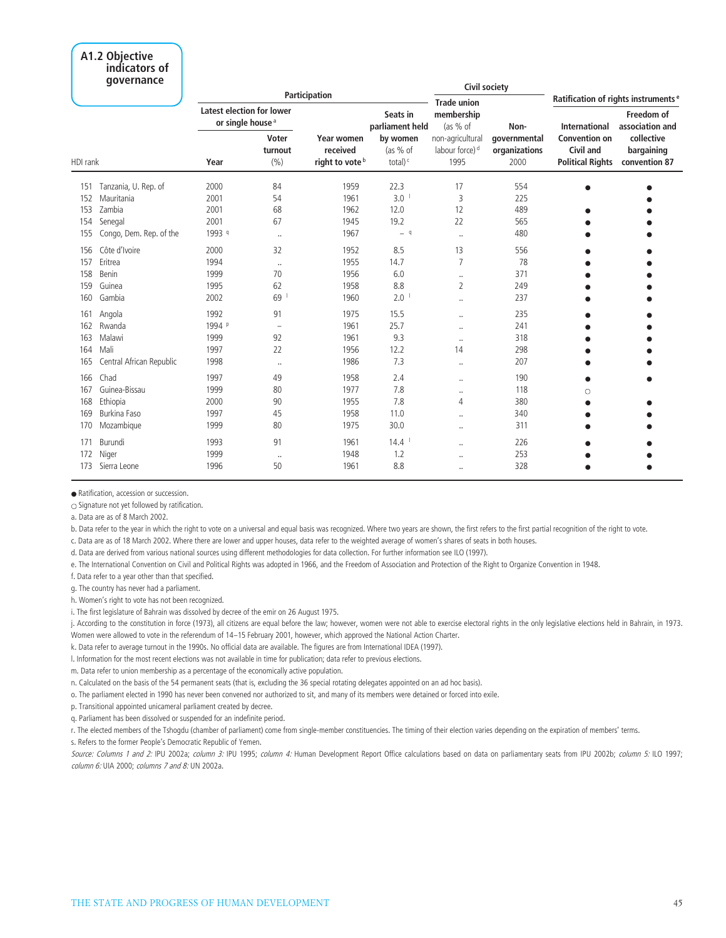### **A1.2 Objective indicators of**

|          | governance               | Participation |                                                                           |                                        |                                         | Civil society<br><b>Trade union</b>        |                       | Ratification of rights instruments <sup>e</sup> |                                             |
|----------|--------------------------|---------------|---------------------------------------------------------------------------|----------------------------------------|-----------------------------------------|--------------------------------------------|-----------------------|-------------------------------------------------|---------------------------------------------|
|          |                          |               | <b>Latest election for lower</b><br>or single house <sup>a</sup><br>Voter | <b>Year women</b>                      | Seats in<br>parliament held<br>by women | membership<br>(as % of<br>non-agricultural | Non-<br>governmental  | <b>International</b><br><b>Convention on</b>    | Freedom of<br>association and<br>collective |
| HDI rank |                          | Year          | turnout<br>(9/6)                                                          | received<br>right to vote <sup>b</sup> | $(as % of \theta)$<br>total) $c$        | labour force) <sup>d</sup><br>1995         | organizations<br>2000 | <b>Civil and</b><br><b>Political Rights</b>     | bargaining<br>convention 87                 |
| 151      | Tanzania, U. Rep. of     | 2000          | 84                                                                        | 1959                                   | 22.3                                    | 17                                         | 554                   | $\bullet$                                       |                                             |
| 152      | Mauritania               | 2001          | 54                                                                        | 1961                                   | 3.0                                     | $\overline{3}$                             | 225                   |                                                 |                                             |
| 153      | Zambia                   | 2001          | 68                                                                        | 1962                                   | 12.0                                    | 12                                         | 489                   |                                                 |                                             |
| 154      | Senegal                  | 2001          | 67                                                                        | 1945                                   | 19.2                                    | 22                                         | 565                   |                                                 |                                             |
| 155      | Congo, Dem. Rep. of the  | 1993 9        | $\ddotsc$                                                                 | 1967                                   | $-$ q                                   | $\ddotsc$                                  | 480                   |                                                 |                                             |
| 156      | Côte d'Ivoire            | 2000          | 32                                                                        | 1952                                   | 8.5                                     | 13                                         | 556                   |                                                 |                                             |
| 157      | Eritrea                  | 1994          | $\ddotsc$                                                                 | 1955                                   | 14.7                                    | $\overline{7}$                             | 78                    |                                                 |                                             |
| 158      | Benin                    | 1999          | 70                                                                        | 1956                                   | 6.0                                     | $\ldots$                                   | 371                   |                                                 |                                             |
| 159      | Guinea                   | 1995          | 62                                                                        | 1958                                   | 8.8                                     | $\overline{2}$                             | 249                   |                                                 |                                             |
| 160      | Gambia                   | 2002          | 69                                                                        | 1960                                   | 2.0                                     | $\ddot{\phantom{a}}$                       | 237                   |                                                 |                                             |
| 161      | Angola                   | 1992          | 91                                                                        | 1975                                   | 15.5                                    | $\ddot{\phantom{0}}$                       | 235                   |                                                 |                                             |
| 162      | Rwanda                   | 1994 P        | $\overline{\phantom{a}}$                                                  | 1961                                   | 25.7                                    | $\cdot$                                    | 241                   |                                                 |                                             |
| 163      | Malawi                   | 1999          | 92                                                                        | 1961                                   | 9.3                                     | $\ddot{\phantom{a}}$                       | 318                   |                                                 |                                             |
| 164      | Mali                     | 1997          | 22                                                                        | 1956                                   | 12.2                                    | 14                                         | 298                   |                                                 |                                             |
| 165      | Central African Republic | 1998          | $\cdot\cdot$                                                              | 1986                                   | 7.3                                     | $\ddot{\phantom{a}}$                       | 207                   |                                                 |                                             |
| 166      | Chad                     | 1997          | 49                                                                        | 1958                                   | 2.4                                     | $\ddot{\phantom{a}}$                       | 190                   |                                                 |                                             |
| 167      | Guinea-Bissau            | 1999          | 80                                                                        | 1977                                   | 7.8                                     | $\ldots$                                   | 118                   | O                                               |                                             |
| 168      | Ethiopia                 | 2000          | 90                                                                        | 1955                                   | 7.8                                     | $\overline{4}$                             | 380                   |                                                 |                                             |
| 169      | <b>Burkina Faso</b>      | 1997          | 45                                                                        | 1958                                   | 11.0                                    | $\cdot\cdot$                               | 340                   |                                                 |                                             |
| 170      | Mozambique               | 1999          | 80                                                                        | 1975                                   | 30.0                                    | $\ddot{\phantom{a}}$                       | 311                   |                                                 |                                             |
| 171      | Burundi                  | 1993          | 91                                                                        | 1961                                   | 14.4                                    | $\ddot{\phantom{a}}$                       | 226                   |                                                 |                                             |
| 172      | Niger                    | 1999          | $\cdot\cdot$                                                              | 1948                                   | 1.2                                     | $\ddot{\phantom{a}}$                       | 253                   |                                                 |                                             |
| 173      | Sierra Leone             | 1996          | 50                                                                        | 1961                                   | 8.8                                     | $\ddot{\phantom{a}}$                       | 328                   |                                                 |                                             |

● Ratification, accession or succession.

 $\circ$  Signature not yet followed by ratification.

a. Data are as of 8 March 2002.

b. Data refer to the year in which the right to vote on a universal and equal basis was recognized. Where two years are shown, the first refers to the first partial recognition of the right to vote.

c. Data are as of 18 March 2002. Where there are lower and upper houses, data refer to the weighted average of women's shares of seats in both houses.

d. Data are derived from various national sources using different methodologies for data collection. For further information see ILO (1997).

e. The International Convention on Civil and Political Rights was adopted in 1966, and the Freedom of Association and Protection of the Right to Organize Convention in 1948.

f. Data refer to a year other than that specified.

g. The country has never had a parliament.

h. Women's right to vote has not been recognized.

i. The first legislature of Bahrain was dissolved by decree of the emir on 26 August 1975.

j. According to the constitution in force (1973), all citizens are equal before the law; however, women were not able to exercise electoral rights in the only legislative elections held in Bahrain, in 1973. Women were allowed to vote in the referendum of 14–15 February 2001, however, which approved the National Action Charter.

k. Data refer to average turnout in the 1990s. No official data are available. The figures are from International IDEA (1997).

l. Information for the most recent elections was not available in time for publication; data refer to previous elections.

m. Data refer to union membership as a percentage of the economically active population.

n. Calculated on the basis of the 54 permanent seats (that is, excluding the 36 special rotating delegates appointed on an ad hoc basis).

o. The parliament elected in 1990 has never been convened nor authorized to sit, and many of its members were detained or forced into exile.

p. Transitional appointed unicameral parliament created by decree.

q. Parliament has been dissolved or suspended for an indefinite period.

r. The elected members of the Tshogdu (chamber of parliament) come from single-member constituencies. The timing of their election varies depending on the expiration of members' terms.

s. Refers to the former People's Democratic Republic of Yemen.

Source: Columns 1 and 2: IPU 2002a; *column 3:* IPU 1995; *column 4:* Human Development Report Office calculations based on data on parliamentary seats from IPU 2002b; *column 5:* ILO 1997; *column 6:* UIA 2000; *columns 7 and 8:* UN 2002a.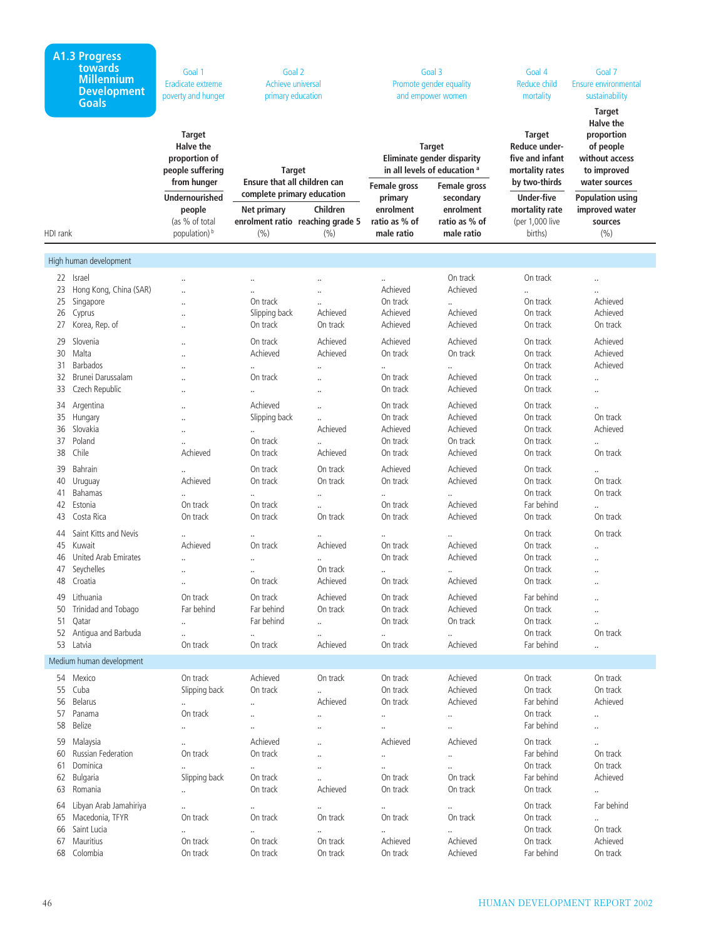|          | A1.3 Progress<br>towards<br><b>Millennium</b><br><b>Development</b><br><b>Goals</b> | Goal 1<br>Eradicate extreme<br>poverty and hunger                      | Goal 2<br>Achieve universal<br>primary education |                                                                              | Goal 3<br>Promote gender equality<br>and empower women                                        |                                                         | Goal 4<br>Reduce child<br>mortality                                     | Goal 7<br>Ensure environmental<br>sustainability                                              |
|----------|-------------------------------------------------------------------------------------|------------------------------------------------------------------------|--------------------------------------------------|------------------------------------------------------------------------------|-----------------------------------------------------------------------------------------------|---------------------------------------------------------|-------------------------------------------------------------------------|-----------------------------------------------------------------------------------------------|
|          |                                                                                     | <b>Target</b><br><b>Halve the</b><br>proportion of<br>people suffering | <b>Target</b>                                    |                                                                              | <b>Target</b><br><b>Eliminate gender disparity</b><br>in all levels of education <sup>a</sup> |                                                         | <b>Target</b><br>Reduce under-<br>five and infant<br>mortality rates    | <b>Target</b><br><b>Halve the</b><br>proportion<br>of people<br>without access<br>to improved |
|          |                                                                                     | from hunger<br><b>Undernourished</b><br>people<br>(as % of total       | complete primary education<br>Net primary        | Ensure that all children can<br>Children<br>enrolment ratio reaching grade 5 | <b>Female gross</b><br>primary<br>enrolment<br>ratio as % of                                  | Female gross<br>secondary<br>enrolment<br>ratio as % of | by two-thirds<br><b>Under-five</b><br>mortality rate<br>(per 1,000 live | water sources<br><b>Population using</b><br>improved water                                    |
| HDI rank |                                                                                     | population) <sup>b</sup>                                               | (% )                                             | (%)                                                                          | male ratio                                                                                    | male ratio                                              | births)                                                                 | sources<br>(%)                                                                                |
|          | High human development                                                              |                                                                        |                                                  |                                                                              |                                                                                               |                                                         |                                                                         |                                                                                               |
|          | 22 Israel                                                                           |                                                                        | $\ddot{\phantom{a}}$                             | $\ddot{\phantom{a}}$                                                         |                                                                                               | On track                                                | On track                                                                | $\ddot{\phantom{a}}$                                                                          |
| 23       | Hong Kong, China (SAR)                                                              | $\ddot{\phantom{a}}$                                                   |                                                  |                                                                              | Achieved                                                                                      | Achieved                                                |                                                                         |                                                                                               |
| 25       | Singapore                                                                           |                                                                        | On track                                         |                                                                              | On track                                                                                      |                                                         | On track                                                                | Achieved                                                                                      |
| 26       | Cyprus                                                                              |                                                                        | Slipping back                                    | Achieved                                                                     | Achieved                                                                                      | Achieved                                                | On track                                                                | Achieved                                                                                      |
| 27       | Korea, Rep. of                                                                      |                                                                        | On track                                         | On track                                                                     | Achieved                                                                                      | Achieved                                                | On track                                                                | On track                                                                                      |
| 29       | Slovenia                                                                            |                                                                        | On track                                         | Achieved                                                                     | Achieved                                                                                      | Achieved                                                | On track                                                                | Achieved                                                                                      |
| 30       | Malta                                                                               |                                                                        | Achieved                                         | Achieved                                                                     | On track                                                                                      | On track                                                | On track                                                                | Achieved                                                                                      |
| 31       | <b>Barbados</b>                                                                     |                                                                        |                                                  |                                                                              |                                                                                               |                                                         | On track                                                                | Achieved                                                                                      |
| 32       | Brunei Darussalam                                                                   |                                                                        | On track                                         | $\ddot{\phantom{a}}$                                                         | <br>On track                                                                                  | Achieved                                                | On track                                                                |                                                                                               |
| 33       | Czech Republic                                                                      |                                                                        |                                                  |                                                                              | On track                                                                                      | Achieved                                                | On track                                                                |                                                                                               |
|          |                                                                                     |                                                                        |                                                  | $\ddot{\phantom{a}}$                                                         |                                                                                               |                                                         |                                                                         |                                                                                               |
| 34       | Argentina                                                                           |                                                                        | Achieved                                         | $\ddotsc$                                                                    | On track                                                                                      | Achieved                                                | On track                                                                |                                                                                               |
| 35       | Hungary                                                                             |                                                                        | Slipping back                                    | $\ddot{\phantom{a}}$                                                         | On track                                                                                      | Achieved                                                | On track                                                                | On track                                                                                      |
| 36       | Slovakia                                                                            |                                                                        |                                                  | Achieved                                                                     | Achieved                                                                                      | Achieved                                                | On track                                                                | Achieved                                                                                      |
| 37       | Poland                                                                              |                                                                        | On track                                         |                                                                              | On track                                                                                      | On track                                                | On track                                                                |                                                                                               |
| 38       | Chile                                                                               | Achieved                                                               | On track                                         | Achieved                                                                     | On track                                                                                      | Achieved                                                | On track                                                                | On track                                                                                      |
| 39       | Bahrain                                                                             |                                                                        | On track                                         | On track                                                                     | Achieved                                                                                      | Achieved                                                | On track                                                                |                                                                                               |
| 40       | Uruguay                                                                             | Achieved                                                               | On track                                         | On track                                                                     | On track                                                                                      | Achieved                                                | On track                                                                | On track                                                                                      |
| 41       | <b>Bahamas</b>                                                                      |                                                                        |                                                  | $\ldots$                                                                     |                                                                                               |                                                         | On track                                                                | On track                                                                                      |
| 42       | Estonia                                                                             | On track                                                               | On track                                         |                                                                              | On track                                                                                      | Achieved                                                | Far behind                                                              |                                                                                               |
| 43       | Costa Rica                                                                          | On track                                                               | On track                                         | On track                                                                     | On track                                                                                      | Achieved                                                | On track                                                                | On track                                                                                      |
| 44       | Saint Kitts and Nevis                                                               |                                                                        |                                                  |                                                                              |                                                                                               |                                                         | On track                                                                | On track                                                                                      |
| 45       | Kuwait                                                                              | <br>Achieved                                                           | $\ldots$<br>On track                             | <br>Achieved                                                                 | <br>On track                                                                                  | Achieved                                                | On track                                                                |                                                                                               |
| 46       | United Arab Emirates                                                                |                                                                        |                                                  |                                                                              | On track                                                                                      | Achieved                                                | On track                                                                |                                                                                               |
|          | 47 Seychelles                                                                       |                                                                        |                                                  | On track                                                                     |                                                                                               |                                                         | On track                                                                |                                                                                               |
|          | 48 Croatia                                                                          |                                                                        | $\cdot$<br>On track                              | Achieved                                                                     | $\ddotsc$<br>On track                                                                         | $\cdot$<br>Achieved                                     | On track                                                                | $\ddot{\phantom{a}}$                                                                          |
|          |                                                                                     |                                                                        |                                                  |                                                                              |                                                                                               |                                                         |                                                                         |                                                                                               |
|          | 49 Lithuania                                                                        | On track                                                               | On track                                         | Achieved                                                                     | On track                                                                                      | Achieved                                                | Far behind                                                              | $\ddot{\phantom{a}}$                                                                          |
| 50       | Trinidad and Tobago                                                                 | Far behind                                                             | Far behind                                       | On track                                                                     | On track                                                                                      | Achieved                                                | On track                                                                |                                                                                               |
| 51       | Qatar                                                                               |                                                                        | Far behind                                       | $\ldots$                                                                     | On track                                                                                      | On track                                                | On track                                                                |                                                                                               |
|          | 52 Antigua and Barbuda                                                              |                                                                        | $\ldots$                                         | $\ddotsc$                                                                    |                                                                                               | $\ddotsc$                                               | On track                                                                | On track                                                                                      |
|          | 53 Latvia<br>Medium human development                                               | On track                                                               | On track                                         | Achieved                                                                     | On track                                                                                      | Achieved                                                | Far behind                                                              |                                                                                               |
|          |                                                                                     |                                                                        |                                                  |                                                                              |                                                                                               |                                                         |                                                                         |                                                                                               |
|          | 54 Mexico                                                                           | On track                                                               | Achieved                                         | On track                                                                     | On track                                                                                      | Achieved                                                | On track                                                                | On track                                                                                      |
|          | 55 Cuba                                                                             | Slipping back                                                          | On track                                         |                                                                              | On track                                                                                      | Achieved                                                | On track                                                                | On track                                                                                      |
| 56       | Belarus                                                                             | $\cdot$                                                                |                                                  | Achieved                                                                     | On track                                                                                      | Achieved                                                | Far behind                                                              | Achieved                                                                                      |
| 57       | Panama                                                                              | On track                                                               | $\ddot{\phantom{a}}$                             |                                                                              |                                                                                               | $\ldots$                                                | On track                                                                | $\sim$                                                                                        |
|          | 58 Belize                                                                           |                                                                        | $\ddot{\phantom{0}}$                             | $\ddot{\phantom{a}}$                                                         |                                                                                               | $\ddotsc$                                               | Far behind                                                              |                                                                                               |
|          | 59 Malaysia                                                                         |                                                                        | Achieved                                         | $\ddot{\phantom{a}}$                                                         | Achieved                                                                                      | Achieved                                                | On track                                                                | $\ddotsc$                                                                                     |
| 60       | Russian Federation                                                                  | On track                                                               | On track                                         | $\ddot{\phantom{a}}$                                                         | $\ddotsc$                                                                                     |                                                         | Far behind                                                              | On track                                                                                      |
| 61       | Dominica                                                                            |                                                                        | $\cdot\cdot$                                     | $\ldots$                                                                     |                                                                                               | $\ddotsc$                                               | On track                                                                | On track                                                                                      |
| 62       | Bulgaria                                                                            | Slipping back                                                          | On track                                         | $\ddot{\phantom{a}}$                                                         | On track                                                                                      | On track                                                | Far behind                                                              | Achieved                                                                                      |
| 63       | Romania                                                                             |                                                                        | On track                                         | Achieved                                                                     | On track                                                                                      | On track                                                | On track                                                                | $\ddotsc$                                                                                     |
|          |                                                                                     |                                                                        |                                                  |                                                                              |                                                                                               |                                                         |                                                                         |                                                                                               |
| 64       | Libyan Arab Jamahiriya                                                              |                                                                        |                                                  |                                                                              |                                                                                               |                                                         | On track                                                                | Far behind                                                                                    |
|          | 65 Macedonia, TFYR                                                                  | On track                                                               | On track                                         | On track                                                                     | On track                                                                                      | On track                                                | On track                                                                | $\ddotsc$                                                                                     |
|          | 66 Saint Lucia                                                                      |                                                                        |                                                  |                                                                              |                                                                                               | $\ddot{\phantom{a}}$                                    | On track                                                                | On track                                                                                      |
| 67       | Mauritius                                                                           | On track                                                               | On track                                         | On track                                                                     | Achieved                                                                                      | Achieved                                                | On track                                                                | Achieved                                                                                      |
|          | 68 Colombia                                                                         | On track                                                               | On track                                         | On track                                                                     | On track                                                                                      | Achieved                                                | Far behind                                                              | On track                                                                                      |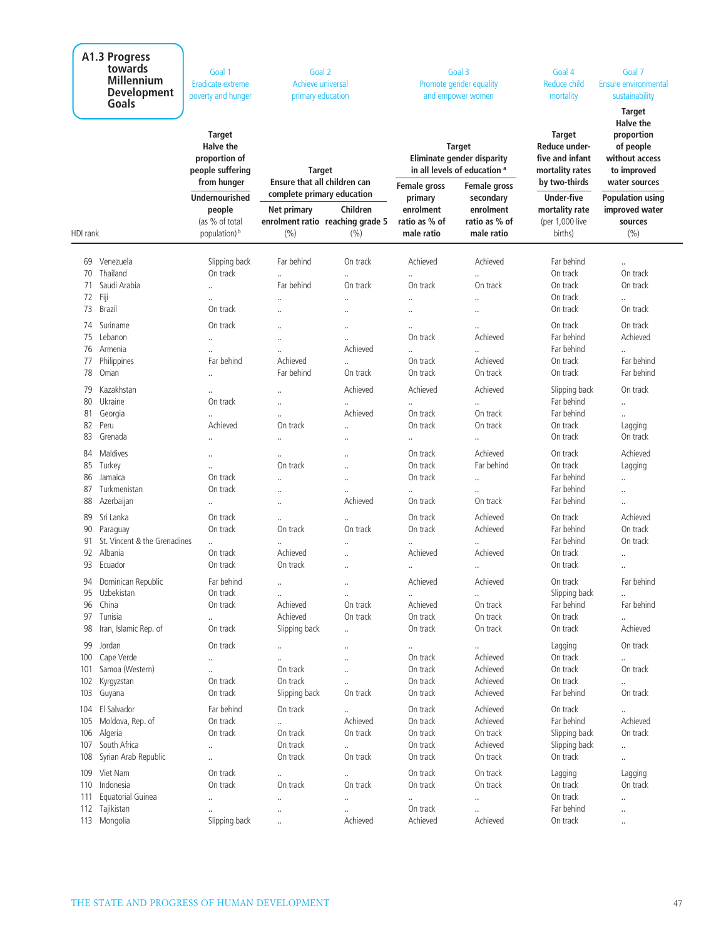| A1.3 Progress<br>towards<br><b>Millennium</b><br><b>Development</b><br>Goals |                                                                                                    | Goal 1<br>Goal 2<br>Eradicate extreme<br>Achieve universal<br>poverty and hunger<br>primary education<br><b>Target</b><br><b>Halve the</b><br>proportion of |                                                                             | Goal 3<br>Promote gender equality<br>and empower women<br><b>Target</b><br>Eliminate gender disparity<br>in all levels of education <sup>a</sup> |                                                          | Goal 4<br>Reduce child<br>mortality<br><b>Target</b><br>Reduce under-<br>five and infant | Goal 7<br>Ensure environmental<br>sustainability<br><b>Target</b><br><b>Halve the</b><br>proportion<br>of people<br>without access |                                                                                  |
|------------------------------------------------------------------------------|----------------------------------------------------------------------------------------------------|-------------------------------------------------------------------------------------------------------------------------------------------------------------|-----------------------------------------------------------------------------|--------------------------------------------------------------------------------------------------------------------------------------------------|----------------------------------------------------------|------------------------------------------------------------------------------------------|------------------------------------------------------------------------------------------------------------------------------------|----------------------------------------------------------------------------------|
|                                                                              |                                                                                                    | people suffering<br>from hunger<br><b>Undernourished</b>                                                                                                    | <b>Target</b><br>Ensure that all children can<br>complete primary education |                                                                                                                                                  | Female gross<br>primary                                  | Female gross<br>secondary                                                                | mortality rates<br>by two-thirds                                                                                                   | to improved<br>water sources                                                     |
| HDI rank                                                                     |                                                                                                    | people<br>(as % of total<br>population) b                                                                                                                   | Net primary<br>(%)                                                          | Children<br>enrolment ratio reaching grade 5<br>(9/0)                                                                                            | enrolment<br>ratio as % of<br>male ratio                 | enrolment<br>ratio as % of<br>male ratio                                                 | <b>Under-five</b><br>mortality rate<br>(per 1,000 live<br>births)                                                                  | <b>Population using</b><br>improved water<br>sources<br>(%)                      |
| 69<br>70<br>71                                                               | Venezuela<br>Thailand<br>Saudi Arabia                                                              | Slipping back<br>On track<br>$\ddotsc$                                                                                                                      | Far behind<br><br>Far behind                                                | On track<br>On track                                                                                                                             | Achieved<br>On track                                     | Achieved<br>On track                                                                     | Far behind<br>On track<br>On track                                                                                                 | <br>On track<br>On track                                                         |
| 73                                                                           | 72 Fiji<br><b>Brazil</b>                                                                           | $\ddot{\phantom{a}}$<br>On track                                                                                                                            |                                                                             | $\ddot{\phantom{a}}$                                                                                                                             | <br>                                                     | $\ddot{\phantom{a}}$<br>                                                                 | On track<br>On track                                                                                                               | <br>On track                                                                     |
| 75<br>77<br>78                                                               | 74 Suriname<br>Lebanon<br>76 Armenia<br>Philippines<br>Oman                                        | On track<br><br>$\ddot{\phantom{a}}$<br>Far behind<br>$\ldots$                                                                                              | <br><br><br>Achieved<br>Far behind                                          | $\ddot{\phantom{a}}$<br>Achieved<br>On track                                                                                                     | <br>On track<br><br>On track<br>On track                 | $\ddotsc$<br>Achieved<br>$\ddot{\phantom{a}}$<br>Achieved<br>On track                    | On track<br>Far behind<br>Far behind<br>On track<br>On track                                                                       | On track<br>Achieved<br>$\ddotsc$<br>Far behind<br>Far behind                    |
| 79<br>80<br>81<br>82<br>83                                                   | Kazakhstan<br>Ukraine<br>Georgia<br>Peru<br>Grenada                                                | $\ldots$<br>On track<br><br>Achieved<br>$\ddotsc$                                                                                                           | <br><br><br>On track<br>                                                    | Achieved<br>Achieved<br>$\ddot{\phantom{a}}$                                                                                                     | Achieved<br>On track<br>On track<br>                     | Achieved<br>On track<br>On track<br>$\ddotsc$                                            | Slipping back<br>Far behind<br>Far behind<br>On track<br>On track                                                                  | On track<br><br>$\ddotsc$<br>Lagging<br>On track                                 |
| 84<br>85<br>86<br>87<br>88                                                   | Maldives<br>Turkey<br>Jamaica<br>Turkmenistan<br>Azerbaijan                                        | $\ddotsc$<br>$\ddotsc$<br>On track<br>On track<br>                                                                                                          | <br>On track<br><br><br>                                                    | $\ddot{\phantom{a}}$<br>$\ddot{\phantom{a}}$<br>$\cdot$<br>Achieved                                                                              | On track<br>On track<br>On track<br><br>On track         | Achieved<br>Far behind<br><br><br>On track                                               | On track<br>On track<br>Far behind<br>Far behind<br>Far behind                                                                     | Achieved<br>Lagging<br><br>$\ddot{\phantom{0}}$<br>                              |
| 89<br>90<br>91<br>92                                                         | Sri Lanka<br>Paraguay<br>St. Vincent & the Grenadines<br>Albania<br>93 Ecuador                     | On track<br>On track<br><br>On track<br>On track                                                                                                            | $\ddot{\phantom{a}}$<br>On track<br>Achieved<br>On track                    | $\ddot{\phantom{a}}$<br>On track<br>$\ddotsc$<br>$\ddotsc$                                                                                       | On track<br>On track<br><br>Achieved<br>                 | Achieved<br>Achieved<br>Achieved<br>$\ddot{\phantom{a}}$                                 | On track<br>Far behind<br>Far behind<br>On track<br>On track                                                                       | Achieved<br>On track<br>On track<br>$\ddot{\phantom{0}}$<br>$\ddot{\phantom{0}}$ |
| 98                                                                           | 94 Dominican Republic<br>95 Uzbekistan<br>96 China<br>97 Tunisia<br>Iran, Islamic Rep. of          | Far behind<br>On track<br>On track<br><br>On track                                                                                                          | $\cdot\cdot$<br><br>Achieved<br>Achieved<br>Slipping back                   | $\cdot$<br><br>On track<br>On track<br>$\ddotsc$                                                                                                 | Achieved<br><br>Achieved<br>On track<br>On track         | Achieved<br>On track<br>On track<br>On track                                             | On track<br>Slipping back<br>Far behind<br>On track<br>On track                                                                    | Far behind<br><br>Far behind<br><br>Achieved                                     |
|                                                                              | 99 Jordan<br>100 Cape Verde<br>101 Samoa (Western)<br>102 Kyrgyzstan<br>103 Guyana                 | On track<br><br>$\ldots$<br>On track<br>On track                                                                                                            | <br>On track<br>On track<br>Slipping back                                   | $\ddot{\phantom{0}}$<br>$\ddot{\phantom{a}}$<br>$\ddot{\phantom{a}}$<br>On track                                                                 | <br>On track<br>On track<br>On track<br>On track         | Achieved<br>Achieved<br>Achieved<br>Achieved                                             | Lagging<br>On track<br>On track<br>On track<br>Far behind                                                                          | On track<br><br>On track<br><br>On track                                         |
| 105                                                                          | 104 El Salvador<br>Moldova, Rep. of<br>106 Algeria<br>107 South Africa<br>108 Syrian Arab Republic | Far behind<br>On track<br>On track<br>$\ldots$<br>                                                                                                          | On track<br>On track<br>On track<br>On track                                | $\ddotsc$<br>Achieved<br>On track<br>On track                                                                                                    | On track<br>On track<br>On track<br>On track<br>On track | Achieved<br>Achieved<br>On track<br>Achieved<br>On track                                 | On track<br>Far behind<br>Slipping back<br>Slipping back<br>On track                                                               | $\ldots$<br>Achieved<br>On track<br>$\ldots$<br>                                 |
| 110<br>111                                                                   | 109 Viet Nam<br>Indonesia<br>Equatorial Guinea<br>112 Tajikistan<br>113 Mongolia                   | On track<br>On track<br>$\ldots$<br>Slipping back                                                                                                           | <br>On track<br><br>.,<br>                                                  | On track<br>$\ddot{\phantom{a}}$<br>$\cdot$<br>Achieved                                                                                          | On track<br>On track<br><br>On track<br>Achieved         | On track<br>On track<br><br><br>Achieved                                                 | Lagging<br>On track<br>On track<br>Far behind<br>On track                                                                          | Lagging<br>On track<br>$\ldots$<br><br>                                          |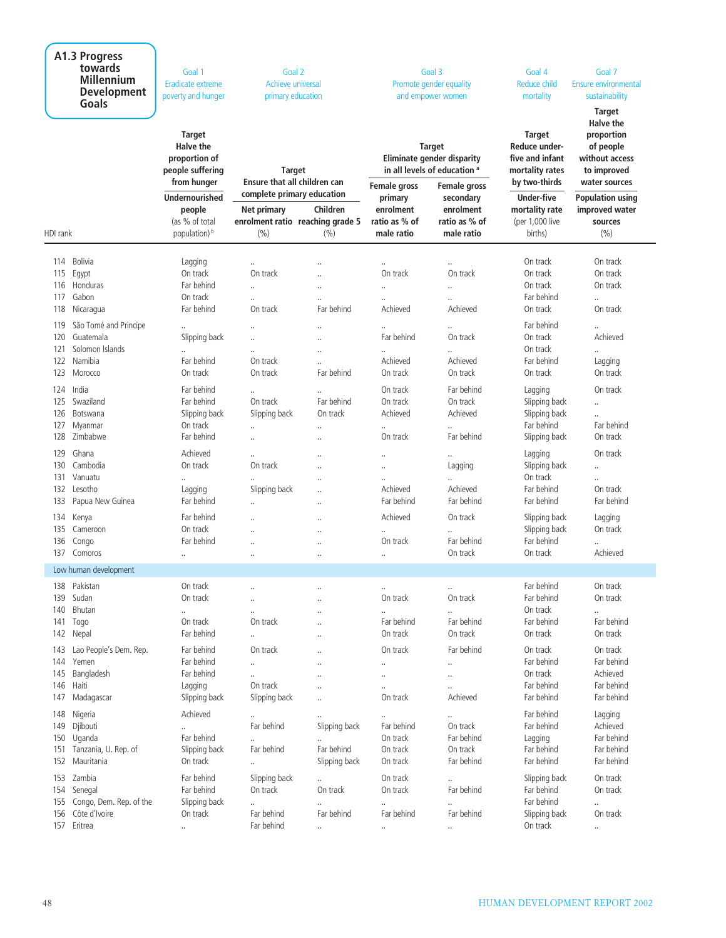| A1.3 Progress<br>towards<br><b>Millennium</b><br><b>Development</b><br>Goals                                                       | Goal 1<br>Eradicate extreme<br>poverty and hunger                                                              | Goal 2<br>Achieve universal<br>primary education                                                         |                                                                                              | Goal 3<br>Promote gender equality<br>and empower women                                                      |                                                       | Goal 4<br><b>Reduce child</b><br>mortality                                            | Goal 7<br><b>Ensure environmental</b><br>sustainability<br><b>Target</b>               |
|------------------------------------------------------------------------------------------------------------------------------------|----------------------------------------------------------------------------------------------------------------|----------------------------------------------------------------------------------------------------------|----------------------------------------------------------------------------------------------|-------------------------------------------------------------------------------------------------------------|-------------------------------------------------------|---------------------------------------------------------------------------------------|----------------------------------------------------------------------------------------|
|                                                                                                                                    | <b>Target</b><br><b>Halve the</b><br>proportion of<br>people suffering<br>from hunger<br><b>Undernourished</b> | <b>Target</b><br>Ensure that all children can<br>complete primary education                              |                                                                                              | <b>Target</b><br>Eliminate gender disparity<br>in all levels of education a<br>Female gross<br>Female gross |                                                       | <b>Target</b><br>Reduce under-<br>five and infant<br>mortality rates<br>by two-thirds | Halve the<br>proportion<br>of people<br>without access<br>to improved<br>water sources |
| HDI rank                                                                                                                           | people<br>(as % of total<br>population) <sup>b</sup>                                                           | Net primary<br>enrolment ratio reaching grade 5<br>(% )                                                  | Children<br>(%)                                                                              | primary<br>enrolment<br>ratio as % of<br>male ratio                                                         | secondary<br>enrolment<br>ratio as % of<br>male ratio | Under-five<br>mortality rate<br>(per 1,000 live<br>births)                            | <b>Population using</b><br>improved water<br>sources<br>(9/6)                          |
| Bolivia<br>114<br>115<br>Egypt<br>Honduras<br>116<br>Gabon<br>117                                                                  | Lagging<br>On track<br>Far behind<br>On track<br>Far behind                                                    | $\ldots$<br>On track<br><br>$\ddot{\phantom{a}}$                                                         | $\ddotsc$<br>$\ddot{\phantom{a}}$<br>$\ddotsc$<br>$\ddot{\phantom{0}}$<br>Far behind         | $\cdot$<br>On track<br>$\ddotsc$<br>$\ddotsc$<br>Achieved                                                   | $\ddotsc$<br>On track<br><br>$\ddotsc$<br>Achieved    | On track<br>On track<br>On track<br>Far behind<br>On track                            | On track<br>On track<br>On track<br><br>On track                                       |
| 118<br>Nicaragua<br>São Tomé and Principe<br>119<br>Guatemala<br>120<br>Solomon Islands<br>121<br>Namibia<br>122<br>123<br>Morocco | Slipping back<br><br>Far behind<br>On track                                                                    | On track<br>$\ddot{\phantom{a}}$<br>$\ddot{\phantom{a}}$<br>$\ddot{\phantom{a}}$<br>On track<br>On track | <br><br>$\ddot{\phantom{0}}$<br>$\ddot{\phantom{a}}$<br>Far behind                           | $\ddotsc$<br>Far behind<br><br>Achieved<br>On track                                                         | On track<br><br>Achieved<br>On track                  | Far behind<br>On track<br>On track<br>Far behind<br>On track                          | $\ddot{\phantom{a}}$<br>Achieved<br><br>Lagging<br>On track                            |
| 124<br>India<br>125<br>Swaziland<br>126<br>Botswana<br>Myanmar<br>127<br>Zimbabwe<br>128                                           | Far behind<br>Far behind<br>Slipping back<br>On track<br>Far behind                                            | <br>On track<br>Slipping back<br>$\ddot{\phantom{a}}$<br>$\ddotsc$                                       | $\ddotsc$<br>Far behind<br>On track<br><br>$\ddot{\phantom{0}}$                              | On track<br>On track<br>Achieved<br>$\ldots$<br>On track                                                    | Far behind<br>On track<br>Achieved<br>Far behind      | Lagging<br>Slipping back<br>Slipping back<br>Far behind<br>Slipping back              | On track<br><br><br>Far behind<br>On track                                             |
| 129<br>Ghana<br>Cambodia<br>130<br>Vanuatu<br>131<br>132<br>Lesotho<br>133<br>Papua New Guinea                                     | Achieved<br>On track<br><br>Lagging<br>Far behind                                                              | $\ddot{\phantom{a}}$<br>On track<br>Slipping back<br>                                                    | $\ddot{\phantom{a}}$<br>$\ddot{\phantom{0}}$<br>$\ddot{\phantom{0}}$<br>$\ddot{\phantom{0}}$ | <br><br><br>Achieved<br>Far behind                                                                          | Lagging<br><br>Achieved<br>Far behind                 | Lagging<br>Slipping back<br>On track<br>Far behind<br>Far behind                      | On track<br><br><br>On track<br>Far behind                                             |
| Kenya<br>134<br>135<br>Cameroon<br>136<br>Congo<br>137 Comoros                                                                     | Far behind<br>On track<br>Far behind<br>                                                                       | $\ddot{\phantom{a}}$<br>$\ddot{\phantom{a}}$<br>$\cdot$                                                  | <br><br>$\ddot{\phantom{0}}$<br>                                                             | Achieved<br><br>On track<br>$\ddotsc$                                                                       | On track<br><br>Far behind<br>On track                | Slipping back<br>Slipping back<br>Far behind<br>On track                              | Lagging<br>On track<br><br>Achieved                                                    |
| Low human development                                                                                                              |                                                                                                                |                                                                                                          |                                                                                              |                                                                                                             |                                                       |                                                                                       |                                                                                        |
| Pakistan<br>138<br>139<br>Sudan<br>Bhutan<br>140<br>141<br>Togo<br>142<br>Nepal                                                    | On track<br>On track<br><br>On track<br>Far behind                                                             | $\ddot{\phantom{a}}$<br>$\ddot{\phantom{a}}$<br>On track<br>$\cdot\cdot$                                 | $\ddotsc$<br><br><br><br>$\ddotsc$                                                           | $\ldots$<br>On track<br>$\ldots$<br>Far behind<br>On track                                                  | <br>On track<br>$\ddotsc$<br>Far behind<br>On track   | Far behind<br>Far behind<br>On track<br>Far behind<br>On track                        | On track<br>On track<br><br>Far behind<br>On track                                     |
| Lao People's Dem. Rep.<br>143<br>144 Yemen<br>145<br>Bangladesh<br>146 Haiti<br>147<br>Madagascar                                  | Far behind<br>Far behind<br>Far behind<br>Lagging<br>Slipping back                                             | On track<br><br>$\ddot{\phantom{a}}$<br>On track<br>Slipping back                                        | $\ddot{\phantom{0}}$<br><br><br>$\ldots$                                                     | On track<br><br><br><br>On track                                                                            | Far behind<br><br>$\ddotsc$<br>Achieved               | On track<br>Far behind<br>On track<br>Far behind<br>Far behind                        | On track<br>Far behind<br>Achieved<br>Far behind<br>Far behind                         |
| 148<br>Nigeria<br>149<br>Djibouti<br>150 Uganda<br>151 Tanzania, U. Rep. of<br>152 Mauritania                                      | Achieved<br><br>Far behind<br>Slipping back<br>On track                                                        | Far behind<br>$\cdot\cdot$<br>Far behind<br>                                                             | Slipping back<br>Far behind<br>Slipping back                                                 | $\ldots$<br>Far behind<br>On track<br>On track<br>On track                                                  | <br>On track<br>Far behind<br>On track<br>Far behind  | Far behind<br>Far behind<br>Lagging<br>Far behind<br>Far behind                       | Lagging<br>Achieved<br>Far behind<br>Far behind<br>Far behind                          |
| 153 Zambia<br>154 Senegal<br>155 Congo, Dem. Rep. of the<br>Côte d'Ivoire<br>156<br>157 Eritrea                                    | Far behind<br>Far behind<br>Slipping back<br>On track<br>                                                      | Slipping back<br>On track<br>$\ddotsc$<br>Far behind<br>Far behind                                       | <br>On track<br>Far behind                                                                   | On track<br>On track<br>$\ldots$<br>Far behind                                                              | <br>Far behind<br>Far behind                          | Slipping back<br>Far behind<br>Far behind<br>Slipping back<br>On track                | On track<br>On track<br><br>On track<br>                                               |